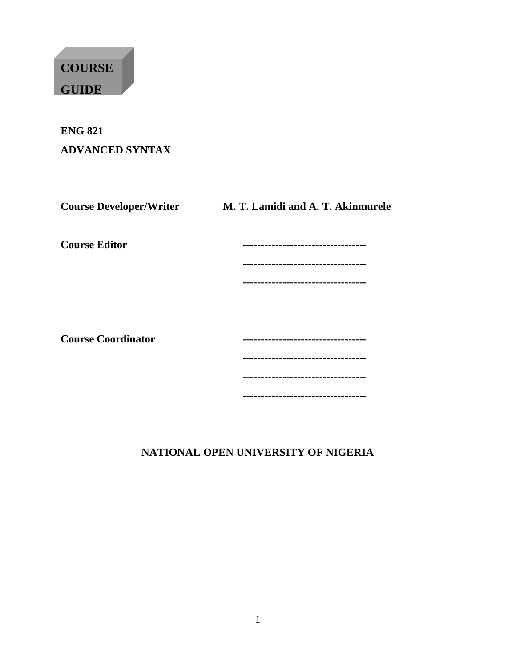# **COURSE GUIDE**

# **ENG 821 ADVANCED SYNTAX**

| <b>Course Developer/Writer</b> | M. T. Lamidi and A. T. Akinmurele |
|--------------------------------|-----------------------------------|
| <b>Course Editor</b>           | --------------------------------  |
|                                |                                   |
|                                |                                   |
|                                |                                   |
|                                |                                   |
| <b>Course Coordinator</b>      |                                   |
|                                | --------------                    |
|                                | ----------------------------      |
|                                | -----------------------           |

# **NATIONAL OPEN UNIVERSITY OF NIGERIA**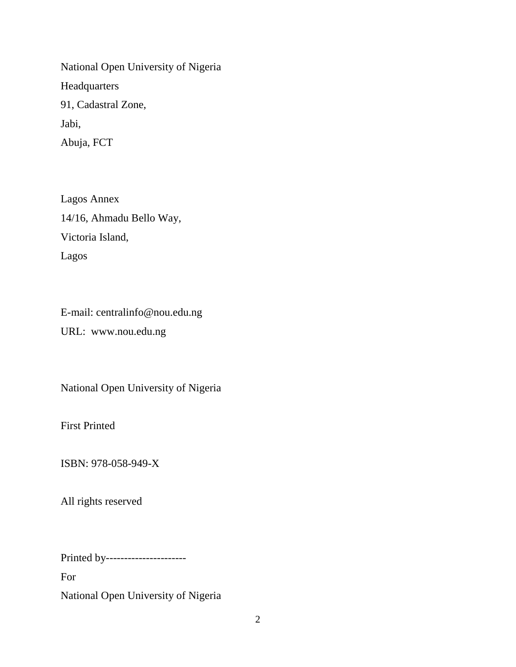National Open University of Nigeria Headquarters 91, Cadastral Zone, Jabi, Abuja, FCT

Lagos Annex 14/16, Ahmadu Bello Way, Victoria Island, Lagos

E-mail: centralinfo@nou.edu.ng URL: www.nou.edu.ng

National Open University of Nigeria

First Printed

ISBN: 978-058-949-X

All rights reserved

Printed by----------------------

For

National Open University of Nigeria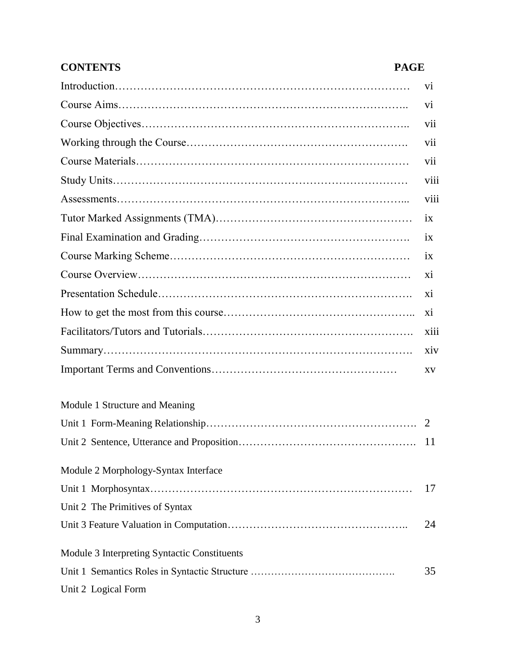| <b>CONTENTS</b><br><b>PAGE</b>               |                |
|----------------------------------------------|----------------|
|                                              | V <sub>i</sub> |
|                                              | V1             |
|                                              | vii            |
|                                              | vii            |
|                                              | vii            |
|                                              | viii           |
|                                              | viii           |
|                                              | 1X             |
|                                              | ix             |
|                                              | ix             |
|                                              | X1             |
|                                              | X1             |
|                                              | X <sub>i</sub> |
|                                              | xiii           |
|                                              | xiv            |
|                                              | <b>XV</b>      |
| Module 1 Structure and Meaning               |                |
|                                              |                |
|                                              | <sup>11</sup>  |
| Module 2 Morphology-Syntax Interface         |                |
|                                              | 17             |
| Unit 2 The Primitives of Syntax              |                |
|                                              | 24             |
| Module 3 Interpreting Syntactic Constituents |                |
|                                              | 35             |
| Unit 2 Logical Form                          |                |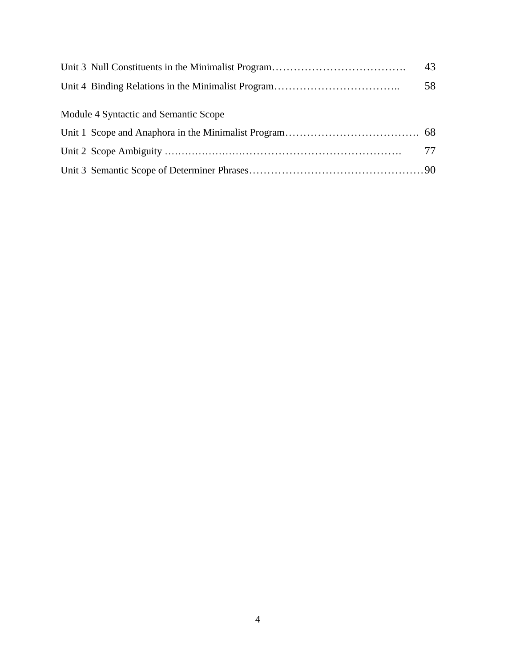|                                       | 43 |
|---------------------------------------|----|
|                                       | 58 |
| Module 4 Syntactic and Semantic Scope |    |
|                                       |    |
|                                       |    |
|                                       | 77 |
|                                       |    |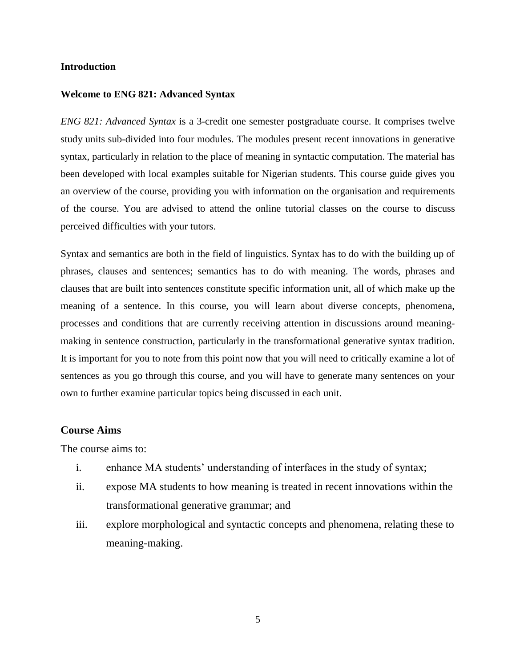#### **Introduction**

#### **Welcome to ENG 821: Advanced Syntax**

*ENG 821: Advanced Syntax* is a 3-credit one semester postgraduate course. It comprises twelve study units sub-divided into four modules. The modules present recent innovations in generative syntax, particularly in relation to the place of meaning in syntactic computation. The material has been developed with local examples suitable for Nigerian students. This course guide gives you an overview of the course, providing you with information on the organisation and requirements of the course. You are advised to attend the online tutorial classes on the course to discuss perceived difficulties with your tutors.

Syntax and semantics are both in the field of linguistics. Syntax has to do with the building up of phrases, clauses and sentences; semantics has to do with meaning. The words, phrases and clauses that are built into sentences constitute specific information unit, all of which make up the meaning of a sentence. In this course, you will learn about diverse concepts, phenomena, processes and conditions that are currently receiving attention in discussions around meaningmaking in sentence construction, particularly in the transformational generative syntax tradition. It is important for you to note from this point now that you will need to critically examine a lot of sentences as you go through this course, and you will have to generate many sentences on your own to further examine particular topics being discussed in each unit.

### **Course Aims**

The course aims to:

- i. enhance MA students' understanding of interfaces in the study of syntax;
- ii. expose MA students to how meaning is treated in recent innovations within the transformational generative grammar; and
- iii. explore morphological and syntactic concepts and phenomena, relating these to meaning-making.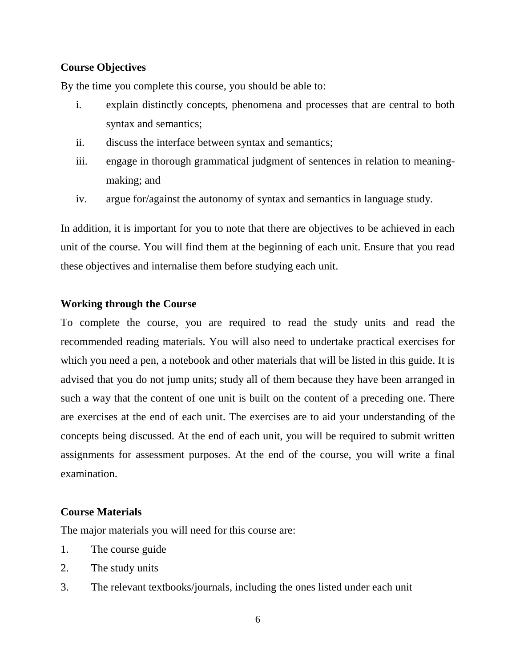# **Course Objectives**

By the time you complete this course, you should be able to:

- i. explain distinctly concepts, phenomena and processes that are central to both syntax and semantics;
- ii. discuss the interface between syntax and semantics;
- iii. engage in thorough grammatical judgment of sentences in relation to meaningmaking; and
- iv. argue for/against the autonomy of syntax and semantics in language study.

In addition, it is important for you to note that there are objectives to be achieved in each unit of the course. You will find them at the beginning of each unit. Ensure that you read these objectives and internalise them before studying each unit.

### **Working through the Course**

To complete the course, you are required to read the study units and read the recommended reading materials. You will also need to undertake practical exercises for which you need a pen, a notebook and other materials that will be listed in this guide. It is advised that you do not jump units; study all of them because they have been arranged in such a way that the content of one unit is built on the content of a preceding one. There are exercises at the end of each unit. The exercises are to aid your understanding of the concepts being discussed. At the end of each unit, you will be required to submit written assignments for assessment purposes. At the end of the course, you will write a final examination.

# **Course Materials**

The major materials you will need for this course are:

- 1. The course guide
- 2. The study units
- 3. The relevant textbooks/journals, including the ones listed under each unit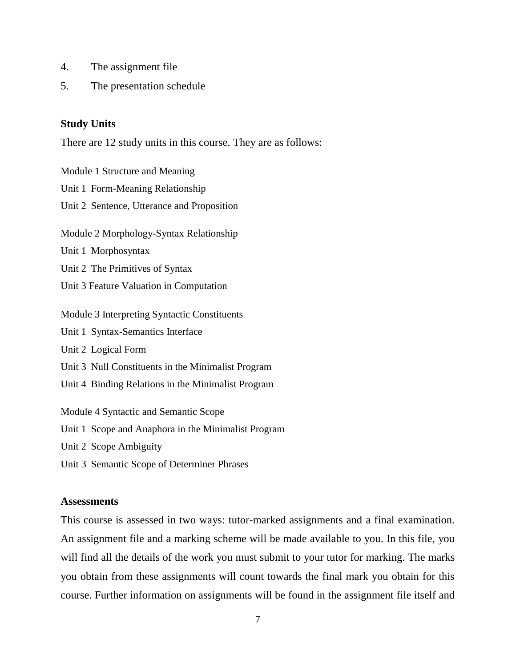- 4. The assignment file
- 5. The presentation schedule

#### **Study Units**

There are 12 study units in this course. They are as follows:

Module 1 Structure and Meaning Unit 1 Form-Meaning Relationship Unit 2 Sentence, Utterance and Proposition Module 2 Morphology-Syntax Relationship Unit 1 Morphosyntax Unit 2 The Primitives of Syntax Unit 3 Feature Valuation in Computation Module 3 Interpreting Syntactic Constituents Unit 1 Syntax-Semantics Interface Unit 2 Logical Form Unit 3 Null Constituents in the Minimalist Program Unit 4 Binding Relations in the Minimalist Program Module 4 Syntactic and Semantic Scope Unit 1 Scope and Anaphora in the Minimalist Program Unit 2 Scope Ambiguity

Unit 3 Semantic Scope of Determiner Phrases

#### **Assessments**

This course is assessed in two ways: tutor-marked assignments and a final examination. An assignment file and a marking scheme will be made available to you. In this file, you will find all the details of the work you must submit to your tutor for marking. The marks you obtain from these assignments will count towards the final mark you obtain for this course. Further information on assignments will be found in the assignment file itself and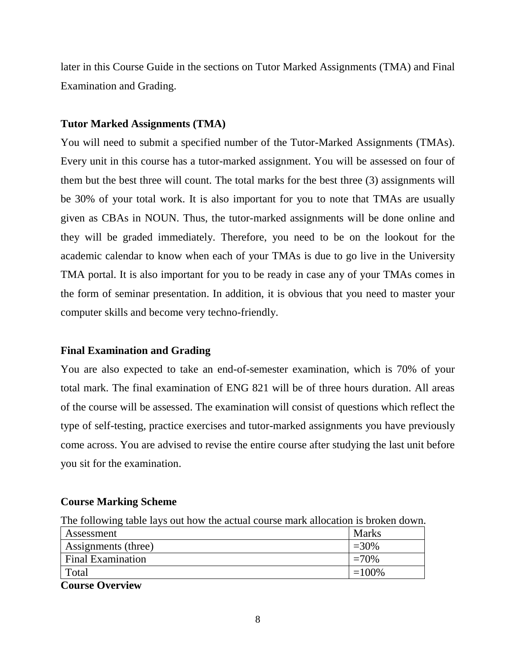later in this Course Guide in the sections on Tutor Marked Assignments (TMA) and Final Examination and Grading.

# **Tutor Marked Assignments (TMA)**

You will need to submit a specified number of the Tutor-Marked Assignments (TMAs). Every unit in this course has a tutor-marked assignment. You will be assessed on four of them but the best three will count. The total marks for the best three (3) assignments will be 30% of your total work. It is also important for you to note that TMAs are usually given as CBAs in NOUN. Thus, the tutor-marked assignments will be done online and they will be graded immediately. Therefore, you need to be on the lookout for the academic calendar to know when each of your TMAs is due to go live in the University TMA portal. It is also important for you to be ready in case any of your TMAs comes in the form of seminar presentation. In addition, it is obvious that you need to master your computer skills and become very techno-friendly.

# **Final Examination and Grading**

You are also expected to take an end-of-semester examination, which is 70% of your total mark. The final examination of ENG 821 will be of three hours duration. All areas of the course will be assessed. The examination will consist of questions which reflect the type of self-testing, practice exercises and tutor-marked assignments you have previously come across. You are advised to revise the entire course after studying the last unit before you sit for the examination.

# **Course Marking Scheme**

|  |  |  |  |  |  |  | The following table lays out how the actual course mark allocation is broken down. |  |
|--|--|--|--|--|--|--|------------------------------------------------------------------------------------|--|
|  |  |  |  |  |  |  |                                                                                    |  |

| Assessment                     | Marks    |
|--------------------------------|----------|
| Assignments (three)            | $=30\%$  |
| <b>Final Examination</b>       | $=70%$   |
| Total                          | $=100\%$ |
| $\sim$ $\sim$ $\sim$<br>$\sim$ |          |

**Course Overview**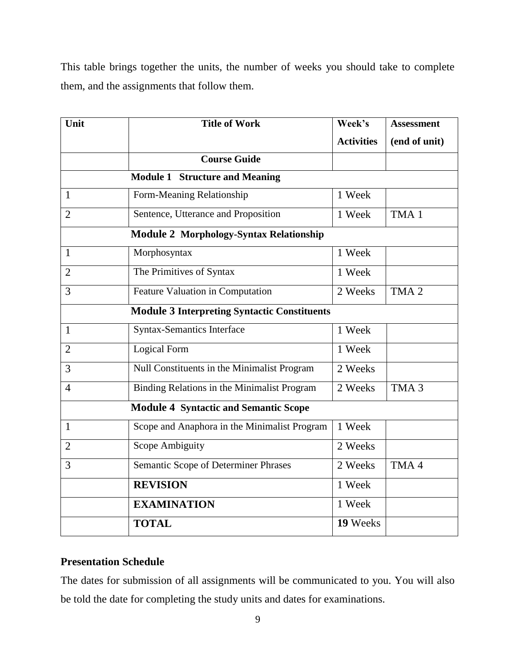This table brings together the units, the number of weeks you should take to complete them, and the assignments that follow them.

| Unit           | <b>Title of Work</b>                                | Week's            | <b>Assessment</b> |
|----------------|-----------------------------------------------------|-------------------|-------------------|
|                |                                                     | <b>Activities</b> | (end of unit)     |
|                | <b>Course Guide</b>                                 |                   |                   |
|                | <b>Module 1 Structure and Meaning</b>               |                   |                   |
| $\mathbf{1}$   | Form-Meaning Relationship                           | 1 Week            |                   |
| $\overline{2}$ | Sentence, Utterance and Proposition                 | 1 Week            | TMA <sub>1</sub>  |
|                | <b>Module 2 Morphology-Syntax Relationship</b>      |                   |                   |
| $\mathbf{1}$   | Morphosyntax                                        | 1 Week            |                   |
| $\overline{2}$ | The Primitives of Syntax                            | 1 Week            |                   |
| 3              | Feature Valuation in Computation                    | 2 Weeks           | TMA <sub>2</sub>  |
|                | <b>Module 3 Interpreting Syntactic Constituents</b> |                   |                   |
| $\mathbf{1}$   | <b>Syntax-Semantics Interface</b>                   | 1 Week            |                   |
| $\overline{2}$ | Logical Form                                        | 1 Week            |                   |
| $\overline{3}$ | Null Constituents in the Minimalist Program         | 2 Weeks           |                   |
| $\overline{4}$ | Binding Relations in the Minimalist Program         | 2 Weeks           | TMA <sub>3</sub>  |
|                | <b>Module 4 Syntactic and Semantic Scope</b>        |                   |                   |
| $\mathbf{1}$   | Scope and Anaphora in the Minimalist Program        | 1 Week            |                   |
| $\overline{2}$ | Scope Ambiguity                                     | 2 Weeks           |                   |
| 3              | Semantic Scope of Determiner Phrases                | 2 Weeks           | TMA4              |
|                | <b>REVISION</b>                                     | 1 Week            |                   |
|                | <b>EXAMINATION</b>                                  | 1 Week            |                   |
|                | <b>TOTAL</b>                                        | 19 Weeks          |                   |

# **Presentation Schedule**

The dates for submission of all assignments will be communicated to you. You will also be told the date for completing the study units and dates for examinations.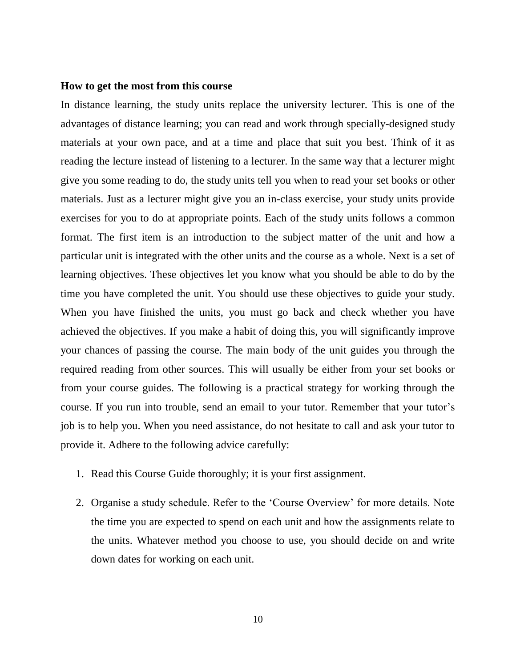#### **How to get the most from this course**

In distance learning, the study units replace the university lecturer. This is one of the advantages of distance learning; you can read and work through specially-designed study materials at your own pace, and at a time and place that suit you best. Think of it as reading the lecture instead of listening to a lecturer. In the same way that a lecturer might give you some reading to do, the study units tell you when to read your set books or other materials. Just as a lecturer might give you an in-class exercise, your study units provide exercises for you to do at appropriate points. Each of the study units follows a common format. The first item is an introduction to the subject matter of the unit and how a particular unit is integrated with the other units and the course as a whole. Next is a set of learning objectives. These objectives let you know what you should be able to do by the time you have completed the unit. You should use these objectives to guide your study. When you have finished the units, you must go back and check whether you have achieved the objectives. If you make a habit of doing this, you will significantly improve your chances of passing the course. The main body of the unit guides you through the required reading from other sources. This will usually be either from your set books or from your course guides. The following is a practical strategy for working through the course. If you run into trouble, send an email to your tutor. Remember that your tutor's job is to help you. When you need assistance, do not hesitate to call and ask your tutor to provide it. Adhere to the following advice carefully:

- 1. Read this Course Guide thoroughly; it is your first assignment.
- 2. Organise a study schedule. Refer to the 'Course Overview' for more details. Note the time you are expected to spend on each unit and how the assignments relate to the units. Whatever method you choose to use, you should decide on and write down dates for working on each unit.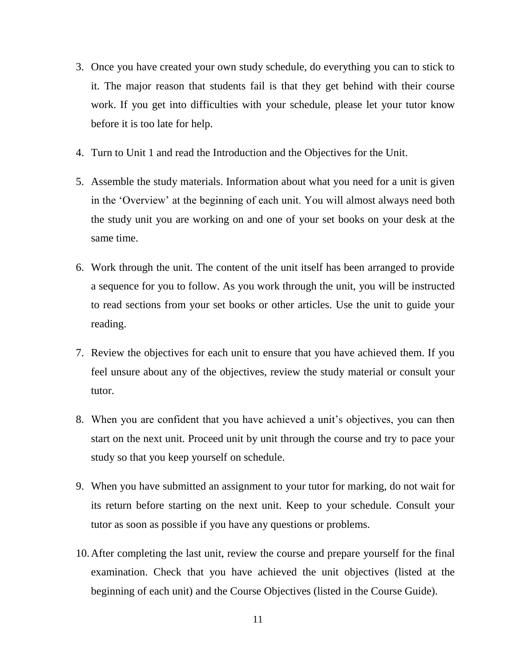- 3. Once you have created your own study schedule, do everything you can to stick to it. The major reason that students fail is that they get behind with their course work. If you get into difficulties with your schedule, please let your tutor know before it is too late for help.
- 4. Turn to Unit 1 and read the Introduction and the Objectives for the Unit.
- 5. Assemble the study materials. Information about what you need for a unit is given in the 'Overview' at the beginning of each unit. You will almost always need both the study unit you are working on and one of your set books on your desk at the same time.
- 6. Work through the unit. The content of the unit itself has been arranged to provide a sequence for you to follow. As you work through the unit, you will be instructed to read sections from your set books or other articles. Use the unit to guide your reading.
- 7. Review the objectives for each unit to ensure that you have achieved them. If you feel unsure about any of the objectives, review the study material or consult your tutor.
- 8. When you are confident that you have achieved a unit's objectives, you can then start on the next unit. Proceed unit by unit through the course and try to pace your study so that you keep yourself on schedule.
- 9. When you have submitted an assignment to your tutor for marking, do not wait for its return before starting on the next unit. Keep to your schedule. Consult your tutor as soon as possible if you have any questions or problems.
- 10.After completing the last unit, review the course and prepare yourself for the final examination. Check that you have achieved the unit objectives (listed at the beginning of each unit) and the Course Objectives (listed in the Course Guide).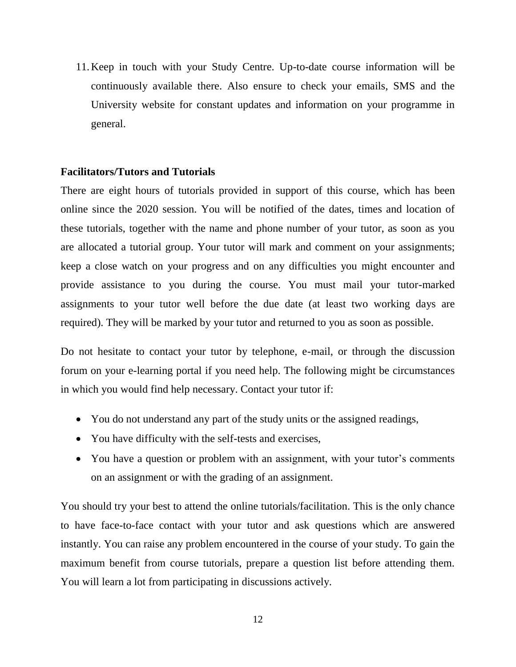11.Keep in touch with your Study Centre. Up-to-date course information will be continuously available there. Also ensure to check your emails, SMS and the University website for constant updates and information on your programme in general.

#### **Facilitators/Tutors and Tutorials**

There are eight hours of tutorials provided in support of this course, which has been online since the 2020 session. You will be notified of the dates, times and location of these tutorials, together with the name and phone number of your tutor, as soon as you are allocated a tutorial group. Your tutor will mark and comment on your assignments; keep a close watch on your progress and on any difficulties you might encounter and provide assistance to you during the course. You must mail your tutor-marked assignments to your tutor well before the due date (at least two working days are required). They will be marked by your tutor and returned to you as soon as possible.

Do not hesitate to contact your tutor by telephone, e-mail, or through the discussion forum on your e-learning portal if you need help. The following might be circumstances in which you would find help necessary. Contact your tutor if:

- You do not understand any part of the study units or the assigned readings,
- You have difficulty with the self-tests and exercises,
- You have a question or problem with an assignment, with your tutor's comments on an assignment or with the grading of an assignment.

You should try your best to attend the online tutorials/facilitation. This is the only chance to have face-to-face contact with your tutor and ask questions which are answered instantly. You can raise any problem encountered in the course of your study. To gain the maximum benefit from course tutorials, prepare a question list before attending them. You will learn a lot from participating in discussions actively.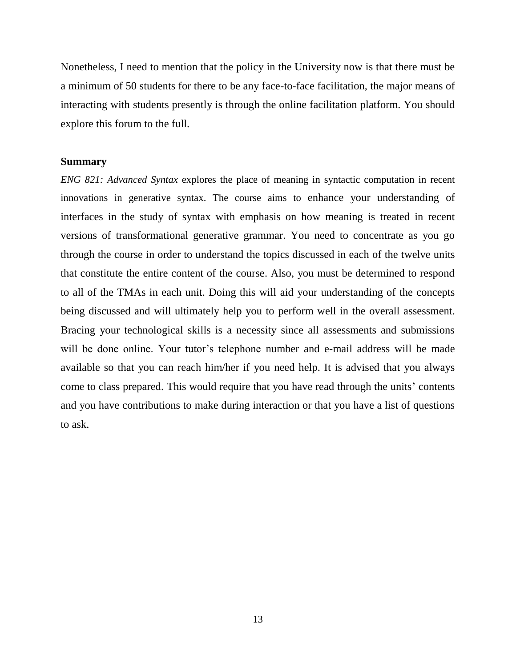Nonetheless, I need to mention that the policy in the University now is that there must be a minimum of 50 students for there to be any face-to-face facilitation, the major means of interacting with students presently is through the online facilitation platform. You should explore this forum to the full.

#### **Summary**

*ENG 821: Advanced Syntax* explores the place of meaning in syntactic computation in recent innovations in generative syntax. The course aims to enhance your understanding of interfaces in the study of syntax with emphasis on how meaning is treated in recent versions of transformational generative grammar. You need to concentrate as you go through the course in order to understand the topics discussed in each of the twelve units that constitute the entire content of the course. Also, you must be determined to respond to all of the TMAs in each unit. Doing this will aid your understanding of the concepts being discussed and will ultimately help you to perform well in the overall assessment. Bracing your technological skills is a necessity since all assessments and submissions will be done online. Your tutor's telephone number and e-mail address will be made available so that you can reach him/her if you need help. It is advised that you always come to class prepared. This would require that you have read through the units' contents and you have contributions to make during interaction or that you have a list of questions to ask.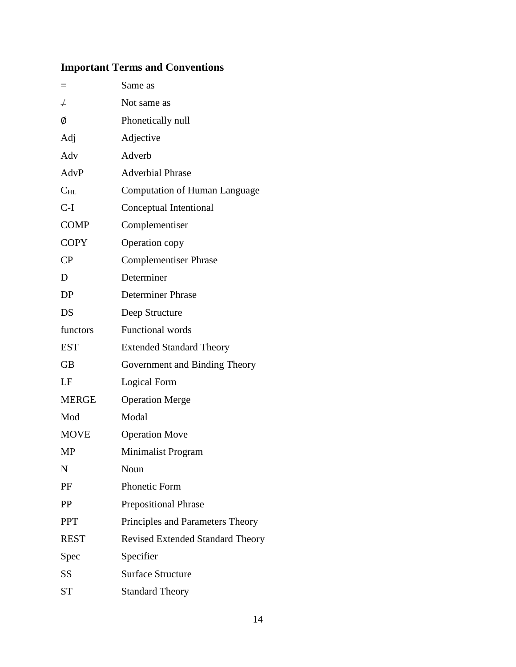# **Important Terms and Conventions**

|              | Same as                                 |  |
|--------------|-----------------------------------------|--|
| $\neq$       | Not same as                             |  |
| Ø            | Phonetically null                       |  |
| Adj          | Adjective                               |  |
| Adv          | Adverb                                  |  |
| AdvP         | <b>Adverbial Phrase</b>                 |  |
| $C_{HL}$     | <b>Computation of Human Language</b>    |  |
| $C-I$        | Conceptual Intentional                  |  |
| <b>COMP</b>  | Complementiser                          |  |
| <b>COPY</b>  | Operation copy                          |  |
| CP           | <b>Complementiser Phrase</b>            |  |
| D            | Determiner                              |  |
| DP           | <b>Determiner Phrase</b>                |  |
| DS           | Deep Structure                          |  |
| functors     | <b>Functional words</b>                 |  |
| <b>EST</b>   | <b>Extended Standard Theory</b>         |  |
| <b>GB</b>    | Government and Binding Theory           |  |
| LF           | Logical Form                            |  |
| <b>MERGE</b> | <b>Operation Merge</b>                  |  |
| Mod          | Modal                                   |  |
| <b>MOVE</b>  | <b>Operation Move</b>                   |  |
| <b>MP</b>    | Minimalist Program                      |  |
| N            | Noun                                    |  |
| PF           | Phonetic Form                           |  |
| <b>PP</b>    | <b>Prepositional Phrase</b>             |  |
| <b>PPT</b>   | Principles and Parameters Theory        |  |
| <b>REST</b>  | <b>Revised Extended Standard Theory</b> |  |
| Spec         | Specifier                               |  |
| <b>SS</b>    | <b>Surface Structure</b>                |  |
| <b>ST</b>    | <b>Standard Theory</b>                  |  |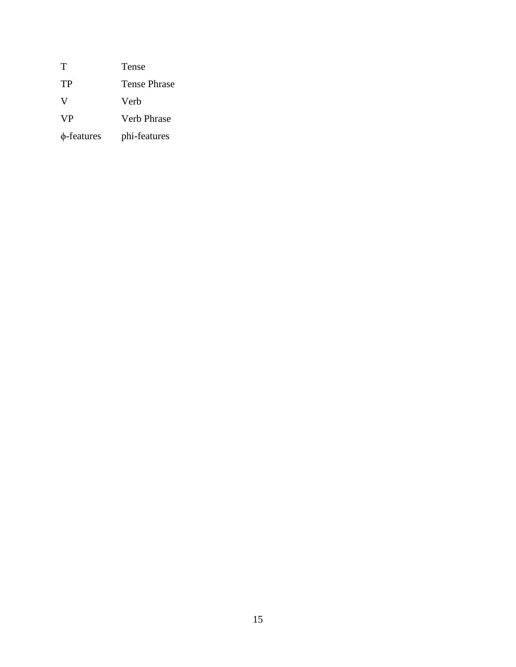| Т          | Tense               |
|------------|---------------------|
| TP         | <b>Tense Phrase</b> |
| V          | Verh                |
| <b>VP</b>  | Verb Phrase         |
| φ-features | phi-features        |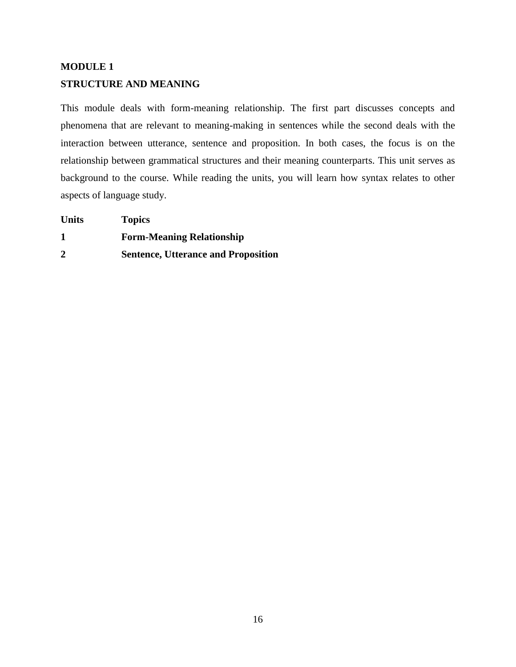# **MODULE 1 STRUCTURE AND MEANING**

This module deals with form-meaning relationship. The first part discusses concepts and phenomena that are relevant to meaning-making in sentences while the second deals with the interaction between utterance, sentence and proposition. In both cases, the focus is on the relationship between grammatical structures and their meaning counterparts. This unit serves as background to the course. While reading the units, you will learn how syntax relates to other aspects of language study.

| <b>Units</b> | <b>Topics</b>                              |
|--------------|--------------------------------------------|
|              | <b>Form-Meaning Relationship</b>           |
| $\mathbf{2}$ | <b>Sentence, Utterance and Proposition</b> |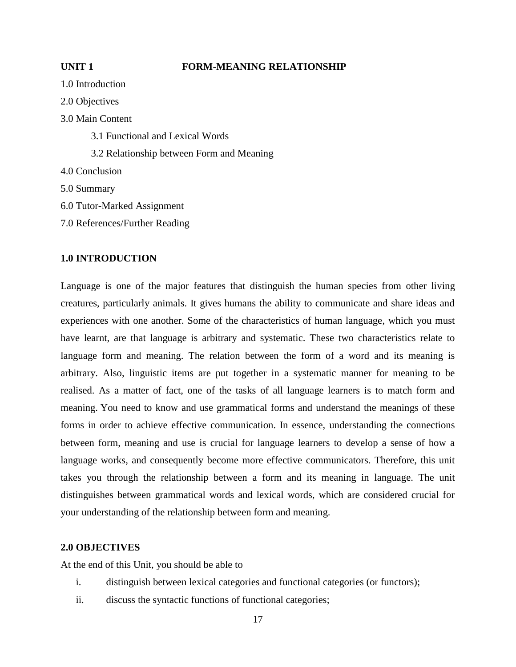#### **UNIT 1** FORM-MEANING RELATIONSHIP

1.0 Introduction 2.0 Objectives 3.0 Main Content 3.1 Functional and Lexical Words 3.2 Relationship between Form and Meaning 4.0 Conclusion 5.0 Summary 6.0 Tutor-Marked Assignment 7.0 References/Further Reading

#### **1.0 INTRODUCTION**

Language is one of the major features that distinguish the human species from other living creatures, particularly animals. It gives humans the ability to communicate and share ideas and experiences with one another. Some of the characteristics of human language, which you must have learnt, are that language is arbitrary and systematic. These two characteristics relate to language form and meaning. The relation between the form of a word and its meaning is arbitrary. Also, linguistic items are put together in a systematic manner for meaning to be realised. As a matter of fact, one of the tasks of all language learners is to match form and meaning. You need to know and use grammatical forms and understand the meanings of these forms in order to achieve effective communication. In essence, understanding the connections between form, meaning and use is crucial for language learners to develop a sense of how a language works, and consequently become more effective communicators. Therefore, this unit takes you through the relationship between a form and its meaning in language. The unit distinguishes between grammatical words and lexical words, which are considered crucial for your understanding of the relationship between form and meaning.

#### **2.0 OBJECTIVES**

At the end of this Unit, you should be able to

- i. distinguish between lexical categories and functional categories (or functors);
- ii. discuss the syntactic functions of functional categories;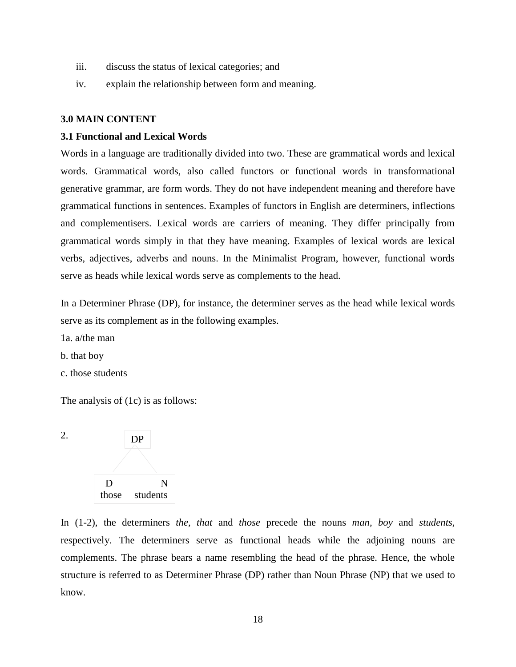- iii. discuss the status of lexical categories; and
- iv. explain the relationship between form and meaning.

#### **3.0 MAIN CONTENT**

#### **3.1 Functional and Lexical Words**

Words in a language are traditionally divided into two. These are grammatical words and lexical words. Grammatical words, also called functors or functional words in transformational generative grammar, are form words. They do not have independent meaning and therefore have grammatical functions in sentences. Examples of functors in English are determiners, inflections and complementisers. Lexical words are carriers of meaning. They differ principally from grammatical words simply in that they have meaning. Examples of lexical words are lexical verbs, adjectives, adverbs and nouns. In the Minimalist Program, however, functional words serve as heads while lexical words serve as complements to the head.

In a Determiner Phrase (DP), for instance, the determiner serves as the head while lexical words serve as its complement as in the following examples.

1a. a/the man

b. that boy

c. those students

The analysis of (1c) is as follows:



In (1-2), the determiners *the, that* and *those* precede the nouns *man, boy* and *students,*  respectively. The determiners serve as functional heads while the adjoining nouns are complements. The phrase bears a name resembling the head of the phrase. Hence, the whole structure is referred to as Determiner Phrase (DP) rather than Noun Phrase (NP) that we used to know.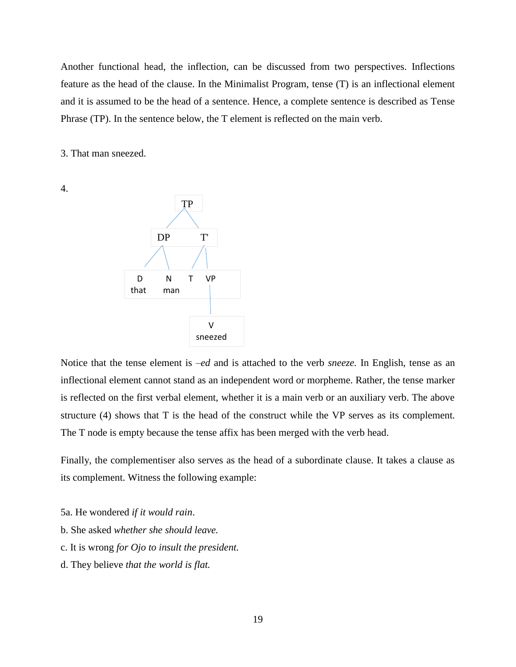Another functional head, the inflection, can be discussed from two perspectives. Inflections feature as the head of the clause. In the Minimalist Program, tense (T) is an inflectional element and it is assumed to be the head of a sentence. Hence, a complete sentence is described as Tense Phrase (TP). In the sentence below, the T element is reflected on the main verb.

3. That man sneezed.

4.



Notice that the tense element is –*ed* and is attached to the verb *sneeze*. In English, tense as an inflectional element cannot stand as an independent word or morpheme. Rather, the tense marker is reflected on the first verbal element, whether it is a main verb or an auxiliary verb. The above structure (4) shows that T is the head of the construct while the VP serves as its complement. The T node is empty because the tense affix has been merged with the verb head.

Finally, the complementiser also serves as the head of a subordinate clause. It takes a clause as its complement. Witness the following example:

- 5a. He wondered *if it would rain*.
- b. She asked *whether she should leave.*
- c. It is wrong *for Ojo to insult the president.*
- d. They believe *that the world is flat.*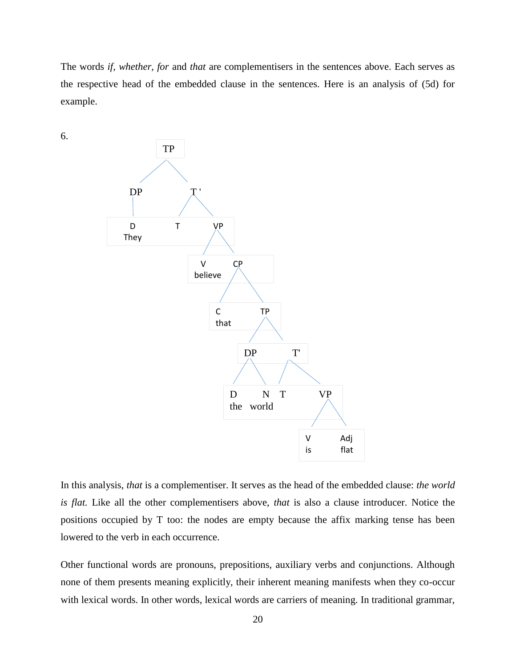The words *if, whether, for* and *that* are complementisers in the sentences above. Each serves as the respective head of the embedded clause in the sentences. Here is an analysis of (5d) for example.



6.

In this analysis, *that* is a complementiser. It serves as the head of the embedded clause: *the world is flat.* Like all the other complementisers above, *that* is also a clause introducer. Notice the positions occupied by T too: the nodes are empty because the affix marking tense has been lowered to the verb in each occurrence.

Other functional words are pronouns, prepositions, auxiliary verbs and conjunctions. Although none of them presents meaning explicitly, their inherent meaning manifests when they co-occur with lexical words. In other words, lexical words are carriers of meaning. In traditional grammar,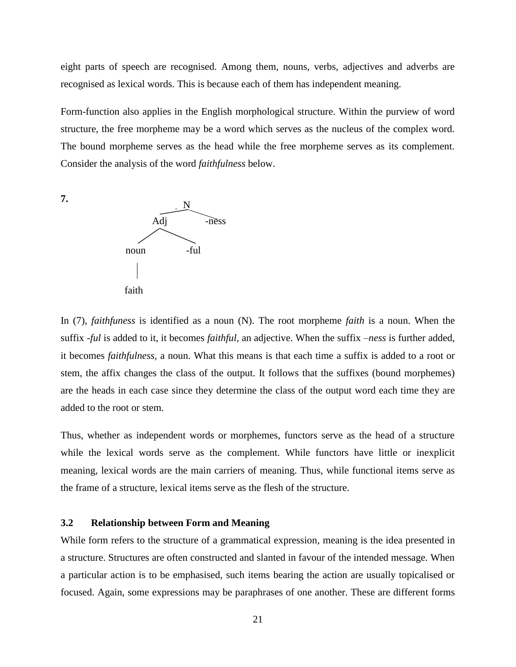eight parts of speech are recognised. Among them, nouns, verbs, adjectives and adverbs are recognised as lexical words. This is because each of them has independent meaning.

Form-function also applies in the English morphological structure. Within the purview of word structure, the free morpheme may be a word which serves as the nucleus of the complex word. The bound morpheme serves as the head while the free morpheme serves as its complement. Consider the analysis of the word *faithfulness* below.



In (7), *faithfuness* is identified as a noun (N). The root morpheme *faith* is a noun. When the suffix *-ful* is added to it, it becomes *faithful,* an adjective. When the suffix –*ness* is further added, it becomes *faithfulness,* a noun. What this means is that each time a suffix is added to a root or stem, the affix changes the class of the output. It follows that the suffixes (bound morphemes) are the heads in each case since they determine the class of the output word each time they are added to the root or stem.

Thus, whether as independent words or morphemes, functors serve as the head of a structure while the lexical words serve as the complement. While functors have little or inexplicit meaning, lexical words are the main carriers of meaning. Thus, while functional items serve as the frame of a structure, lexical items serve as the flesh of the structure.

#### **3.2 Relationship between Form and Meaning**

While form refers to the structure of a grammatical expression, meaning is the idea presented in a structure. Structures are often constructed and slanted in favour of the intended message. When a particular action is to be emphasised, such items bearing the action are usually topicalised or focused. Again, some expressions may be paraphrases of one another. These are different forms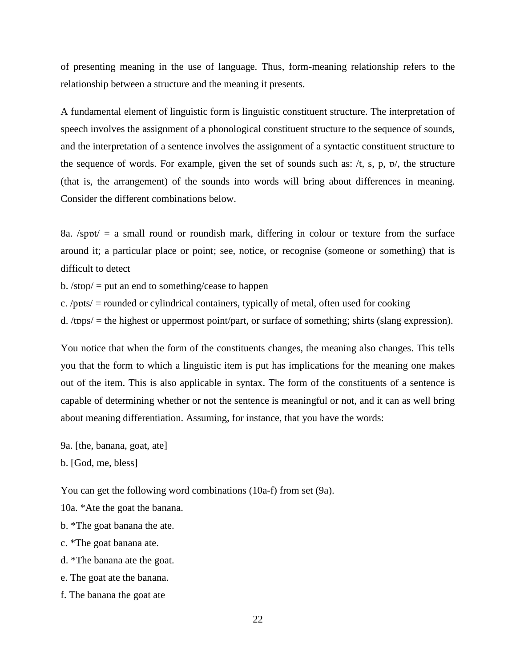of presenting meaning in the use of language. Thus, form-meaning relationship refers to the relationship between a structure and the meaning it presents.

A fundamental element of linguistic form is linguistic constituent structure. The interpretation of speech involves the assignment of a phonological constituent structure to the sequence of sounds, and the interpretation of a sentence involves the assignment of a syntactic constituent structure to the sequence of words. For example, given the set of sounds such as:  $/t$ , s, p,  $\nu$ , the structure (that is, the arrangement) of the sounds into words will bring about differences in meaning. Consider the different combinations below.

8a.  $\sqrt{\frac{1}{2}}$  small round or roundish mark, differing in colour or texture from the surface around it; a particular place or point; see, notice, or recognise (someone or something) that is difficult to detect

b.  $\sqrt{\text{stop}}/$  = put an end to something/cease to happen

c. /pɒts/ = rounded or cylindrical containers, typically of metal, often used for cooking

d. /tɒps/ = the highest or uppermost point/part, or surface of something; shirts (slang expression).

You notice that when the form of the constituents changes, the meaning also changes. This tells you that the form to which a linguistic item is put has implications for the meaning one makes out of the item. This is also applicable in syntax. The form of the constituents of a sentence is capable of determining whether or not the sentence is meaningful or not, and it can as well bring about meaning differentiation. Assuming, for instance, that you have the words:

9a. [the, banana, goat, ate]

b. [God, me, bless]

You can get the following word combinations (10a-f) from set (9a).

10a. \*Ate the goat the banana.

b. \*The goat banana the ate.

c. \*The goat banana ate.

d. \*The banana ate the goat.

e. The goat ate the banana.

f. The banana the goat ate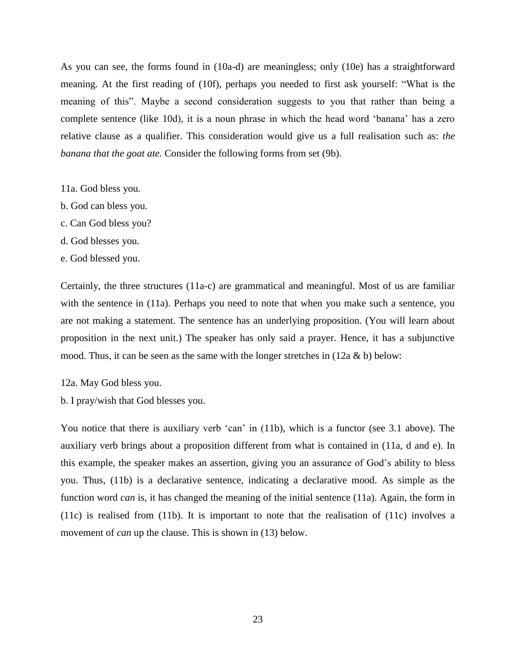As you can see, the forms found in (10a-d) are meaningless; only (10e) has a straightforward meaning. At the first reading of (10f), perhaps you needed to first ask yourself: "What is the meaning of this". Maybe a second consideration suggests to you that rather than being a complete sentence (like 10d), it is a noun phrase in which the head word 'banana' has a zero relative clause as a qualifier. This consideration would give us a full realisation such as: *the banana that the goat ate.* Consider the following forms from set (9b).

11a. God bless you.

- b. God can bless you.
- c. Can God bless you?
- d. God blesses you.
- e. God blessed you.

Certainly, the three structures (11a-c) are grammatical and meaningful. Most of us are familiar with the sentence in (11a). Perhaps you need to note that when you make such a sentence, you are not making a statement. The sentence has an underlying proposition. (You will learn about proposition in the next unit.) The speaker has only said a prayer. Hence, it has a subjunctive mood. Thus, it can be seen as the same with the longer stretches in  $(12a \& b)$  below:

12a. May God bless you.

b. I pray/wish that God blesses you.

You notice that there is auxiliary verb 'can' in (11b), which is a functor (see 3.1 above). The auxiliary verb brings about a proposition different from what is contained in (11a, d and e). In this example, the speaker makes an assertion, giving you an assurance of God's ability to bless you. Thus, (11b) is a declarative sentence, indicating a declarative mood. As simple as the function word *can* is, it has changed the meaning of the initial sentence (11a). Again, the form in (11c) is realised from (11b). It is important to note that the realisation of (11c) involves a movement of *can* up the clause. This is shown in (13) below.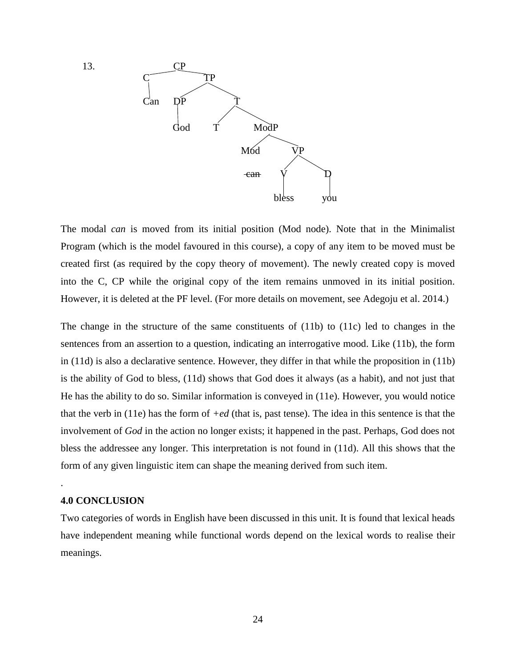

The modal *can* is moved from its initial position (Mod node). Note that in the Minimalist Program (which is the model favoured in this course), a copy of any item to be moved must be created first (as required by the copy theory of movement). The newly created copy is moved into the C, CP while the original copy of the item remains unmoved in its initial position. However, it is deleted at the PF level. (For more details on movement, see Adegoju et al. 2014.)

The change in the structure of the same constituents of (11b) to (11c) led to changes in the sentences from an assertion to a question, indicating an interrogative mood. Like (11b), the form in (11d) is also a declarative sentence. However, they differ in that while the proposition in (11b) is the ability of God to bless, (11d) shows that God does it always (as a habit), and not just that He has the ability to do so. Similar information is conveyed in (11e). However, you would notice that the verb in (11e) has the form of *+ed* (that is, past tense). The idea in this sentence is that the involvement of *God* in the action no longer exists; it happened in the past. Perhaps, God does not bless the addressee any longer. This interpretation is not found in (11d). All this shows that the form of any given linguistic item can shape the meaning derived from such item.

#### **4.0 CONCLUSION**

.

Two categories of words in English have been discussed in this unit. It is found that lexical heads have independent meaning while functional words depend on the lexical words to realise their meanings.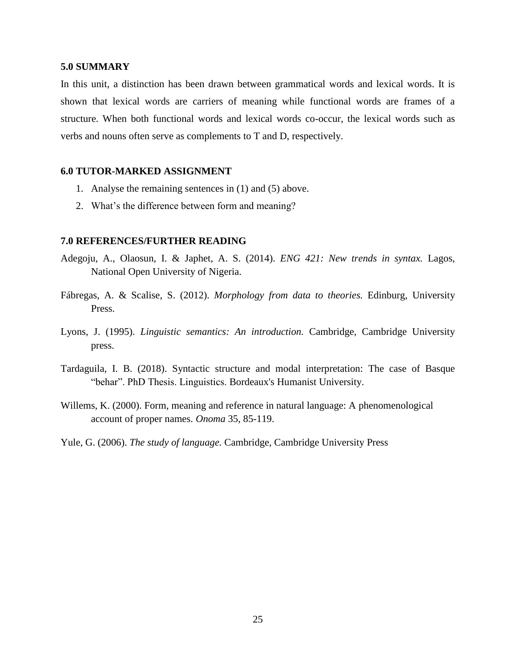#### **5.0 SUMMARY**

In this unit, a distinction has been drawn between grammatical words and lexical words. It is shown that lexical words are carriers of meaning while functional words are frames of a structure. When both functional words and lexical words co-occur, the lexical words such as verbs and nouns often serve as complements to T and D, respectively.

#### **6.0 TUTOR-MARKED ASSIGNMENT**

- 1. Analyse the remaining sentences in (1) and (5) above.
- 2. What's the difference between form and meaning?

#### **7.0 REFERENCES/FURTHER READING**

- Adegoju, A., Olaosun, I. & Japhet, A. S. (2014). *ENG 421: New trends in syntax.* Lagos, National Open University of Nigeria.
- Fábregas, A. & Scalise, S. (2012). *Morphology from data to theories.* Edinburg, University Press.
- Lyons, J. (1995). *Linguistic semantics: An introduction.* Cambridge, Cambridge University press.
- Tardaguila, I. B. (2018). Syntactic structure and modal interpretation: The case of Basque "behar". PhD Thesis. Linguistics. Bordeaux's Humanist University.
- Willems, K. (2000). Form, meaning and reference in natural language: A phenomenological account of proper names. *Onoma* 35, 85-119.
- Yule, G. (2006). *The study of language.* Cambridge, Cambridge University Press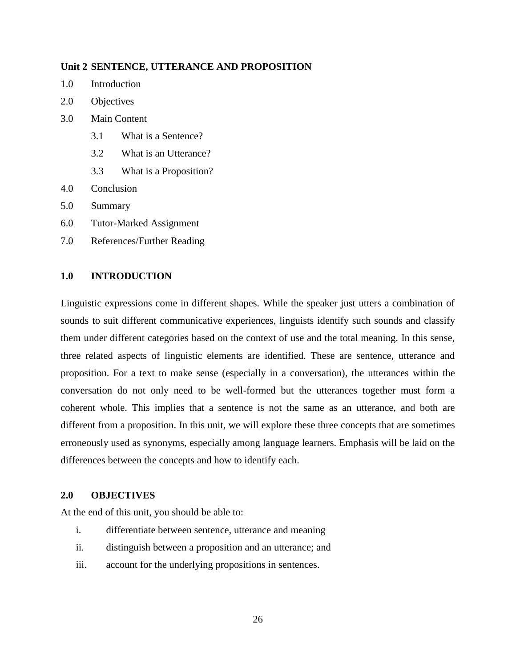#### **Unit 2 SENTENCE, UTTERANCE AND PROPOSITION**

- 1.0 Introduction
- 2.0 Objectives
- 3.0 Main Content
	- 3.1 What is a Sentence?
	- 3.2 What is an Utterance?
	- 3.3 What is a Proposition?
- 4.0 Conclusion
- 5.0 Summary
- 6.0 Tutor-Marked Assignment
- 7.0 References/Further Reading

#### **1.0 INTRODUCTION**

Linguistic expressions come in different shapes. While the speaker just utters a combination of sounds to suit different communicative experiences, linguists identify such sounds and classify them under different categories based on the context of use and the total meaning. In this sense, three related aspects of linguistic elements are identified. These are sentence, utterance and proposition. For a text to make sense (especially in a conversation), the utterances within the conversation do not only need to be well-formed but the utterances together must form a coherent whole. This implies that a sentence is not the same as an utterance, and both are different from a proposition. In this unit, we will explore these three concepts that are sometimes erroneously used as synonyms, especially among language learners. Emphasis will be laid on the differences between the concepts and how to identify each.

#### **2.0 OBJECTIVES**

At the end of this unit, you should be able to:

- i. differentiate between sentence, utterance and meaning
- ii. distinguish between a proposition and an utterance; and
- iii. account for the underlying propositions in sentences.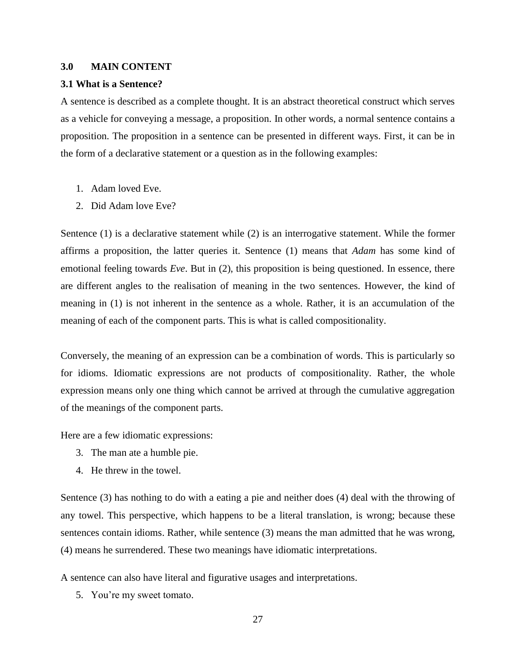#### **3.0 MAIN CONTENT**

#### **3.1 What is a Sentence?**

A sentence is described as a complete thought. It is an abstract theoretical construct which serves as a vehicle for conveying a message, a proposition. In other words, a normal sentence contains a proposition. The proposition in a sentence can be presented in different ways. First, it can be in the form of a declarative statement or a question as in the following examples:

- 1. Adam loved Eve.
- 2. Did Adam love Eve?

Sentence (1) is a declarative statement while (2) is an interrogative statement. While the former affirms a proposition, the latter queries it. Sentence (1) means that *Adam* has some kind of emotional feeling towards *Eve*. But in (2), this proposition is being questioned. In essence, there are different angles to the realisation of meaning in the two sentences. However, the kind of meaning in (1) is not inherent in the sentence as a whole. Rather, it is an accumulation of the meaning of each of the component parts. This is what is called compositionality.

Conversely, the meaning of an expression can be a combination of words. This is particularly so for idioms. Idiomatic expressions are not products of compositionality. Rather, the whole expression means only one thing which cannot be arrived at through the cumulative aggregation of the meanings of the component parts.

Here are a few idiomatic expressions:

- 3. The man ate a humble pie.
- 4. He threw in the towel.

Sentence (3) has nothing to do with a eating a pie and neither does (4) deal with the throwing of any towel. This perspective, which happens to be a literal translation, is wrong; because these sentences contain idioms. Rather, while sentence (3) means the man admitted that he was wrong, (4) means he surrendered. These two meanings have idiomatic interpretations.

A sentence can also have literal and figurative usages and interpretations.

5. You're my sweet tomato.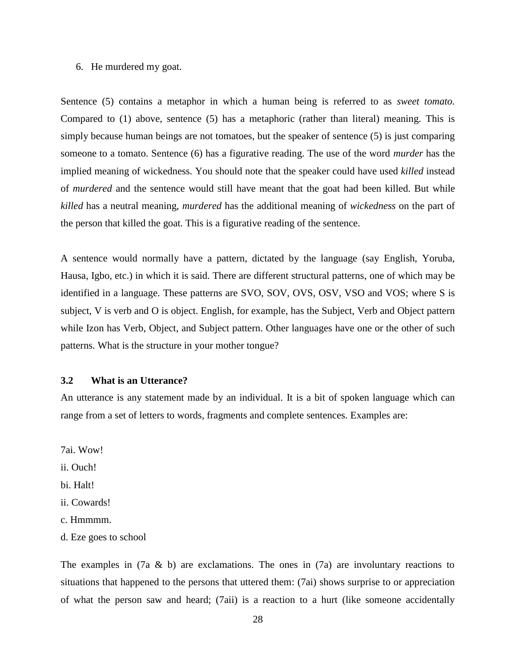#### 6. He murdered my goat.

Sentence (5) contains a metaphor in which a human being is referred to as *sweet tomato.*  Compared to (1) above, sentence (5) has a metaphoric (rather than literal) meaning. This is simply because human beings are not tomatoes, but the speaker of sentence (5) is just comparing someone to a tomato. Sentence (6) has a figurative reading. The use of the word *murder* has the implied meaning of wickedness. You should note that the speaker could have used *killed* instead of *murdered* and the sentence would still have meant that the goat had been killed. But while *killed* has a neutral meaning, *murdered* has the additional meaning of *wickedness* on the part of the person that killed the goat. This is a figurative reading of the sentence.

A sentence would normally have a pattern, dictated by the language (say English, Yoruba, Hausa, Igbo, etc.) in which it is said. There are different structural patterns, one of which may be identified in a language. These patterns are SVO, SOV, OVS, OSV, VSO and VOS; where S is subject, V is verb and O is object. English, for example, has the Subject, Verb and Object pattern while Izon has Verb, Object, and Subject pattern. Other languages have one or the other of such patterns. What is the structure in your mother tongue?

#### **3.2 What is an Utterance?**

An utterance is any statement made by an individual. It is a bit of spoken language which can range from a set of letters to words, fragments and complete sentences. Examples are:

7ai. Wow!

ii. Ouch!

bi. Halt!

- ii. Cowards!
- c. Hmmmm.
- d. Eze goes to school

The examples in  $(7a \& b)$  are exclamations. The ones in  $(7a)$  are involuntary reactions to situations that happened to the persons that uttered them: (7ai) shows surprise to or appreciation of what the person saw and heard; (7aii) is a reaction to a hurt (like someone accidentally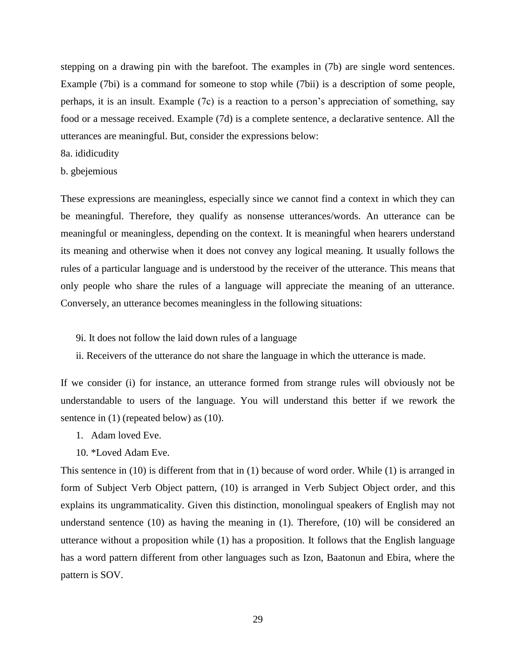stepping on a drawing pin with the barefoot. The examples in (7b) are single word sentences. Example (7bi) is a command for someone to stop while (7bii) is a description of some people, perhaps, it is an insult. Example (7c) is a reaction to a person's appreciation of something, say food or a message received. Example (7d) is a complete sentence, a declarative sentence. All the utterances are meaningful. But, consider the expressions below:

#### 8a. ididicudity

### b. gbejemious

These expressions are meaningless, especially since we cannot find a context in which they can be meaningful. Therefore, they qualify as nonsense utterances/words. An utterance can be meaningful or meaningless, depending on the context. It is meaningful when hearers understand its meaning and otherwise when it does not convey any logical meaning. It usually follows the rules of a particular language and is understood by the receiver of the utterance. This means that only people who share the rules of a language will appreciate the meaning of an utterance. Conversely, an utterance becomes meaningless in the following situations:

- 9i. It does not follow the laid down rules of a language
- ii. Receivers of the utterance do not share the language in which the utterance is made.

If we consider (i) for instance, an utterance formed from strange rules will obviously not be understandable to users of the language. You will understand this better if we rework the sentence in (1) (repeated below) as (10).

- 1. Adam loved Eve.
- 10. \*Loved Adam Eve.

This sentence in (10) is different from that in (1) because of word order. While (1) is arranged in form of Subject Verb Object pattern, (10) is arranged in Verb Subject Object order, and this explains its ungrammaticality. Given this distinction, monolingual speakers of English may not understand sentence (10) as having the meaning in (1). Therefore, (10) will be considered an utterance without a proposition while (1) has a proposition. It follows that the English language has a word pattern different from other languages such as Izon, Baatonun and Ebira, where the pattern is SOV.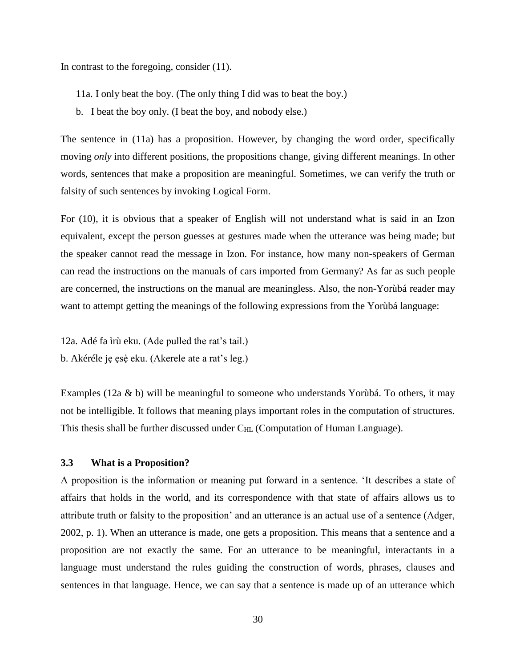In contrast to the foregoing, consider (11).

- 11a. I only beat the boy. (The only thing I did was to beat the boy.)
- b. I beat the boy only. (I beat the boy, and nobody else.)

The sentence in (11a) has a proposition. However, by changing the word order, specifically moving *only* into different positions, the propositions change, giving different meanings. In other words, sentences that make a proposition are meaningful. Sometimes, we can verify the truth or falsity of such sentences by invoking Logical Form.

For (10), it is obvious that a speaker of English will not understand what is said in an Izon equivalent, except the person guesses at gestures made when the utterance was being made; but the speaker cannot read the message in Izon. For instance, how many non-speakers of German can read the instructions on the manuals of cars imported from Germany? As far as such people are concerned, the instructions on the manual are meaningless. Also, the non-Yorùbá reader may want to attempt getting the meanings of the following expressions from the Yorùbá language:

12a. Adé fa ìrù eku. (Ade pulled the rat's tail.) b. Akéréle je esè eku. (Akerele ate a rat's leg.)

Examples (12a & b) will be meaningful to someone who understands Yorùbá. To others, it may not be intelligible. It follows that meaning plays important roles in the computation of structures. This thesis shall be further discussed under  $C_{HL}$  (Computation of Human Language).

#### **3.3 What is a Proposition?**

A proposition is the information or meaning put forward in a sentence. 'It describes a state of affairs that holds in the world, and its correspondence with that state of affairs allows us to attribute truth or falsity to the proposition' and an utterance is an actual use of a sentence (Adger, 2002, p. 1). When an utterance is made, one gets a proposition. This means that a sentence and a proposition are not exactly the same. For an utterance to be meaningful, interactants in a language must understand the rules guiding the construction of words, phrases, clauses and sentences in that language. Hence, we can say that a sentence is made up of an utterance which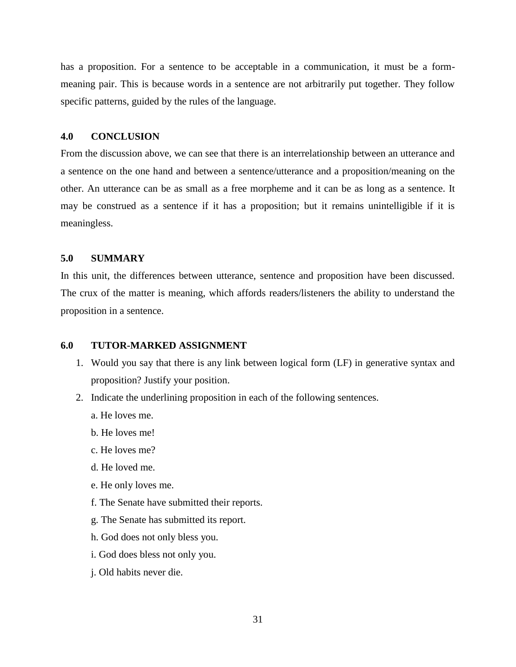has a proposition. For a sentence to be acceptable in a communication, it must be a formmeaning pair. This is because words in a sentence are not arbitrarily put together. They follow specific patterns, guided by the rules of the language.

#### **4.0 CONCLUSION**

From the discussion above, we can see that there is an interrelationship between an utterance and a sentence on the one hand and between a sentence/utterance and a proposition/meaning on the other. An utterance can be as small as a free morpheme and it can be as long as a sentence. It may be construed as a sentence if it has a proposition; but it remains unintelligible if it is meaningless.

#### **5.0 SUMMARY**

In this unit, the differences between utterance, sentence and proposition have been discussed. The crux of the matter is meaning, which affords readers/listeners the ability to understand the proposition in a sentence.

#### **6.0 TUTOR-MARKED ASSIGNMENT**

- 1. Would you say that there is any link between logical form (LF) in generative syntax and proposition? Justify your position.
- 2. Indicate the underlining proposition in each of the following sentences.
	- a. He loves me.
	- b. He loves me!
	- c. He loves me?
	- d. He loved me.
	- e. He only loves me.
	- f. The Senate have submitted their reports.
	- g. The Senate has submitted its report.
	- h. God does not only bless you.
	- i. God does bless not only you.
	- j. Old habits never die.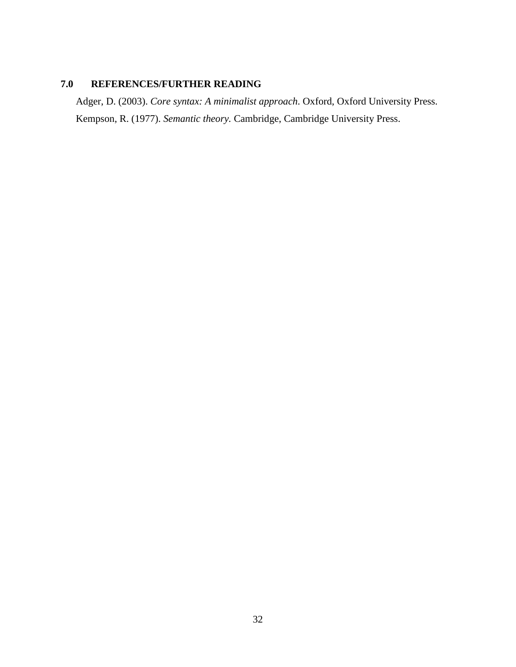# **7.0 REFERENCES/FURTHER READING**

Adger, D. (2003). *Core syntax: A minimalist approach*. Oxford, Oxford University Press. Kempson, R. (1977). *Semantic theory.* Cambridge, Cambridge University Press.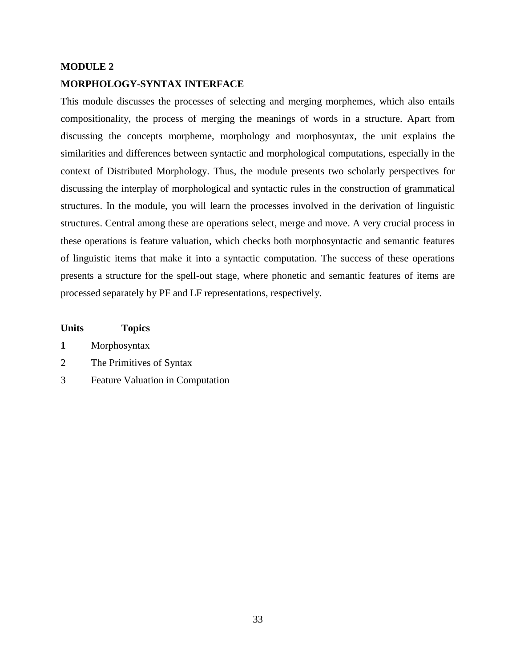# **MODULE 2 MORPHOLOGY-SYNTAX INTERFACE**

This module discusses the processes of selecting and merging morphemes, which also entails compositionality, the process of merging the meanings of words in a structure. Apart from discussing the concepts morpheme, morphology and morphosyntax, the unit explains the similarities and differences between syntactic and morphological computations, especially in the context of Distributed Morphology. Thus, the module presents two scholarly perspectives for discussing the interplay of morphological and syntactic rules in the construction of grammatical structures. In the module, you will learn the processes involved in the derivation of linguistic structures. Central among these are operations select, merge and move. A very crucial process in these operations is feature valuation, which checks both morphosyntactic and semantic features of linguistic items that make it into a syntactic computation. The success of these operations presents a structure for the spell-out stage, where phonetic and semantic features of items are processed separately by PF and LF representations, respectively.

#### **Units Topics**

| Morphosyntax |
|--------------|
|--------------|

- 2 The Primitives of Syntax
- 3 Feature Valuation in Computation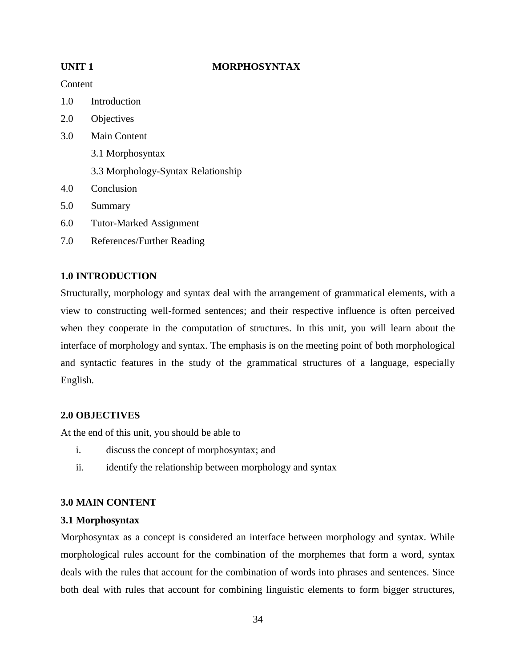# **UNIT 1 MORPHOSYNTAX**

### Content

- 1.0 Introduction
- 2.0 Objectives
- 3.0 Main Content 3.1 Morphosyntax 3.3 Morphology-Syntax Relationship
- 4.0 Conclusion
- 5.0 Summary
- 6.0 Tutor-Marked Assignment
- 7.0 References/Further Reading

# **1.0 INTRODUCTION**

Structurally, morphology and syntax deal with the arrangement of grammatical elements, with a view to constructing well-formed sentences; and their respective influence is often perceived when they cooperate in the computation of structures. In this unit, you will learn about the interface of morphology and syntax. The emphasis is on the meeting point of both morphological and syntactic features in the study of the grammatical structures of a language, especially English.

# **2.0 OBJECTIVES**

At the end of this unit, you should be able to

- i. discuss the concept of morphosyntax; and
- ii. identify the relationship between morphology and syntax

# **3.0 MAIN CONTENT**

### **3.1 Morphosyntax**

Morphosyntax as a concept is considered an interface between morphology and syntax. While morphological rules account for the combination of the morphemes that form a word, syntax deals with the rules that account for the combination of words into phrases and sentences. Since both deal with rules that account for combining linguistic elements to form bigger structures,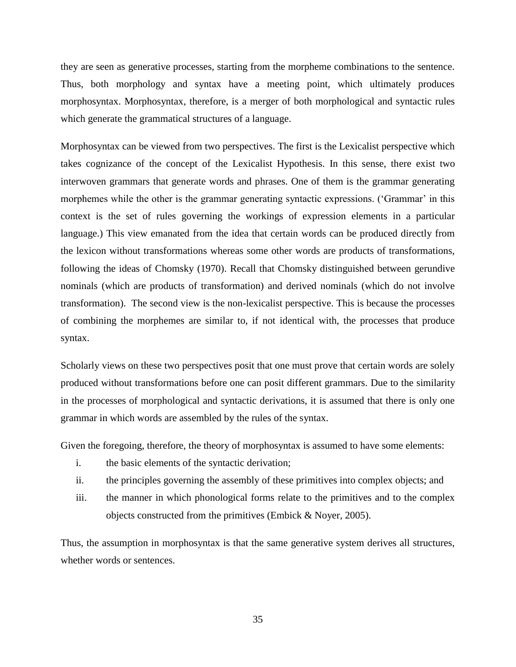they are seen as generative processes, starting from the morpheme combinations to the sentence. Thus, both morphology and syntax have a meeting point, which ultimately produces morphosyntax. Morphosyntax, therefore, is a merger of both morphological and syntactic rules which generate the grammatical structures of a language.

Morphosyntax can be viewed from two perspectives. The first is the Lexicalist perspective which takes cognizance of the concept of the Lexicalist Hypothesis. In this sense, there exist two interwoven grammars that generate words and phrases. One of them is the grammar generating morphemes while the other is the grammar generating syntactic expressions. ('Grammar' in this context is the set of rules governing the workings of expression elements in a particular language.) This view emanated from the idea that certain words can be produced directly from the lexicon without transformations whereas some other words are products of transformations, following the ideas of Chomsky (1970). Recall that Chomsky distinguished between gerundive nominals (which are products of transformation) and derived nominals (which do not involve transformation). The second view is the non-lexicalist perspective. This is because the processes of combining the morphemes are similar to, if not identical with, the processes that produce syntax.

Scholarly views on these two perspectives posit that one must prove that certain words are solely produced without transformations before one can posit different grammars. Due to the similarity in the processes of morphological and syntactic derivations, it is assumed that there is only one grammar in which words are assembled by the rules of the syntax.

Given the foregoing, therefore, the theory of morphosyntax is assumed to have some elements:

- i. the basic elements of the syntactic derivation;
- ii. the principles governing the assembly of these primitives into complex objects; and
- iii. the manner in which phonological forms relate to the primitives and to the complex objects constructed from the primitives (Embick & Noyer, 2005).

Thus, the assumption in morphosyntax is that the same generative system derives all structures, whether words or sentences.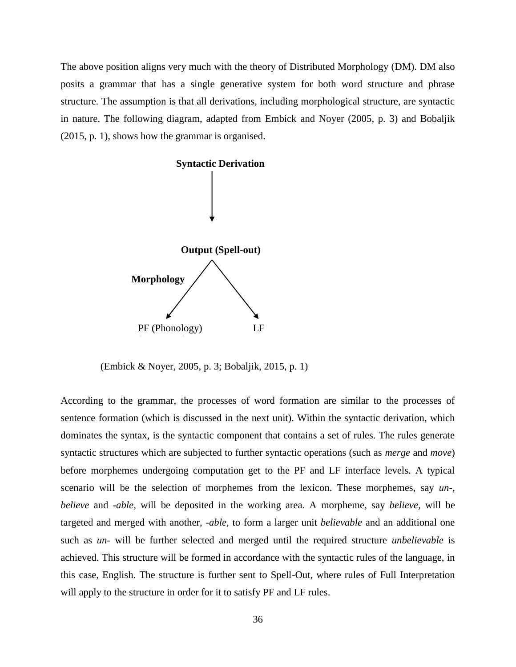The above position aligns very much with the theory of Distributed Morphology (DM). DM also posits a grammar that has a single generative system for both word structure and phrase structure. The assumption is that all derivations, including morphological structure, are syntactic in nature. The following diagram, adapted from Embick and Noyer (2005, p. 3) and Bobaljik (2015, p. 1), shows how the grammar is organised.



(Embick & Noyer, 2005, p. 3; Bobaljik, 2015, p. 1)

According to the grammar, the processes of word formation are similar to the processes of sentence formation (which is discussed in the next unit). Within the syntactic derivation, which dominates the syntax, is the syntactic component that contains a set of rules. The rules generate syntactic structures which are subjected to further syntactic operations (such as *merge* and *move*) before morphemes undergoing computation get to the PF and LF interface levels. A typical scenario will be the selection of morphemes from the lexicon. These morphemes, say *un-, believe* and -*able,* will be deposited in the working area. A morpheme, say *believe,* will be targeted and merged with another, -*able,* to form a larger unit *believable* and an additional one such as *un-* will be further selected and merged until the required structure *unbelievable* is achieved. This structure will be formed in accordance with the syntactic rules of the language, in this case, English. The structure is further sent to Spell-Out, where rules of Full Interpretation will apply to the structure in order for it to satisfy PF and LF rules.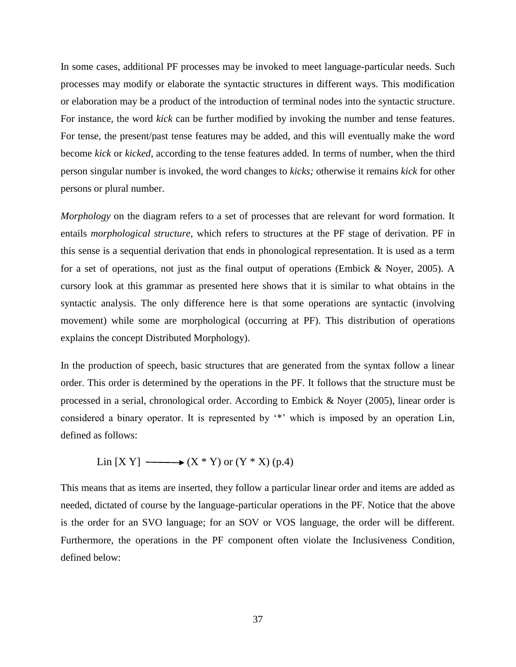In some cases, additional PF processes may be invoked to meet language-particular needs. Such processes may modify or elaborate the syntactic structures in different ways. This modification or elaboration may be a product of the introduction of terminal nodes into the syntactic structure. For instance, the word *kick* can be further modified by invoking the number and tense features*.*  For tense, the present/past tense features may be added, and this will eventually make the word become *kick* or *kicked,* according to the tense features added*.* In terms of number, when the third person singular number is invoked, the word changes to *kicks;* otherwise it remains *kick* for other persons or plural number.

*Morphology* on the diagram refers to a set of processes that are relevant for word formation. It entails *morphological structure*, which refers to structures at the PF stage of derivation. PF in this sense is a sequential derivation that ends in phonological representation. It is used as a term for a set of operations, not just as the final output of operations (Embick & Noyer, 2005). A cursory look at this grammar as presented here shows that it is similar to what obtains in the syntactic analysis. The only difference here is that some operations are syntactic (involving movement) while some are morphological (occurring at PF). This distribution of operations explains the concept Distributed Morphology).

In the production of speech, basic structures that are generated from the syntax follow a linear order. This order is determined by the operations in the PF. It follows that the structure must be processed in a serial, chronological order. According to Embick & Noyer (2005), linear order is considered a binary operator. It is represented by '\*' which is imposed by an operation Lin, defined as follows:

$$
Lin [X Y] \longrightarrow (X * Y) or (Y * X) (p.4)
$$

This means that as items are inserted, they follow a particular linear order and items are added as needed, dictated of course by the language-particular operations in the PF. Notice that the above is the order for an SVO language; for an SOV or VOS language, the order will be different. Furthermore, the operations in the PF component often violate the Inclusiveness Condition, defined below: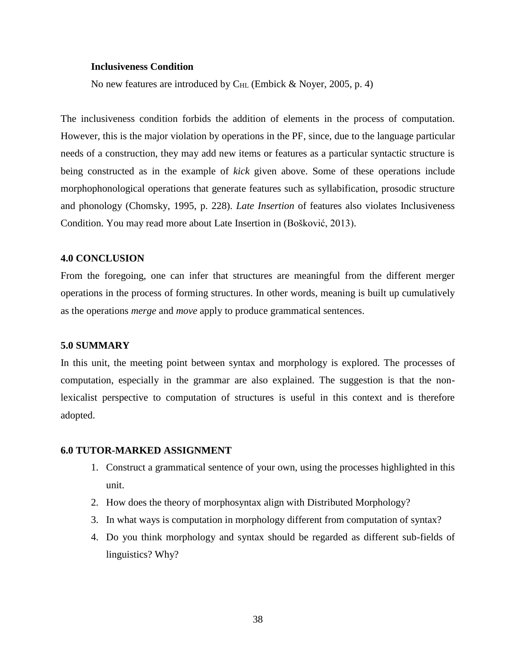#### **Inclusiveness Condition**

No new features are introduced by  $C_{HL}$  (Embick & Noyer, 2005, p. 4)

The inclusiveness condition forbids the addition of elements in the process of computation. However, this is the major violation by operations in the PF, since, due to the language particular needs of a construction, they may add new items or features as a particular syntactic structure is being constructed as in the example of *kick* given above. Some of these operations include morphophonological operations that generate features such as syllabification, prosodic structure and phonology (Chomsky, 1995, p. 228). *Late Insertion* of features also violates Inclusiveness Condition. You may read more about Late Insertion in (Bošković, 2013).

#### **4.0 CONCLUSION**

From the foregoing, one can infer that structures are meaningful from the different merger operations in the process of forming structures. In other words, meaning is built up cumulatively as the operations *merge* and *move* apply to produce grammatical sentences.

#### **5.0 SUMMARY**

In this unit, the meeting point between syntax and morphology is explored. The processes of computation, especially in the grammar are also explained. The suggestion is that the nonlexicalist perspective to computation of structures is useful in this context and is therefore adopted.

## **6.0 TUTOR-MARKED ASSIGNMENT**

- 1. Construct a grammatical sentence of your own, using the processes highlighted in this unit.
- 2. How does the theory of morphosyntax align with Distributed Morphology?
- 3. In what ways is computation in morphology different from computation of syntax?
- 4. Do you think morphology and syntax should be regarded as different sub-fields of linguistics? Why?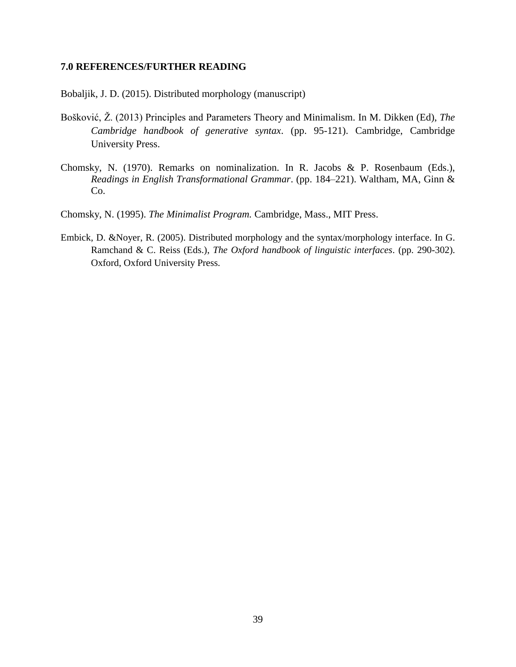### **7.0 REFERENCES/FURTHER READING**

Bobaljik, J. D. (2015). Distributed morphology (manuscript)

- Bošković, Ž. (2013) Principles and Parameters Theory and Minimalism. In M. Dikken (Ed), *The Cambridge handbook of generative syntax*. (pp. 95-121). Cambridge, Cambridge University Press.
- Chomsky, N. (1970). Remarks on nominalization. In R. Jacobs & P. Rosenbaum (Eds.), *Readings in English Transformational Grammar*. (pp. 184–221). Waltham, MA, Ginn & Co.
- Chomsky, N. (1995). *The Minimalist Program.* Cambridge, Mass., MIT Press.
- Embick, D. &Noyer, R. (2005). Distributed morphology and the syntax/morphology interface. In G. Ramchand & C. Reiss (Eds.), *The Oxford handbook of linguistic interfaces*. (pp. 290-302). Oxford, Oxford University Press.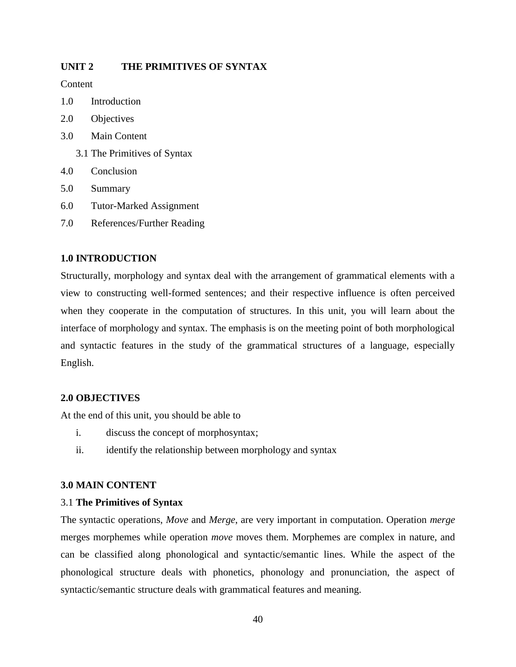## **UNIT 2 THE PRIMITIVES OF SYNTAX**

**Content** 

- 1.0 Introduction
- 2.0 Objectives
- 3.0 Main Content
	- 3.1 The Primitives of Syntax
- 4.0 Conclusion
- 5.0 Summary
- 6.0 Tutor-Marked Assignment
- 7.0 References/Further Reading

## **1.0 INTRODUCTION**

Structurally, morphology and syntax deal with the arrangement of grammatical elements with a view to constructing well-formed sentences; and their respective influence is often perceived when they cooperate in the computation of structures. In this unit, you will learn about the interface of morphology and syntax. The emphasis is on the meeting point of both morphological and syntactic features in the study of the grammatical structures of a language, especially English.

## **2.0 OBJECTIVES**

At the end of this unit, you should be able to

- i. discuss the concept of morphosyntax;
- ii. identify the relationship between morphology and syntax

## **3.0 MAIN CONTENT**

## 3.1 **The Primitives of Syntax**

The syntactic operations, *Move* and *Merge*, are very important in computation. Operation *merge* merges morphemes while operation *move* moves them. Morphemes are complex in nature, and can be classified along phonological and syntactic/semantic lines. While the aspect of the phonological structure deals with phonetics, phonology and pronunciation, the aspect of syntactic/semantic structure deals with grammatical features and meaning.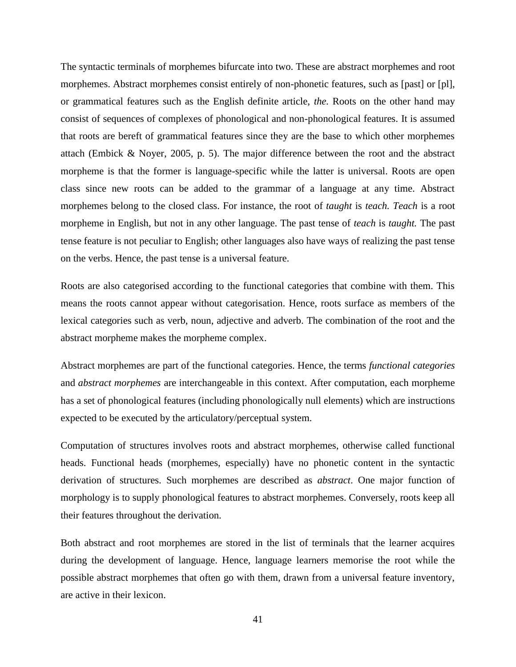The syntactic terminals of morphemes bifurcate into two. These are abstract morphemes and root morphemes. Abstract morphemes consist entirely of non-phonetic features, such as [past] or [pl], or grammatical features such as the English definite article, *the.* Roots on the other hand may consist of sequences of complexes of phonological and non-phonological features. It is assumed that roots are bereft of grammatical features since they are the base to which other morphemes attach (Embick & Noyer, 2005, p. 5). The major difference between the root and the abstract morpheme is that the former is language-specific while the latter is universal. Roots are open class since new roots can be added to the grammar of a language at any time. Abstract morphemes belong to the closed class. For instance, the root of *taught* is *teach. Teach* is a root morpheme in English, but not in any other language. The past tense of *teach* is *taught.* The past tense feature is not peculiar to English; other languages also have ways of realizing the past tense on the verbs. Hence, the past tense is a universal feature.

Roots are also categorised according to the functional categories that combine with them. This means the roots cannot appear without categorisation. Hence, roots surface as members of the lexical categories such as verb, noun, adjective and adverb. The combination of the root and the abstract morpheme makes the morpheme complex.

Abstract morphemes are part of the functional categories. Hence, the terms *functional categories*  and *abstract morphemes* are interchangeable in this context. After computation, each morpheme has a set of phonological features (including phonologically null elements) which are instructions expected to be executed by the articulatory/perceptual system.

Computation of structures involves roots and abstract morphemes, otherwise called functional heads. Functional heads (morphemes, especially) have no phonetic content in the syntactic derivation of structures. Such morphemes are described as *abstract*. One major function of morphology is to supply phonological features to abstract morphemes. Conversely, roots keep all their features throughout the derivation.

Both abstract and root morphemes are stored in the list of terminals that the learner acquires during the development of language. Hence, language learners memorise the root while the possible abstract morphemes that often go with them, drawn from a universal feature inventory, are active in their lexicon.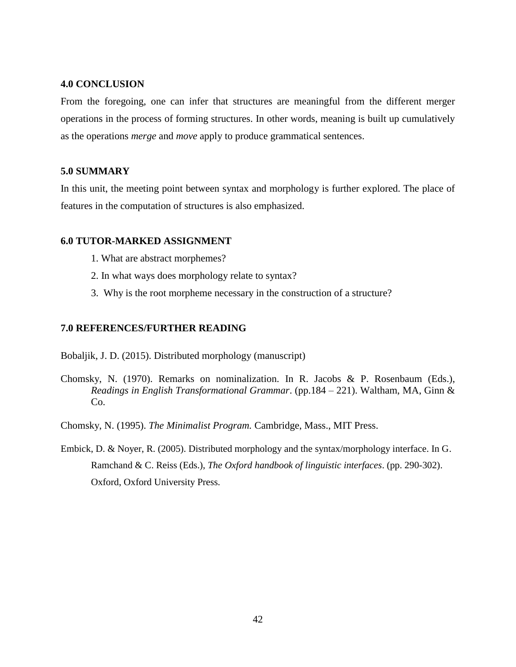## **4.0 CONCLUSION**

From the foregoing, one can infer that structures are meaningful from the different merger operations in the process of forming structures. In other words, meaning is built up cumulatively as the operations *merge* and *move* apply to produce grammatical sentences.

## **5.0 SUMMARY**

In this unit, the meeting point between syntax and morphology is further explored. The place of features in the computation of structures is also emphasized.

## **6.0 TUTOR-MARKED ASSIGNMENT**

- 1. What are abstract morphemes?
- 2. In what ways does morphology relate to syntax?
- 3. Why is the root morpheme necessary in the construction of a structure?

## **7.0 REFERENCES/FURTHER READING**

Bobaljik, J. D. (2015). Distributed morphology (manuscript)

- Chomsky, N. (1970). Remarks on nominalization. In R. Jacobs & P. Rosenbaum (Eds.), *Readings in English Transformational Grammar*. (pp.184 – 221). Waltham, MA, Ginn & Co.
- Chomsky, N. (1995). *The Minimalist Program.* Cambridge, Mass., MIT Press.
- Embick, D. & Noyer, R. (2005). Distributed morphology and the syntax/morphology interface. In G. Ramchand & C. Reiss (Eds.), *The Oxford handbook of linguistic interfaces*. (pp. 290-302). Oxford, Oxford University Press.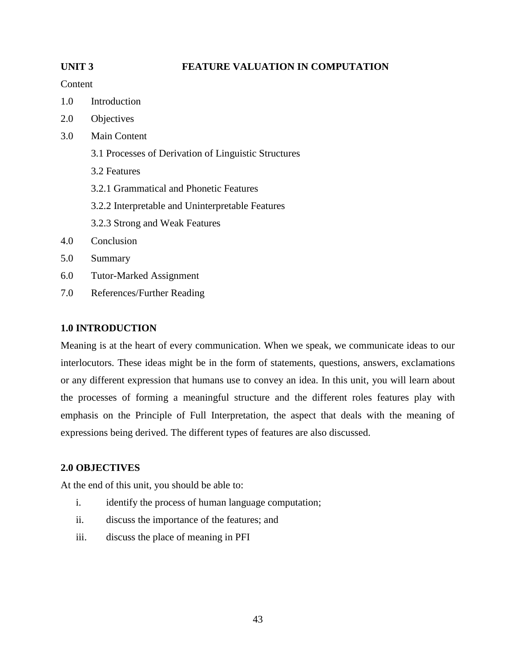## **UNIT 3 FEATURE VALUATION IN COMPUTATION**

## Content

- 1.0 Introduction
- 2.0 Objectives
- 3.0 Main Content
	- 3.1 Processes of Derivation of Linguistic Structures
	- 3.2 Features
	- 3.2.1 Grammatical and Phonetic Features
	- 3.2.2 Interpretable and Uninterpretable Features
	- 3.2.3 Strong and Weak Features
- 4.0 Conclusion
- 5.0 Summary
- 6.0 Tutor-Marked Assignment
- 7.0 References/Further Reading

## **1.0 INTRODUCTION**

Meaning is at the heart of every communication. When we speak, we communicate ideas to our interlocutors. These ideas might be in the form of statements, questions, answers, exclamations or any different expression that humans use to convey an idea. In this unit, you will learn about the processes of forming a meaningful structure and the different roles features play with emphasis on the Principle of Full Interpretation, the aspect that deals with the meaning of expressions being derived. The different types of features are also discussed.

## **2.0 OBJECTIVES**

At the end of this unit, you should be able to:

- i. identify the process of human language computation;
- ii. discuss the importance of the features; and
- iii. discuss the place of meaning in PFI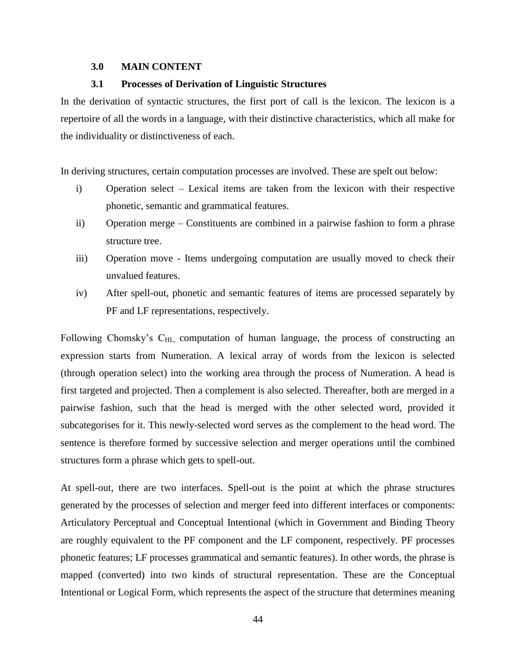## **3.0 MAIN CONTENT**

## **3.1 Processes of Derivation of Linguistic Structures**

In the derivation of syntactic structures, the first port of call is the lexicon. The lexicon is a repertoire of all the words in a language, with their distinctive characteristics, which all make for the individuality or distinctiveness of each.

In deriving structures, certain computation processes are involved. These are spelt out below:

- i) Operation select Lexical items are taken from the lexicon with their respective phonetic, semantic and grammatical features.
- ii) Operation merge Constituents are combined in a pairwise fashion to form a phrase structure tree.
- iii) Operation move Items undergoing computation are usually moved to check their unvalued features.
- iv) After spell-out, phonetic and semantic features of items are processed separately by PF and LF representations, respectively.

Following Chomsky's C<sub>HL</sub>, computation of human language, the process of constructing an expression starts from Numeration. A lexical array of words from the lexicon is selected (through operation select) into the working area through the process of Numeration. A head is first targeted and projected. Then a complement is also selected. Thereafter, both are merged in a pairwise fashion, such that the head is merged with the other selected word, provided it subcategorises for it. This newly-selected word serves as the complement to the head word. The sentence is therefore formed by successive selection and merger operations until the combined structures form a phrase which gets to spell-out.

At spell-out, there are two interfaces. Spell-out is the point at which the phrase structures generated by the processes of selection and merger feed into different interfaces or components: Articulatory Perceptual and Conceptual Intentional (which in Government and Binding Theory are roughly equivalent to the PF component and the LF component, respectively. PF processes phonetic features; LF processes grammatical and semantic features). In other words, the phrase is mapped (converted) into two kinds of structural representation. These are the Conceptual Intentional or Logical Form, which represents the aspect of the structure that determines meaning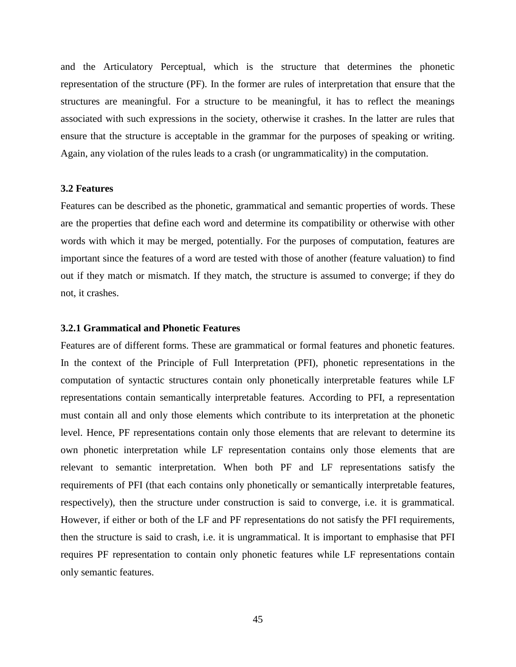and the Articulatory Perceptual, which is the structure that determines the phonetic representation of the structure (PF). In the former are rules of interpretation that ensure that the structures are meaningful. For a structure to be meaningful, it has to reflect the meanings associated with such expressions in the society, otherwise it crashes. In the latter are rules that ensure that the structure is acceptable in the grammar for the purposes of speaking or writing. Again, any violation of the rules leads to a crash (or ungrammaticality) in the computation.

#### **3.2 Features**

Features can be described as the phonetic, grammatical and semantic properties of words. These are the properties that define each word and determine its compatibility or otherwise with other words with which it may be merged, potentially. For the purposes of computation, features are important since the features of a word are tested with those of another (feature valuation) to find out if they match or mismatch. If they match, the structure is assumed to converge; if they do not, it crashes.

#### **3.2.1 Grammatical and Phonetic Features**

Features are of different forms. These are grammatical or formal features and phonetic features. In the context of the Principle of Full Interpretation (PFI), phonetic representations in the computation of syntactic structures contain only phonetically interpretable features while LF representations contain semantically interpretable features. According to PFI, a representation must contain all and only those elements which contribute to its interpretation at the phonetic level. Hence, PF representations contain only those elements that are relevant to determine its own phonetic interpretation while LF representation contains only those elements that are relevant to semantic interpretation. When both PF and LF representations satisfy the requirements of PFI (that each contains only phonetically or semantically interpretable features, respectively), then the structure under construction is said to converge, i.e. it is grammatical. However, if either or both of the LF and PF representations do not satisfy the PFI requirements, then the structure is said to crash, i.e. it is ungrammatical. It is important to emphasise that PFI requires PF representation to contain only phonetic features while LF representations contain only semantic features.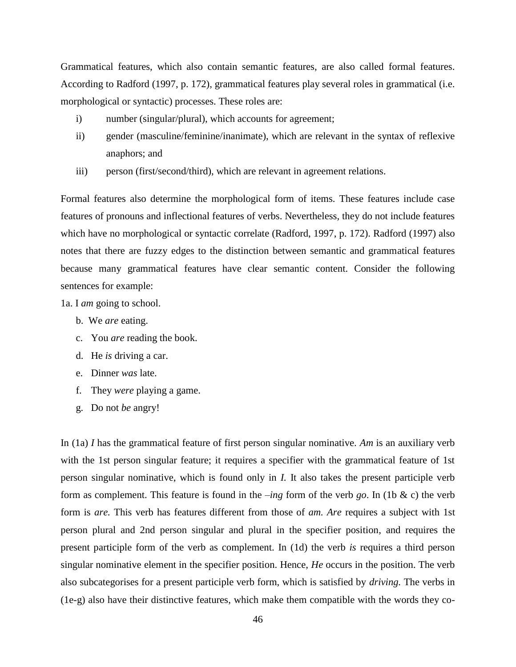Grammatical features, which also contain semantic features, are also called formal features. According to Radford (1997, p. 172), grammatical features play several roles in grammatical (i.e. morphological or syntactic) processes. These roles are:

- i) number (singular/plural), which accounts for agreement;
- ii) gender (masculine/feminine/inanimate), which are relevant in the syntax of reflexive anaphors; and
- iii) person (first/second/third), which are relevant in agreement relations.

Formal features also determine the morphological form of items. These features include case features of pronouns and inflectional features of verbs. Nevertheless, they do not include features which have no morphological or syntactic correlate (Radford, 1997, p. 172). Radford (1997) also notes that there are fuzzy edges to the distinction between semantic and grammatical features because many grammatical features have clear semantic content. Consider the following sentences for example:

1a. I *am* going to school.

- b. We *are* eating.
- c. You *are* reading the book.
- d. He *is* driving a car.
- e. Dinner *was* late.
- f. They *were* playing a game.
- g. Do not *be* angry!

In (1a) *I* has the grammatical feature of first person singular nominative. *Am* is an auxiliary verb with the 1st person singular feature; it requires a specifier with the grammatical feature of 1st person singular nominative, which is found only in *I.* It also takes the present participle verb form as complement. This feature is found in the –*ing* form of the verb *go*. In (1b & c) the verb form is *are.* This verb has features different from those of *am. Are* requires a subject with 1st person plural and 2nd person singular and plural in the specifier position, and requires the present participle form of the verb as complement. In (1d) the verb *is* requires a third person singular nominative element in the specifier position. Hence, *He* occurs in the position. The verb also subcategorises for a present participle verb form, which is satisfied by *driving.* The verbs in (1e-g) also have their distinctive features, which make them compatible with the words they co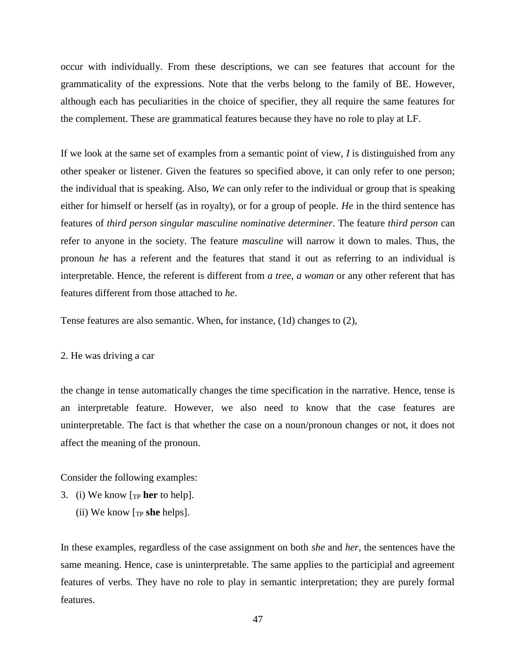occur with individually. From these descriptions, we can see features that account for the grammaticality of the expressions. Note that the verbs belong to the family of BE. However, although each has peculiarities in the choice of specifier, they all require the same features for the complement. These are grammatical features because they have no role to play at LF.

If we look at the same set of examples from a semantic point of view, *I* is distinguished from any other speaker or listener. Given the features so specified above, it can only refer to one person; the individual that is speaking. Also, *We* can only refer to the individual or group that is speaking either for himself or herself (as in royalty), or for a group of people. *He* in the third sentence has features of *third person singular masculine nominative determiner*. The feature *third person* can refer to anyone in the society. The feature *masculine* will narrow it down to males. Thus, the pronoun *he* has a referent and the features that stand it out as referring to an individual is interpretable. Hence, the referent is different from *a tree*, *a woman* or any other referent that has features different from those attached to *he*.

Tense features are also semantic. When, for instance, (1d) changes to (2),

#### 2. He was driving a car

the change in tense automatically changes the time specification in the narrative. Hence, tense is an interpretable feature. However, we also need to know that the case features are uninterpretable. The fact is that whether the case on a noun/pronoun changes or not, it does not affect the meaning of the pronoun.

Consider the following examples:

- 3. (i) We know [TP **her** to help].
	- (ii) We know [TP **she** helps].

In these examples, regardless of the case assignment on both *she* and *her*, the sentences have the same meaning. Hence, case is uninterpretable. The same applies to the participial and agreement features of verbs. They have no role to play in semantic interpretation; they are purely formal features.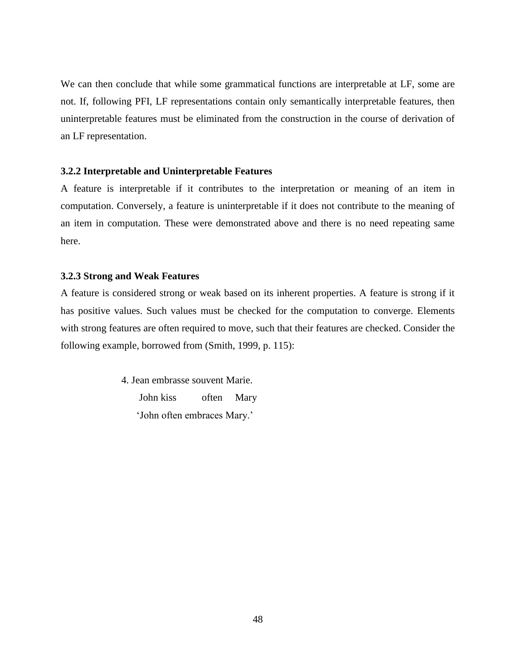We can then conclude that while some grammatical functions are interpretable at LF, some are not. If, following PFI, LF representations contain only semantically interpretable features, then uninterpretable features must be eliminated from the construction in the course of derivation of an LF representation.

## **3.2.2 Interpretable and Uninterpretable Features**

A feature is interpretable if it contributes to the interpretation or meaning of an item in computation. Conversely, a feature is uninterpretable if it does not contribute to the meaning of an item in computation. These were demonstrated above and there is no need repeating same here.

## **3.2.3 Strong and Weak Features**

A feature is considered strong or weak based on its inherent properties. A feature is strong if it has positive values. Such values must be checked for the computation to converge. Elements with strong features are often required to move, such that their features are checked. Consider the following example, borrowed from (Smith, 1999, p. 115):

> 4. Jean embrasse souvent Marie. John kiss often Mary 'John often embraces Mary.'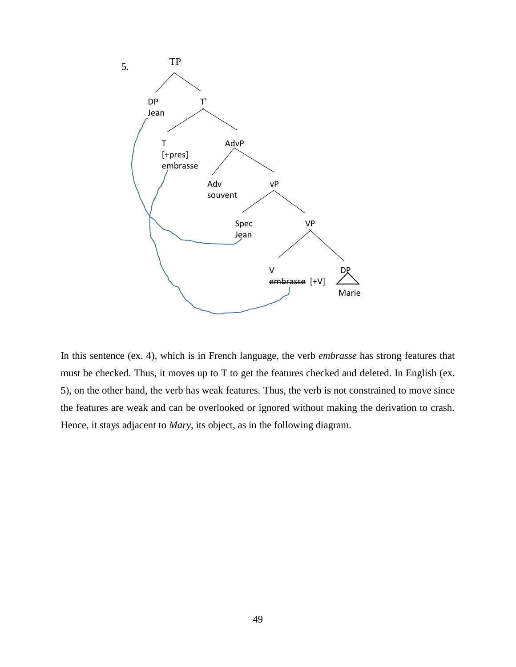

In this sentence (ex. 4), which is in French language, the verb *embrasse* has strong features that must be checked. Thus, it moves up to T to get the features checked and deleted. In English (ex. 5), on the other hand, the verb has weak features. Thus, the verb is not constrained to move since the features are weak and can be overlooked or ignored without making the derivation to crash. Hence, it stays adjacent to *Mary*, its object, as in the following diagram.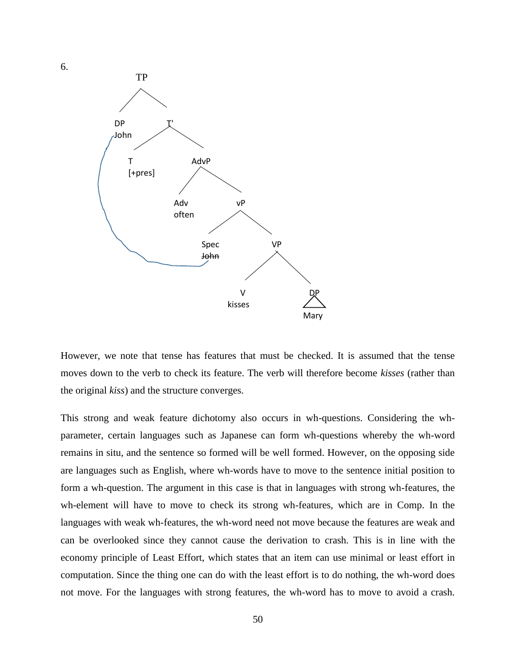

6.

However, we note that tense has features that must be checked. It is assumed that the tense moves down to the verb to check its feature. The verb will therefore become *kisses* (rather than the original *kiss*) and the structure converges.

This strong and weak feature dichotomy also occurs in wh-questions. Considering the whparameter, certain languages such as Japanese can form wh-questions whereby the wh-word remains in situ, and the sentence so formed will be well formed. However, on the opposing side are languages such as English, where wh-words have to move to the sentence initial position to form a wh-question. The argument in this case is that in languages with strong wh-features, the wh-element will have to move to check its strong wh-features, which are in Comp. In the languages with weak wh-features, the wh-word need not move because the features are weak and can be overlooked since they cannot cause the derivation to crash. This is in line with the economy principle of Least Effort, which states that an item can use minimal or least effort in computation. Since the thing one can do with the least effort is to do nothing, the wh-word does not move. For the languages with strong features, the wh-word has to move to avoid a crash.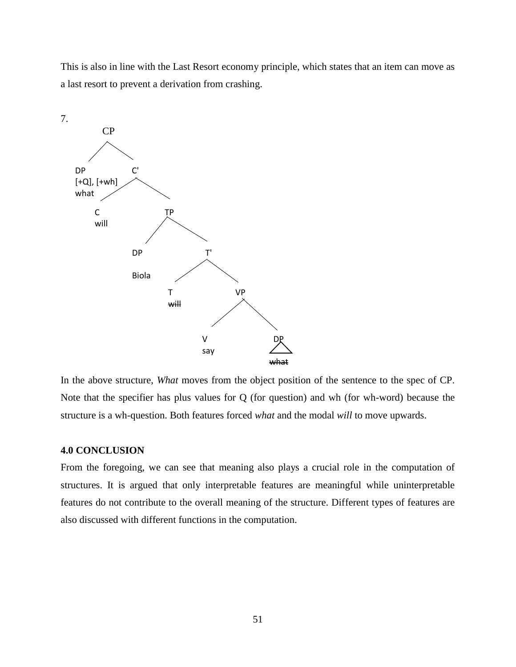This is also in line with the Last Resort economy principle, which states that an item can move as a last resort to prevent a derivation from crashing.



In the above structure, *What* moves from the object position of the sentence to the spec of CP. Note that the specifier has plus values for Q (for question) and wh (for wh-word) because the structure is a wh-question. Both features forced *what* and the modal *will* to move upwards.

## **4.0 CONCLUSION**

From the foregoing, we can see that meaning also plays a crucial role in the computation of structures. It is argued that only interpretable features are meaningful while uninterpretable features do not contribute to the overall meaning of the structure. Different types of features are also discussed with different functions in the computation.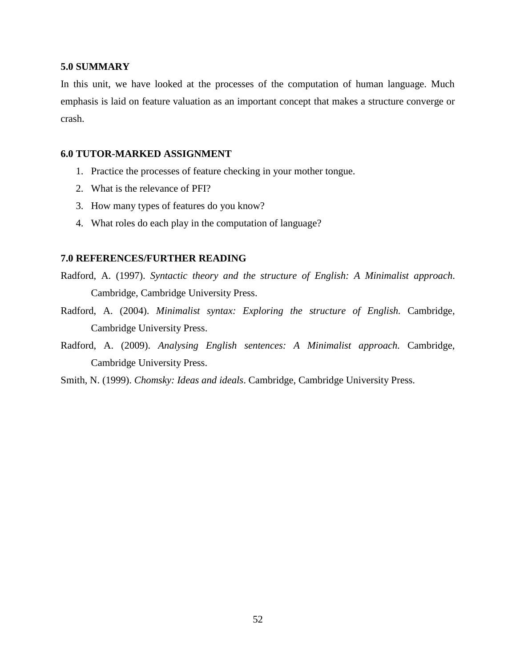## **5.0 SUMMARY**

In this unit, we have looked at the processes of the computation of human language. Much emphasis is laid on feature valuation as an important concept that makes a structure converge or crash.

## **6.0 TUTOR-MARKED ASSIGNMENT**

- 1. Practice the processes of feature checking in your mother tongue.
- 2. What is the relevance of PFI?
- 3. How many types of features do you know?
- 4. What roles do each play in the computation of language?

#### **7.0 REFERENCES/FURTHER READING**

- Radford, A. (1997). *Syntactic theory and the structure of English: A Minimalist approach*. Cambridge, Cambridge University Press.
- Radford, A. (2004). *Minimalist syntax: Exploring the structure of English.* Cambridge, Cambridge University Press.
- Radford, A. (2009). *Analysing English sentences: A Minimalist approach.* Cambridge, Cambridge University Press.
- Smith, N. (1999). *Chomsky: Ideas and ideals*. Cambridge, Cambridge University Press.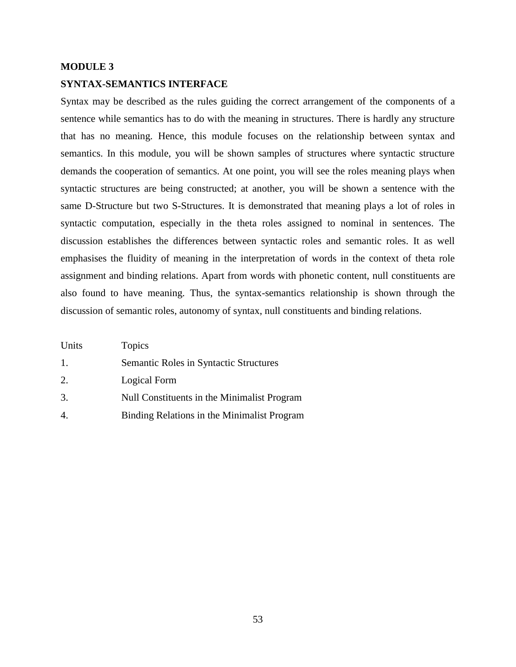# **MODULE 3 SYNTAX-SEMANTICS INTERFACE**

Syntax may be described as the rules guiding the correct arrangement of the components of a sentence while semantics has to do with the meaning in structures. There is hardly any structure that has no meaning. Hence, this module focuses on the relationship between syntax and semantics. In this module, you will be shown samples of structures where syntactic structure demands the cooperation of semantics. At one point, you will see the roles meaning plays when syntactic structures are being constructed; at another, you will be shown a sentence with the same D-Structure but two S-Structures. It is demonstrated that meaning plays a lot of roles in syntactic computation, especially in the theta roles assigned to nominal in sentences. The discussion establishes the differences between syntactic roles and semantic roles. It as well emphasises the fluidity of meaning in the interpretation of words in the context of theta role assignment and binding relations. Apart from words with phonetic content, null constituents are also found to have meaning. Thus, the syntax-semantics relationship is shown through the discussion of semantic roles, autonomy of syntax, null constituents and binding relations.

| Units          | <b>Topics</b>                                 |
|----------------|-----------------------------------------------|
| $\mathbf{1}$ . | <b>Semantic Roles in Syntactic Structures</b> |
| 2.             | Logical Form                                  |
| 3.             | Null Constituents in the Minimalist Program   |

- 
- 4. Binding Relations in the Minimalist Program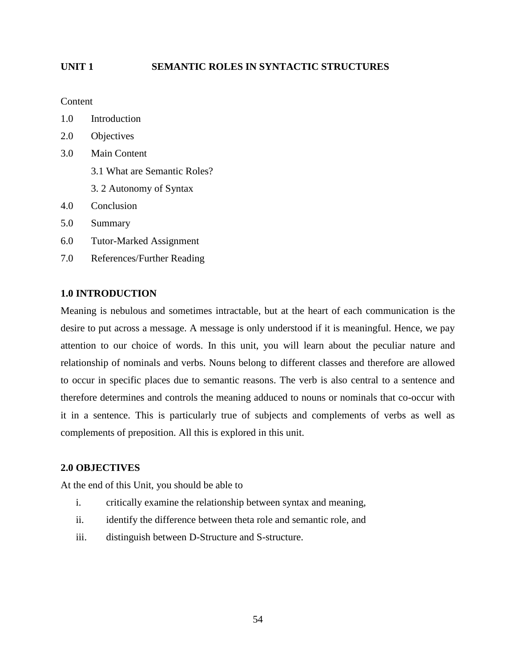## **UNIT 1 SEMANTIC ROLES IN SYNTACTIC STRUCTURES**

Content

- 1.0 Introduction
- 2.0 Objectives
- 3.0 Main Content
	- 3.1 What are Semantic Roles?
	- 3. 2 Autonomy of Syntax
- 4.0 Conclusion
- 5.0 Summary
- 6.0 Tutor-Marked Assignment
- 7.0 References/Further Reading

## **1.0 INTRODUCTION**

Meaning is nebulous and sometimes intractable, but at the heart of each communication is the desire to put across a message. A message is only understood if it is meaningful. Hence, we pay attention to our choice of words. In this unit, you will learn about the peculiar nature and relationship of nominals and verbs. Nouns belong to different classes and therefore are allowed to occur in specific places due to semantic reasons. The verb is also central to a sentence and therefore determines and controls the meaning adduced to nouns or nominals that co-occur with it in a sentence. This is particularly true of subjects and complements of verbs as well as complements of preposition. All this is explored in this unit.

## **2.0 OBJECTIVES**

At the end of this Unit, you should be able to

- i. critically examine the relationship between syntax and meaning,
- ii. identify the difference between theta role and semantic role, and
- iii. distinguish between D-Structure and S-structure.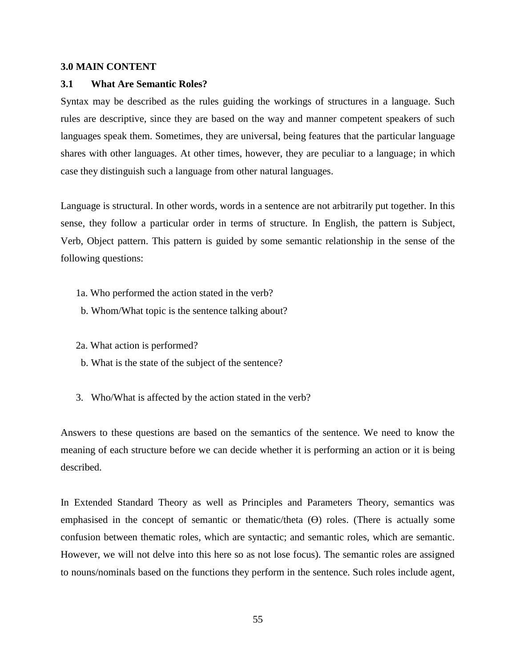## **3.0 MAIN CONTENT**

#### **3.1 What Are Semantic Roles?**

Syntax may be described as the rules guiding the workings of structures in a language. Such rules are descriptive, since they are based on the way and manner competent speakers of such languages speak them. Sometimes, they are universal, being features that the particular language shares with other languages. At other times, however, they are peculiar to a language; in which case they distinguish such a language from other natural languages.

Language is structural. In other words, words in a sentence are not arbitrarily put together. In this sense, they follow a particular order in terms of structure. In English, the pattern is Subject, Verb, Object pattern. This pattern is guided by some semantic relationship in the sense of the following questions:

- 1a. Who performed the action stated in the verb?
- b. Whom/What topic is the sentence talking about?
- 2a. What action is performed?
- b. What is the state of the subject of the sentence?
- 3. Who/What is affected by the action stated in the verb?

Answers to these questions are based on the semantics of the sentence. We need to know the meaning of each structure before we can decide whether it is performing an action or it is being described.

In Extended Standard Theory as well as Principles and Parameters Theory, semantics was emphasised in the concept of semantic or thematic/theta (Ө) roles. (There is actually some confusion between thematic roles, which are syntactic; and semantic roles, which are semantic. However, we will not delve into this here so as not lose focus). The semantic roles are assigned to nouns/nominals based on the functions they perform in the sentence. Such roles include agent,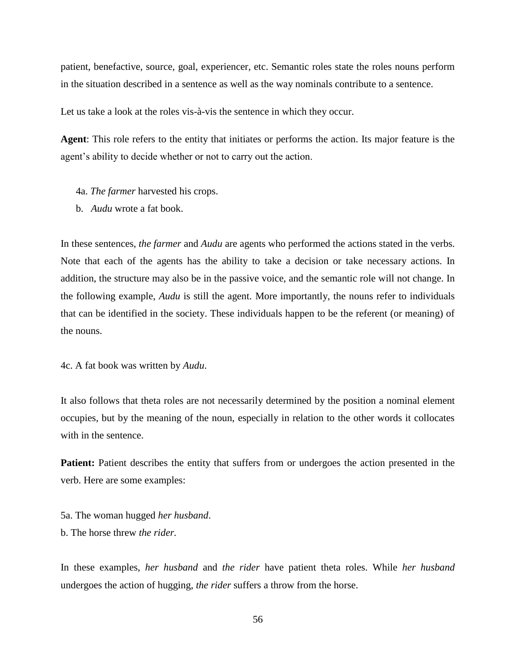patient, benefactive, source, goal, experiencer, etc. Semantic roles state the roles nouns perform in the situation described in a sentence as well as the way nominals contribute to a sentence.

Let us take a look at the roles vis-à-vis the sentence in which they occur.

**Agent**: This role refers to the entity that initiates or performs the action. Its major feature is the agent's ability to decide whether or not to carry out the action.

- 4a. *The farmer* harvested his crops.
- b. *Audu* wrote a fat book.

In these sentences, *the farmer* and *Audu* are agents who performed the actions stated in the verbs. Note that each of the agents has the ability to take a decision or take necessary actions. In addition, the structure may also be in the passive voice, and the semantic role will not change. In the following example, *Audu* is still the agent. More importantly, the nouns refer to individuals that can be identified in the society. These individuals happen to be the referent (or meaning) of the nouns.

4c. A fat book was written by *Audu*.

It also follows that theta roles are not necessarily determined by the position a nominal element occupies, but by the meaning of the noun, especially in relation to the other words it collocates with in the sentence.

Patient: Patient describes the entity that suffers from or undergoes the action presented in the verb. Here are some examples:

5a. The woman hugged *her husband*. b. The horse threw *the rider.*

In these examples, *her husband* and *the rider* have patient theta roles. While *her husband* undergoes the action of hugging, *the rider* suffers a throw from the horse.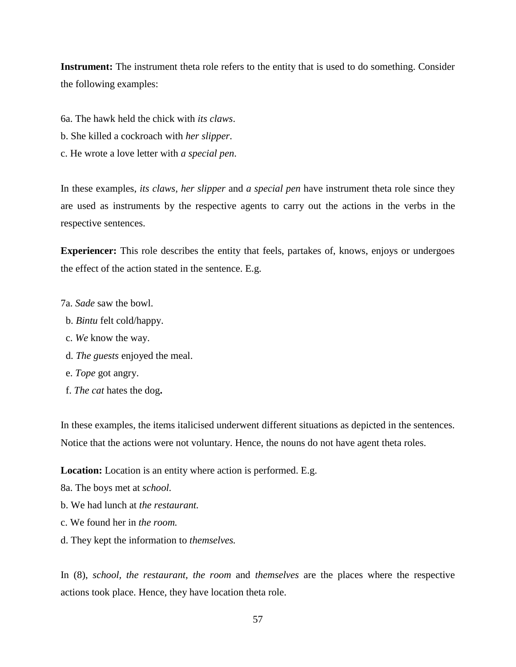**Instrument:** The instrument theta role refers to the entity that is used to do something. Consider the following examples:

- 6a. The hawk held the chick with *its claws*.
- b. She killed a cockroach with *her slipper*.
- c. He wrote a love letter with *a special pen*.

In these examples, *its claws, her slipper* and *a special pen* have instrument theta role since they are used as instruments by the respective agents to carry out the actions in the verbs in the respective sentences.

**Experiencer:** This role describes the entity that feels, partakes of, knows, enjoys or undergoes the effect of the action stated in the sentence. E.g.

- 7a. *Sade* saw the bowl.
- b. *Bintu* felt cold/happy.
- c. *We* know the way.
- d. *The guests* enjoyed the meal.
- e. *Tope* got angry.
- f. *The cat* hates the dog**.**

In these examples, the items italicised underwent different situations as depicted in the sentences. Notice that the actions were not voluntary. Hence, the nouns do not have agent theta roles.

**Location:** Location is an entity where action is performed. E.g.

8a. The boys met at *school.*

- b. We had lunch at *the restaurant.*
- c. We found her in *the room.*
- d. They kept the information to *themselves.*

In (8), *school, the restaurant, the room* and *themselves* are the places where the respective actions took place. Hence, they have location theta role.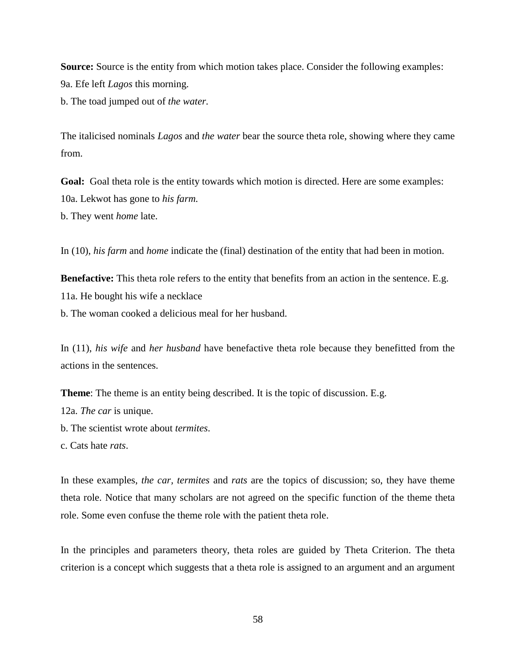**Source:** Source is the entity from which motion takes place. Consider the following examples: 9a. Efe left *Lagos* this morning.

b. The toad jumped out of *the water.*

The italicised nominals *Lagos* and *the water* bear the source theta role, showing where they came from.

Goal: Goal theta role is the entity towards which motion is directed. Here are some examples: 10a. Lekwot has gone to *his farm.* b. They went *home* late.

In (10), *his farm* and *home* indicate the (final) destination of the entity that had been in motion.

**Benefactive:** This theta role refers to the entity that benefits from an action in the sentence. E.g. 11a. He bought his wife a necklace

b. The woman cooked a delicious meal for her husband.

In (11), *his wife* and *her husband* have benefactive theta role because they benefitted from the actions in the sentences.

**Theme**: The theme is an entity being described. It is the topic of discussion. E.g.

12a. *The car* is unique.

b. The scientist wrote about *termites*.

c. Cats hate *rats*.

In these examples, *the car, termites* and *rats* are the topics of discussion; so, they have theme theta role. Notice that many scholars are not agreed on the specific function of the theme theta role. Some even confuse the theme role with the patient theta role.

In the principles and parameters theory, theta roles are guided by Theta Criterion. The theta criterion is a concept which suggests that a theta role is assigned to an argument and an argument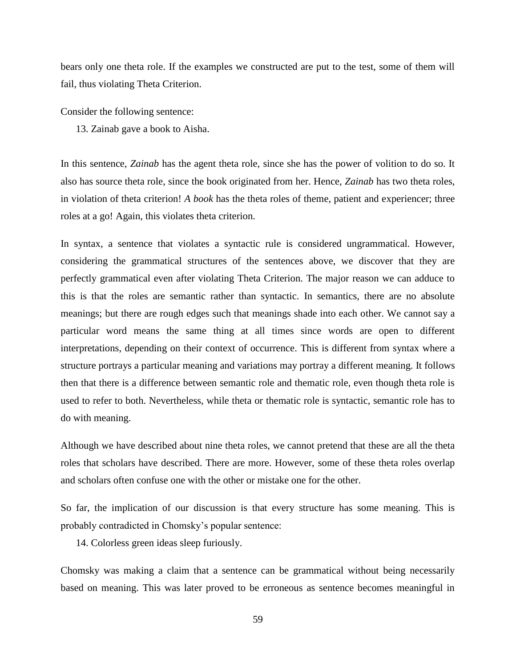bears only one theta role. If the examples we constructed are put to the test, some of them will fail, thus violating Theta Criterion.

Consider the following sentence:

13. Zainab gave a book to Aisha.

In this sentence, *Zainab* has the agent theta role, since she has the power of volition to do so. It also has source theta role, since the book originated from her. Hence, *Zainab* has two theta roles, in violation of theta criterion! *A book* has the theta roles of theme, patient and experiencer; three roles at a go! Again, this violates theta criterion.

In syntax, a sentence that violates a syntactic rule is considered ungrammatical. However, considering the grammatical structures of the sentences above, we discover that they are perfectly grammatical even after violating Theta Criterion. The major reason we can adduce to this is that the roles are semantic rather than syntactic. In semantics, there are no absolute meanings; but there are rough edges such that meanings shade into each other. We cannot say a particular word means the same thing at all times since words are open to different interpretations, depending on their context of occurrence. This is different from syntax where a structure portrays a particular meaning and variations may portray a different meaning. It follows then that there is a difference between semantic role and thematic role, even though theta role is used to refer to both. Nevertheless, while theta or thematic role is syntactic, semantic role has to do with meaning.

Although we have described about nine theta roles, we cannot pretend that these are all the theta roles that scholars have described. There are more. However, some of these theta roles overlap and scholars often confuse one with the other or mistake one for the other.

So far, the implication of our discussion is that every structure has some meaning. This is probably contradicted in Chomsky's popular sentence:

14. Colorless green ideas sleep furiously.

Chomsky was making a claim that a sentence can be grammatical without being necessarily based on meaning. This was later proved to be erroneous as sentence becomes meaningful in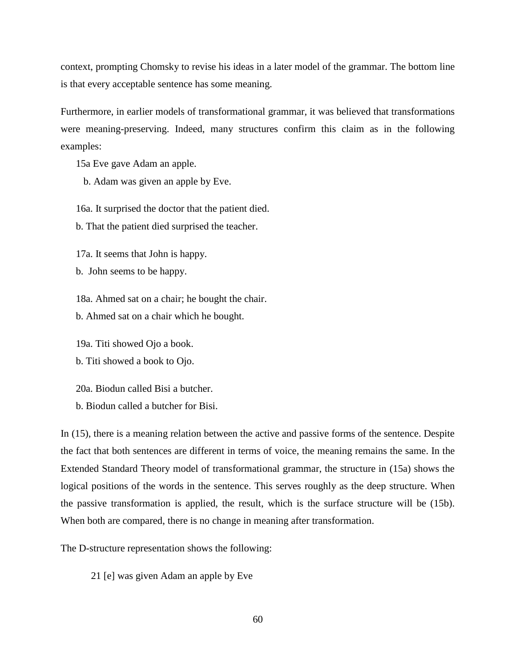context, prompting Chomsky to revise his ideas in a later model of the grammar. The bottom line is that every acceptable sentence has some meaning.

Furthermore, in earlier models of transformational grammar, it was believed that transformations were meaning-preserving. Indeed, many structures confirm this claim as in the following examples:

15a Eve gave Adam an apple.

b. Adam was given an apple by Eve.

16a. It surprised the doctor that the patient died.

b. That the patient died surprised the teacher.

17a. It seems that John is happy.

b. John seems to be happy.

18a. Ahmed sat on a chair; he bought the chair.

b. Ahmed sat on a chair which he bought.

19a. Titi showed Ojo a book.

b. Titi showed a book to Ojo.

20a. Biodun called Bisi a butcher.

b. Biodun called a butcher for Bisi.

In (15), there is a meaning relation between the active and passive forms of the sentence. Despite the fact that both sentences are different in terms of voice, the meaning remains the same. In the Extended Standard Theory model of transformational grammar, the structure in (15a) shows the logical positions of the words in the sentence. This serves roughly as the deep structure. When the passive transformation is applied, the result, which is the surface structure will be (15b). When both are compared, there is no change in meaning after transformation.

The D-structure representation shows the following:

21 [e] was given Adam an apple by Eve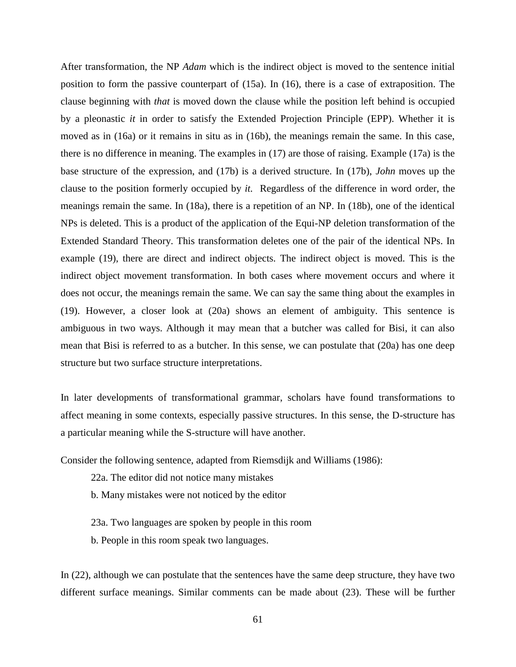After transformation, the NP *Adam* which is the indirect object is moved to the sentence initial position to form the passive counterpart of (15a). In (16), there is a case of extraposition. The clause beginning with *that* is moved down the clause while the position left behind is occupied by a pleonastic *it* in order to satisfy the Extended Projection Principle (EPP). Whether it is moved as in (16a) or it remains in situ as in (16b), the meanings remain the same. In this case, there is no difference in meaning. The examples in (17) are those of raising. Example (17a) is the base structure of the expression, and (17b) is a derived structure. In (17b), *John* moves up the clause to the position formerly occupied by *it.* Regardless of the difference in word order, the meanings remain the same. In (18a), there is a repetition of an NP. In (18b), one of the identical NPs is deleted. This is a product of the application of the Equi-NP deletion transformation of the Extended Standard Theory. This transformation deletes one of the pair of the identical NPs. In example (19), there are direct and indirect objects. The indirect object is moved. This is the indirect object movement transformation. In both cases where movement occurs and where it does not occur, the meanings remain the same. We can say the same thing about the examples in (19). However, a closer look at (20a) shows an element of ambiguity. This sentence is ambiguous in two ways. Although it may mean that a butcher was called for Bisi, it can also mean that Bisi is referred to as a butcher. In this sense, we can postulate that (20a) has one deep structure but two surface structure interpretations.

In later developments of transformational grammar, scholars have found transformations to affect meaning in some contexts, especially passive structures. In this sense, the D-structure has a particular meaning while the S-structure will have another.

Consider the following sentence, adapted from Riemsdijk and Williams (1986):

22a. The editor did not notice many mistakes

b. Many mistakes were not noticed by the editor

23a. Two languages are spoken by people in this room

b. People in this room speak two languages.

In (22), although we can postulate that the sentences have the same deep structure, they have two different surface meanings. Similar comments can be made about (23). These will be further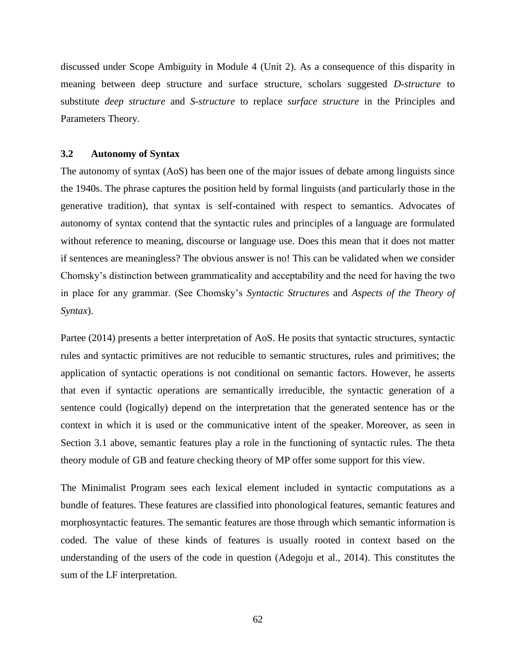discussed under Scope Ambiguity in Module 4 (Unit 2). As a consequence of this disparity in meaning between deep structure and surface structure, scholars suggested *D-structure* to substitute *deep structure* and *S-structure* to replace *surface structure* in the Principles and Parameters Theory.

## **3.2 Autonomy of Syntax**

The autonomy of syntax (AoS) has been one of the major issues of debate among linguists since the 1940s. The phrase captures the position held by formal linguists (and particularly those in the generative tradition), that syntax is self-contained with respect to semantics. Advocates of autonomy of syntax contend that the syntactic rules and principles of a language are formulated without reference to meaning, discourse or language use. Does this mean that it does not matter if sentences are meaningless? The obvious answer is no! This can be validated when we consider Chomsky's distinction between grammaticality and acceptability and the need for having the two in place for any grammar. (See Chomsky's *Syntactic Structures* and *Aspects of the Theory of Syntax*).

Partee (2014) presents a better interpretation of AoS. He posits that syntactic structures, syntactic rules and syntactic primitives are not reducible to semantic structures, rules and primitives; the application of syntactic operations is not conditional on semantic factors. However, he asserts that even if syntactic operations are semantically irreducible, the syntactic generation of a sentence could (logically) depend on the interpretation that the generated sentence has or the context in which it is used or the communicative intent of the speaker. Moreover, as seen in Section 3.1 above, semantic features play a role in the functioning of syntactic rules. The theta theory module of GB and feature checking theory of MP offer some support for this view.

The Minimalist Program sees each lexical element included in syntactic computations as a bundle of features. These features are classified into phonological features, semantic features and morphosyntactic features. The semantic features are those through which semantic information is coded. The value of these kinds of features is usually rooted in context based on the understanding of the users of the code in question (Adegoju et al., 2014). This constitutes the sum of the LF interpretation.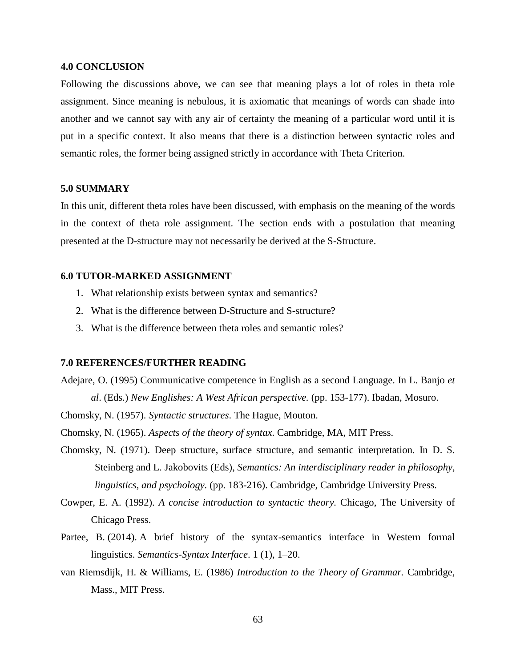## **4.0 CONCLUSION**

Following the discussions above, we can see that meaning plays a lot of roles in theta role assignment. Since meaning is nebulous, it is axiomatic that meanings of words can shade into another and we cannot say with any air of certainty the meaning of a particular word until it is put in a specific context. It also means that there is a distinction between syntactic roles and semantic roles, the former being assigned strictly in accordance with Theta Criterion.

## **5.0 SUMMARY**

In this unit, different theta roles have been discussed, with emphasis on the meaning of the words in the context of theta role assignment. The section ends with a postulation that meaning presented at the D-structure may not necessarily be derived at the S-Structure.

## **6.0 TUTOR-MARKED ASSIGNMENT**

- 1. What relationship exists between syntax and semantics?
- 2. What is the difference between D-Structure and S-structure?
- 3. What is the difference between theta roles and semantic roles?

### **7.0 REFERENCES/FURTHER READING**

Adejare, O. (1995) Communicative competence in English as a second Language. In L. Banjo *et* 

*al*. (Eds.) *New Englishes: A West African perspective.* (pp. 153-177). Ibadan, Mosuro.

Chomsky, N. (1957). *Syntactic structures*. The Hague, Mouton.

Chomsky, N. (1965). *Aspects of the theory of syntax*. Cambridge, MA, MIT Press.

- Chomsky, N. (1971). Deep structure, surface structure, and semantic interpretation. In D. S. Steinberg and L. Jakobovits (Eds), *Semantics: An interdisciplinary reader in philosophy, linguistics, and psychology.* (pp. 183-216). Cambridge, Cambridge University Press.
- Cowper, E. A. (1992). *A concise introduction to syntactic theory.* Chicago, The University of Chicago Press.
- Partee, B. (2014). A brief history of the syntax-semantics interface in Western formal linguistics. *Semantics-Syntax Interface*. 1 (1), 1–20.
- van Riemsdijk, H. & Williams, E. (1986) *Introduction to the Theory of Grammar.* Cambridge, Mass., MIT Press.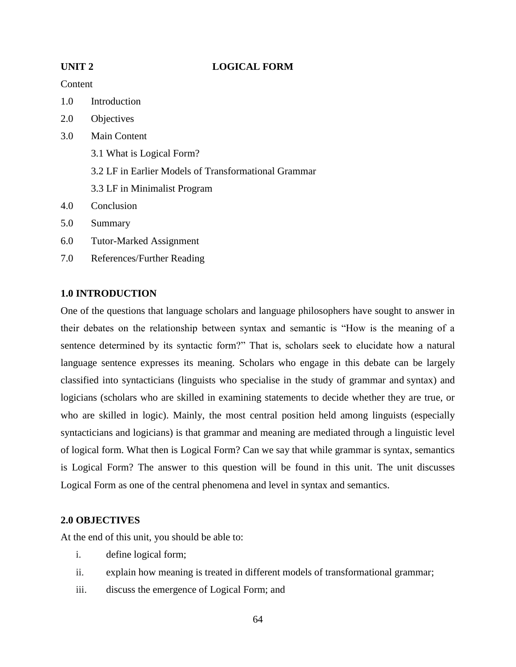## **UNIT 2 LOGICAL FORM**

## Content

- 1.0 Introduction
- 2.0 Objectives
- 3.0 Main Content
	- 3.1 What is Logical Form?
	- 3.2 LF in Earlier Models of Transformational Grammar
	- 3.3 LF in Minimalist Program
- 4.0 Conclusion
- 5.0 Summary
- 6.0 Tutor-Marked Assignment
- 7.0 References/Further Reading

## **1.0 INTRODUCTION**

One of the questions that language scholars and language philosophers have sought to answer in their debates on the relationship between syntax and semantic is "How is the meaning of a sentence determined by its syntactic form?" That is, scholars seek to elucidate how a natural language sentence expresses its meaning. Scholars who engage in this debate can be largely classified into syntacticians (linguists who specialise in the study of grammar and syntax) and logicians (scholars who are skilled in examining statements to decide whether they are true, or who are skilled in logic). Mainly, the most central position held among linguists (especially syntacticians and logicians) is that grammar and meaning are mediated through a linguistic level of logical form. What then is Logical Form? Can we say that while grammar is syntax, semantics is Logical Form? The answer to this question will be found in this unit. The unit discusses Logical Form as one of the central phenomena and level in syntax and semantics.

## **2.0 OBJECTIVES**

At the end of this unit, you should be able to:

- i. define logical form;
- ii. explain how meaning is treated in different models of transformational grammar;
- iii. discuss the emergence of Logical Form; and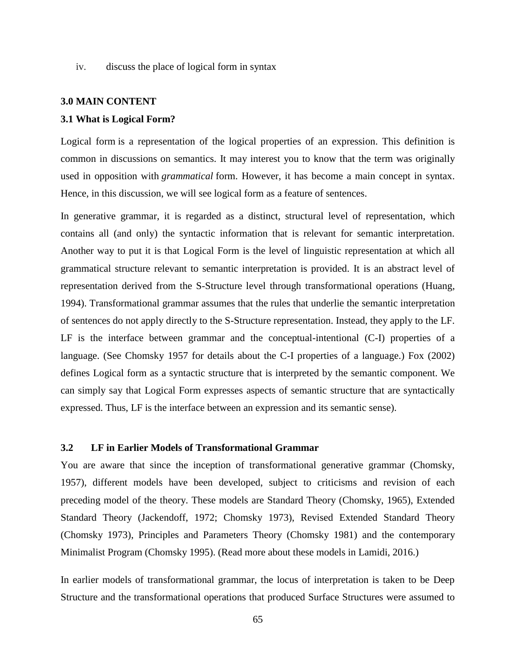iv. discuss the place of logical form in syntax

#### **3.0 MAIN CONTENT**

#### **3.1 What is Logical Form?**

Logical form is a representation of the logical properties of an expression. This definition is common in discussions on semantics. It may interest you to know that the term was originally used in opposition with *grammatical* form. However, it has become a main concept in syntax. Hence, in this discussion, we will see logical form as a feature of sentences.

In generative grammar, it is regarded as a distinct, structural level of representation, which contains all (and only) the syntactic information that is relevant for semantic interpretation. Another way to put it is that Logical Form is the level of linguistic representation at which all grammatical structure relevant to semantic interpretation is provided. It is an abstract level of representation derived from the S-Structure level through transformational operations (Huang, 1994). Transformational grammar assumes that the rules that underlie the semantic interpretation of sentences do not apply directly to the S-Structure representation. Instead, they apply to the LF. LF is the interface between grammar and the conceptual-intentional (C-I) properties of a language. (See Chomsky 1957 for details about the C-I properties of a language.) Fox (2002) defines Logical form as a syntactic structure that is interpreted by the semantic component. We can simply say that Logical Form expresses aspects of semantic structure that are syntactically expressed. Thus, LF is the interface between an expression and its semantic sense).

#### **3.2 LF in Earlier Models of Transformational Grammar**

You are aware that since the inception of transformational generative grammar (Chomsky, 1957), different models have been developed, subject to criticisms and revision of each preceding model of the theory. These models are Standard Theory (Chomsky, 1965), Extended Standard Theory (Jackendoff, 1972; Chomsky 1973), Revised Extended Standard Theory (Chomsky 1973), Principles and Parameters Theory (Chomsky 1981) and the contemporary Minimalist Program (Chomsky 1995). (Read more about these models in Lamidi, 2016.)

In earlier models of transformational grammar, the locus of interpretation is taken to be Deep Structure and the transformational operations that produced Surface Structures were assumed to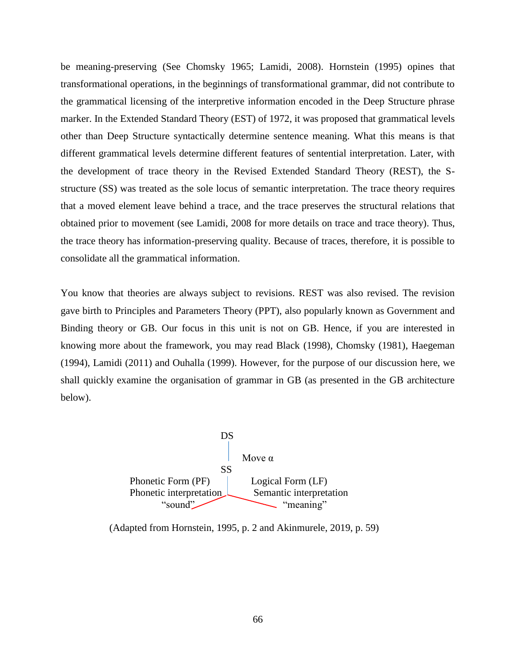be meaning-preserving (See Chomsky 1965; Lamidi, 2008). Hornstein (1995) opines that transformational operations, in the beginnings of transformational grammar, did not contribute to the grammatical licensing of the interpretive information encoded in the Deep Structure phrase marker. In the Extended Standard Theory (EST) of 1972, it was proposed that grammatical levels other than Deep Structure syntactically determine sentence meaning. What this means is that different grammatical levels determine different features of sentential interpretation. Later, with the development of trace theory in the Revised Extended Standard Theory (REST), the Sstructure (SS) was treated as the sole locus of semantic interpretation. The trace theory requires that a moved element leave behind a trace, and the trace preserves the structural relations that obtained prior to movement (see Lamidi, 2008 for more details on trace and trace theory). Thus, the trace theory has information-preserving quality. Because of traces, therefore, it is possible to consolidate all the grammatical information.

You know that theories are always subject to revisions. REST was also revised. The revision gave birth to Principles and Parameters Theory (PPT), also popularly known as Government and Binding theory or GB. Our focus in this unit is not on GB. Hence, if you are interested in knowing more about the framework, you may read Black (1998), Chomsky (1981), Haegeman (1994), Lamidi (2011) and Ouhalla (1999). However, for the purpose of our discussion here, we shall quickly examine the organisation of grammar in GB (as presented in the GB architecture below).



(Adapted from Hornstein, 1995, p. 2 and Akinmurele, 2019, p. 59)

66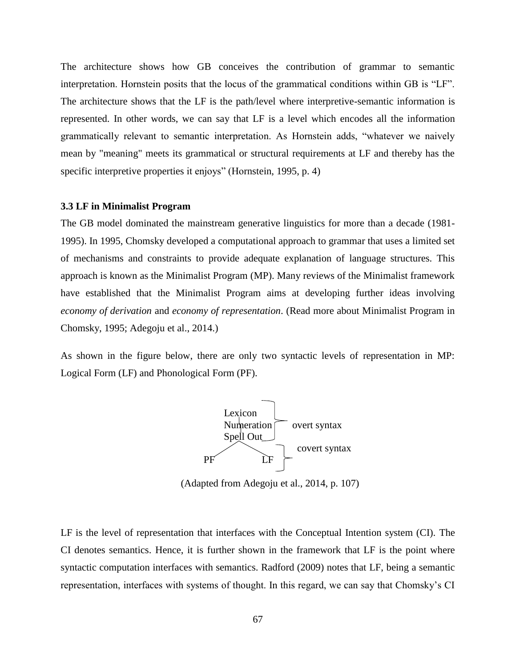The architecture shows how GB conceives the contribution of grammar to semantic interpretation. Hornstein posits that the locus of the grammatical conditions within GB is "LF". The architecture shows that the LF is the path/level where interpretive-semantic information is represented. In other words, we can say that LF is a level which encodes all the information grammatically relevant to semantic interpretation. As Hornstein adds, "whatever we naively mean by "meaning" meets its grammatical or structural requirements at LF and thereby has the specific interpretive properties it enjoys" (Hornstein, 1995, p. 4)

#### **3.3 LF in Minimalist Program**

The GB model dominated the mainstream generative linguistics for more than a decade (1981- 1995). In 1995, Chomsky developed a computational approach to grammar that uses a limited set of mechanisms and constraints to provide adequate explanation of language structures. This approach is known as the Minimalist Program (MP). Many reviews of the Minimalist framework have established that the Minimalist Program aims at developing further ideas involving *economy of derivation* and *economy of representation*. (Read more about Minimalist Program in Chomsky, 1995; Adegoju et al., 2014.)

As shown in the figure below, there are only two syntactic levels of representation in MP: Logical Form (LF) and Phonological Form (PF).



(Adapted from Adegoju et al., 2014, p. 107)

LF is the level of representation that interfaces with the Conceptual Intention system (CI). The CI denotes semantics. Hence, it is further shown in the framework that LF is the point where syntactic computation interfaces with semantics. Radford (2009) notes that LF, being a semantic representation, interfaces with systems of thought. In this regard, we can say that Chomsky's CI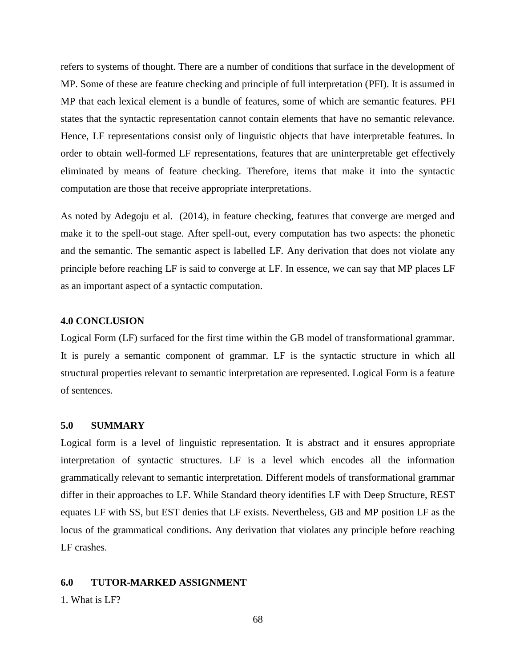refers to systems of thought. There are a number of conditions that surface in the development of MP. Some of these are feature checking and principle of full interpretation (PFI). It is assumed in MP that each lexical element is a bundle of features, some of which are semantic features. PFI states that the syntactic representation cannot contain elements that have no semantic relevance. Hence, LF representations consist only of linguistic objects that have interpretable features. In order to obtain well-formed LF representations, features that are uninterpretable get effectively eliminated by means of feature checking. Therefore, items that make it into the syntactic computation are those that receive appropriate interpretations.

As noted by Adegoju et al. (2014), in feature checking, features that converge are merged and make it to the spell-out stage. After spell-out, every computation has two aspects: the phonetic and the semantic. The semantic aspect is labelled LF. Any derivation that does not violate any principle before reaching LF is said to converge at LF. In essence, we can say that MP places LF as an important aspect of a syntactic computation.

### **4.0 CONCLUSION**

Logical Form (LF) surfaced for the first time within the GB model of transformational grammar. It is purely a semantic component of grammar. LF is the syntactic structure in which all structural properties relevant to semantic interpretation are represented. Logical Form is a feature of sentences.

### **5.0 SUMMARY**

Logical form is a level of linguistic representation. It is abstract and it ensures appropriate interpretation of syntactic structures. LF is a level which encodes all the information grammatically relevant to semantic interpretation. Different models of transformational grammar differ in their approaches to LF. While Standard theory identifies LF with Deep Structure, REST equates LF with SS, but EST denies that LF exists. Nevertheless, GB and MP position LF as the locus of the grammatical conditions. Any derivation that violates any principle before reaching LF crashes.

## **6.0 TUTOR-MARKED ASSIGNMENT**

1. What is LF?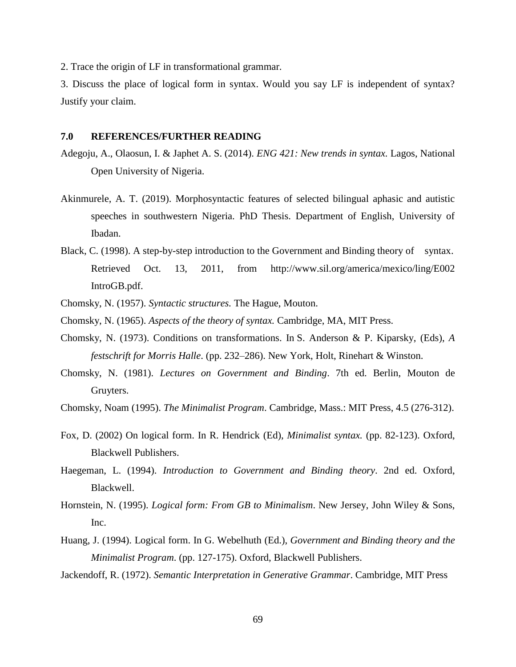2. Trace the origin of LF in transformational grammar.

3. Discuss the place of logical form in syntax. Would you say LF is independent of syntax? Justify your claim.

#### **7.0 REFERENCES/FURTHER READING**

- Adegoju, A., Olaosun, I. & Japhet A. S. (2014). *ENG 421: New trends in syntax.* Lagos, National Open University of Nigeria.
- Akinmurele, A. T. (2019). Morphosyntactic features of selected bilingual aphasic and autistic speeches in southwestern Nigeria. PhD Thesis. Department of English, University of Ibadan.
- Black, C. (1998). A step-by-step introduction to the Government and Binding theory of syntax. Retrieved Oct. 13, 2011, from http://www.sil.org/america/mexico/ling/E002 IntroGB.pdf.
- Chomsky, N. (1957). *Syntactic structures.* The Hague, Mouton.
- Chomsky, N. (1965). *Aspects of the theory of syntax.* Cambridge, MA, MIT Press.
- Chomsky, N. (1973). Conditions on transformations. In S. Anderson & P. Kiparsky, (Eds), *A festschrift for Morris Halle*. (pp. 232–286). New York, Holt, Rinehart & Winston.
- Chomsky, N. (1981). *Lectures on Government and Binding*. 7th ed. Berlin, Mouton de Gruyters.
- Chomsky, Noam (1995). *The Minimalist Program*. Cambridge, Mass.: MIT Press, 4.5 (276-312).
- Fox, D. (2002) On logical form. In R. Hendrick (Ed), *Minimalist syntax.* (pp. 82-123). Oxford, Blackwell Publishers.
- Haegeman, L. (1994). *Introduction to Government and Binding theory*. 2nd ed. Oxford, Blackwell.
- Hornstein, N. (1995). *Logical form: From GB to Minimalism*. New Jersey, John Wiley & Sons, Inc.
- Huang, J. (1994). Logical form. In G. Webelhuth (Ed.), *Government and Binding theory and the Minimalist Program*. (pp. 127-175). Oxford, Blackwell Publishers.
- Jackendoff, R. (1972). *Semantic Interpretation in Generative Grammar*. Cambridge, MIT Press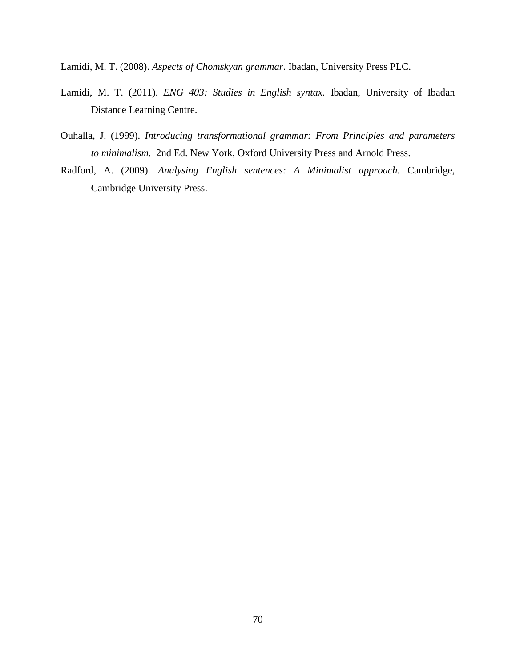Lamidi, M. T. (2008). *Aspects of Chomskyan grammar*. Ibadan, University Press PLC.

- Lamidi, M. T. (2011). *ENG 403: Studies in English syntax.* Ibadan, University of Ibadan Distance Learning Centre.
- Ouhalla, J. (1999). *Introducing transformational grammar: From Principles and parameters to minimalism.* 2nd Ed. New York, Oxford University Press and Arnold Press.
- Radford, A. (2009). *Analysing English sentences: A Minimalist approach.* Cambridge, Cambridge University Press.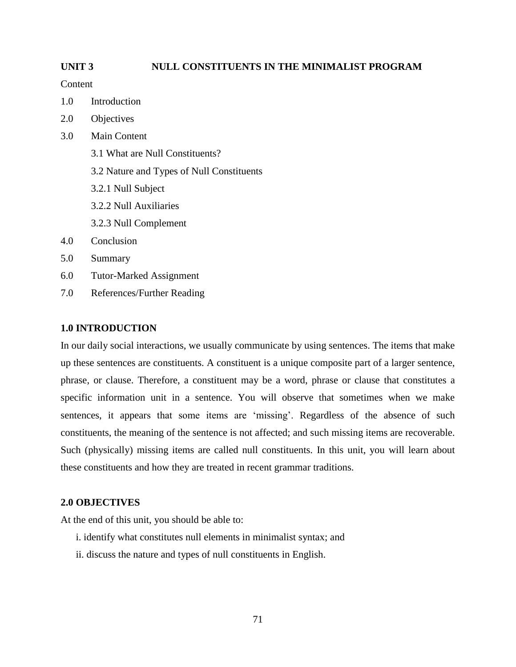## **UNIT 3 NULL CONSTITUENTS IN THE MINIMALIST PROGRAM**

Content

- 1.0 Introduction
- 2.0 Objectives
- 3.0 Main Content
	- 3.1 What are Null Constituents?
	- 3.2 Nature and Types of Null Constituents
	- 3.2.1 Null Subject
	- 3.2.2 Null Auxiliaries
	- 3.2.3 Null Complement
- 4.0 Conclusion
- 5.0 Summary
- 6.0 Tutor-Marked Assignment
- 7.0 References/Further Reading

## **1.0 INTRODUCTION**

In our daily social interactions, we usually communicate by using sentences. The items that make up these sentences are constituents. A constituent is a unique composite part of a larger sentence, phrase, or clause. Therefore, a constituent may be a word, phrase or clause that constitutes a specific information unit in a sentence. You will observe that sometimes when we make sentences, it appears that some items are 'missing'. Regardless of the absence of such constituents, the meaning of the sentence is not affected; and such missing items are recoverable. Such (physically) missing items are called null constituents. In this unit, you will learn about these constituents and how they are treated in recent grammar traditions.

## **2.0 OBJECTIVES**

At the end of this unit, you should be able to:

- i. identify what constitutes null elements in minimalist syntax; and
- ii. discuss the nature and types of null constituents in English.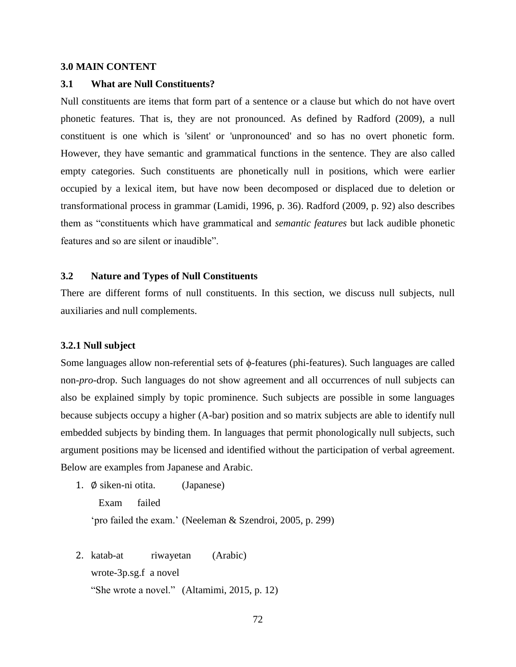### **3.0 MAIN CONTENT**

#### **3.1 What are Null Constituents?**

Null constituents are items that form part of a sentence or a clause but which do not have overt phonetic features. That is, they are not pronounced. As defined by Radford (2009), a null constituent is one which is 'silent' or 'unpronounced' and so has no overt phonetic form. However, they have semantic and grammatical functions in the sentence. They are also called empty categories. Such constituents are phonetically null in positions, which were earlier occupied by a lexical item, but have now been decomposed or displaced due to deletion or transformational process in grammar (Lamidi, 1996, p. 36). Radford (2009, p. 92) also describes them as "constituents which have grammatical and *semantic features* but lack audible phonetic features and so are silent or inaudible".

## **3.2 Nature and Types of Null Constituents**

There are different forms of null constituents. In this section, we discuss null subjects, null auxiliaries and null complements.

#### **3.2.1 Null subject**

Some languages allow non-referential sets of ϕ-features (phi-features). Such languages are called non-*pro*-drop. Such languages do not show agreement and all occurrences of null subjects can also be explained simply by topic prominence. Such subjects are possible in some languages because subjects occupy a higher (A-bar) position and so matrix subjects are able to identify null embedded subjects by binding them. In languages that permit phonologically null subjects, such argument positions may be licensed and identified without the participation of verbal agreement. Below are examples from Japanese and Arabic.

1. ∅ siken-ni otita. (Japanese)

 Exam failed 'pro failed the exam.' (Neeleman & Szendroi, 2005, p. 299)

2. katab-at riwayetan (Arabic) wrote-3p.sg.f a novel "She wrote a novel." (Altamimi, 2015, p. 12)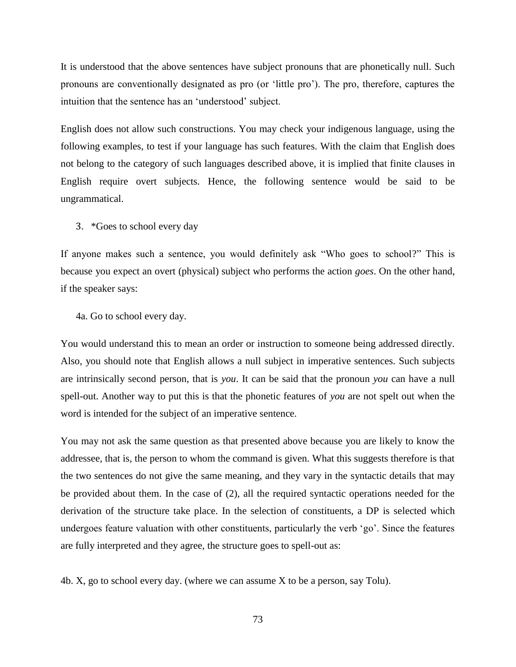It is understood that the above sentences have subject pronouns that are phonetically null. Such pronouns are conventionally designated as pro (or 'little pro'). The pro, therefore, captures the intuition that the sentence has an 'understood' subject.

English does not allow such constructions. You may check your indigenous language, using the following examples, to test if your language has such features. With the claim that English does not belong to the category of such languages described above, it is implied that finite clauses in English require overt subjects. Hence, the following sentence would be said to be ungrammatical.

3. \*Goes to school every day

If anyone makes such a sentence, you would definitely ask "Who goes to school?" This is because you expect an overt (physical) subject who performs the action *goes*. On the other hand, if the speaker says:

4a. Go to school every day.

You would understand this to mean an order or instruction to someone being addressed directly. Also, you should note that English allows a null subject in imperative sentences. Such subjects are intrinsically second person, that is *you*. It can be said that the pronoun *you* can have a null spell-out. Another way to put this is that the phonetic features of *you* are not spelt out when the word is intended for the subject of an imperative sentence.

You may not ask the same question as that presented above because you are likely to know the addressee, that is, the person to whom the command is given. What this suggests therefore is that the two sentences do not give the same meaning, and they vary in the syntactic details that may be provided about them. In the case of (2), all the required syntactic operations needed for the derivation of the structure take place. In the selection of constituents, a DP is selected which undergoes feature valuation with other constituents, particularly the verb 'go'. Since the features are fully interpreted and they agree, the structure goes to spell-out as:

4b. X, go to school every day. (where we can assume X to be a person, say Tolu).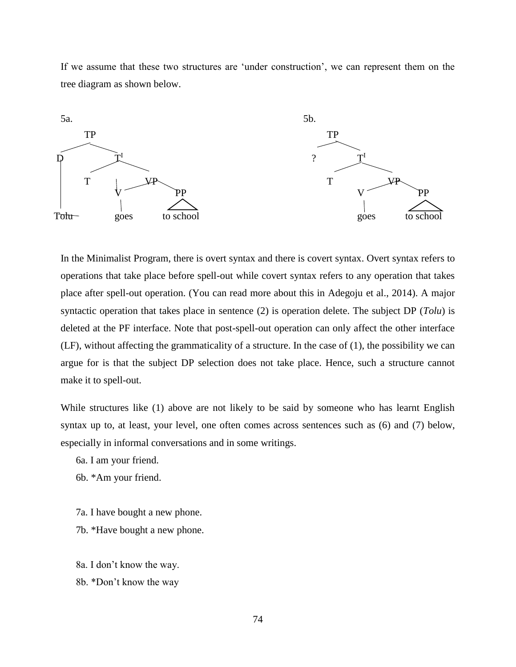If we assume that these two structures are 'under construction', we can represent them on the tree diagram as shown below.



In the Minimalist Program, there is overt syntax and there is covert syntax. Overt syntax refers to operations that take place before spell-out while covert syntax refers to any operation that takes place after spell-out operation. (You can read more about this in Adegoju et al., 2014). A major syntactic operation that takes place in sentence (2) is operation delete. The subject DP (*Tolu*) is deleted at the PF interface. Note that post-spell-out operation can only affect the other interface (LF), without affecting the grammaticality of a structure. In the case of (1), the possibility we can argue for is that the subject DP selection does not take place. Hence, such a structure cannot make it to spell-out.

While structures like (1) above are not likely to be said by someone who has learnt English syntax up to, at least, your level, one often comes across sentences such as (6) and (7) below, especially in informal conversations and in some writings.

6a. I am your friend.

6b. \*Am your friend.

- 7a. I have bought a new phone.
- 7b. \*Have bought a new phone.

8a. I don't know the way. 8b. \*Don't know the way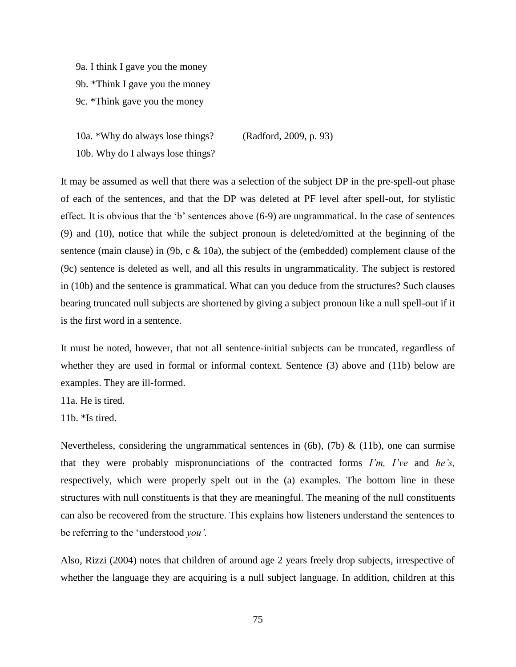9a. I think I gave you the money

9b. \*Think I gave you the money

9c. \*Think gave you the money

10a. \*Why do always lose things? (Radford, 2009, p. 93) 10b. Why do I always lose things?

It may be assumed as well that there was a selection of the subject DP in the pre-spell-out phase of each of the sentences, and that the DP was deleted at PF level after spell-out, for stylistic effect. It is obvious that the 'b' sentences above (6-9) are ungrammatical. In the case of sentences (9) and (10), notice that while the subject pronoun is deleted/omitted at the beginning of the sentence (main clause) in (9b, c  $\&$  10a), the subject of the (embedded) complement clause of the (9c) sentence is deleted as well, and all this results in ungrammaticality. The subject is restored in (10b) and the sentence is grammatical. What can you deduce from the structures? Such clauses bearing truncated null subjects are shortened by giving a subject pronoun like a null spell-out if it is the first word in a sentence.

It must be noted, however, that not all sentence-initial subjects can be truncated, regardless of whether they are used in formal or informal context. Sentence (3) above and (11b) below are examples. They are ill-formed.

11a. He is tired.

11b. \*Is tired.

Nevertheless, considering the ungrammatical sentences in  $(6b)$ ,  $(7b)$  &  $(11b)$ , one can surmise that they were probably mispronunciations of the contracted forms *I'm, I've* and *he's,*  respectively, which were properly spelt out in the (a) examples. The bottom line in these structures with null constituents is that they are meaningful. The meaning of the null constituents can also be recovered from the structure. This explains how listeners understand the sentences to be referring to the 'understood *you'.*

Also, Rizzi (2004) notes that children of around age 2 years freely drop subjects, irrespective of whether the language they are acquiring is a null subject language. In addition, children at this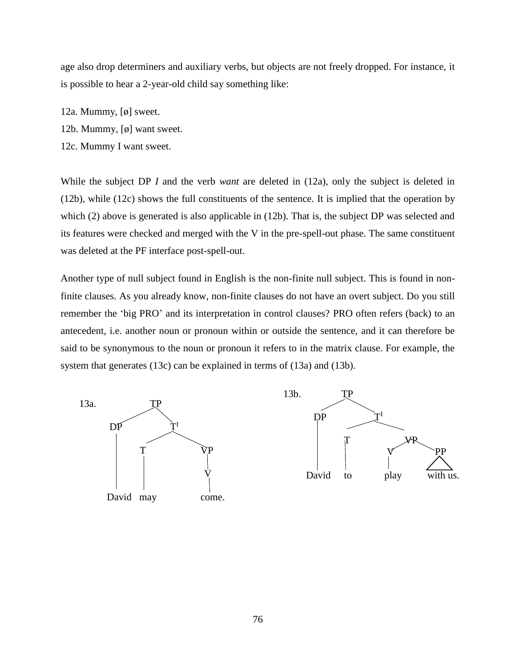age also drop determiners and auxiliary verbs, but objects are not freely dropped. For instance, it is possible to hear a 2-year-old child say something like:

- 12a. Mummy, [ø] sweet.
- 12b. Mummy, [ø] want sweet.
- 12c. Mummy I want sweet.

While the subject DP *I* and the verb *want* are deleted in (12a), only the subject is deleted in (12b), while (12c) shows the full constituents of the sentence. It is implied that the operation by which (2) above is generated is also applicable in (12b). That is, the subject DP was selected and its features were checked and merged with the V in the pre-spell-out phase. The same constituent was deleted at the PF interface post-spell-out.

Another type of null subject found in English is the non-finite null subject. This is found in nonfinite clauses. As you already know, non-finite clauses do not have an overt subject. Do you still remember the 'big PRO' and its interpretation in control clauses? PRO often refers (back) to an antecedent, i.e. another noun or pronoun within or outside the sentence, and it can therefore be said to be synonymous to the noun or pronoun it refers to in the matrix clause. For example, the system that generates (13c) can be explained in terms of (13a) and (13b).

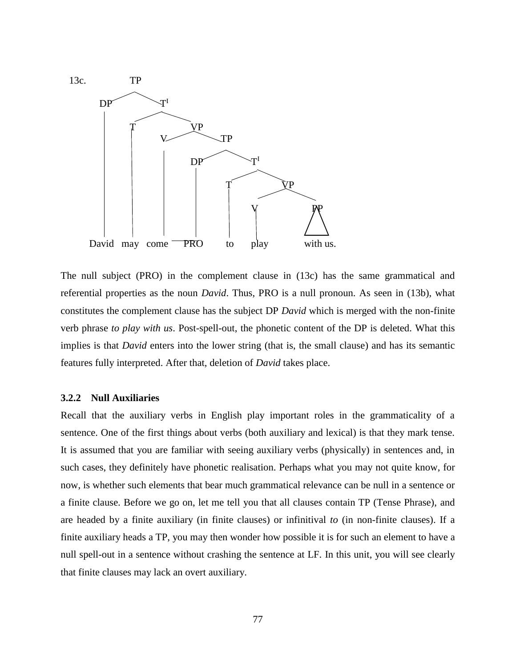

The null subject (PRO) in the complement clause in (13c) has the same grammatical and referential properties as the noun *David*. Thus, PRO is a null pronoun. As seen in (13b), what constitutes the complement clause has the subject DP *David* which is merged with the non-finite verb phrase *to play with us*. Post-spell-out, the phonetic content of the DP is deleted. What this implies is that *David* enters into the lower string (that is, the small clause) and has its semantic features fully interpreted. After that, deletion of *David* takes place.

## **3.2.2 Null Auxiliaries**

Recall that the auxiliary verbs in English play important roles in the grammaticality of a sentence. One of the first things about verbs (both auxiliary and lexical) is that they mark tense. It is assumed that you are familiar with seeing auxiliary verbs (physically) in sentences and, in such cases, they definitely have phonetic realisation. Perhaps what you may not quite know, for now, is whether such elements that bear much grammatical relevance can be null in a sentence or a finite clause. Before we go on, let me tell you that all clauses contain TP (Tense Phrase), and are headed by a finite auxiliary (in finite clauses) or infinitival *to* (in non-finite clauses). If a finite auxiliary heads a TP, you may then wonder how possible it is for such an element to have a null spell-out in a sentence without crashing the sentence at LF. In this unit, you will see clearly that finite clauses may lack an overt auxiliary.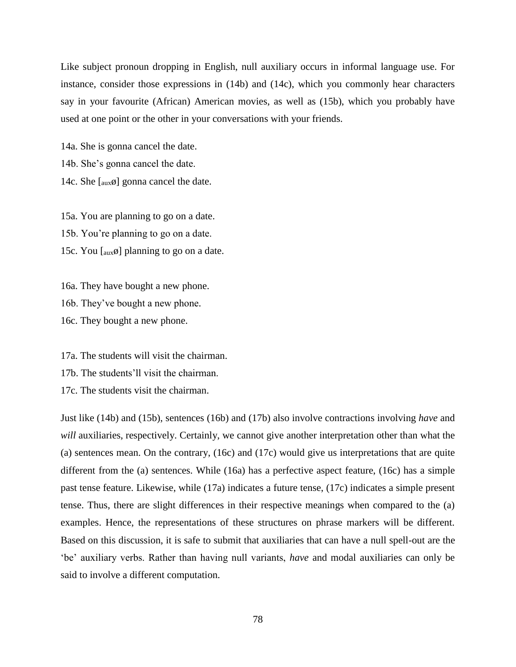Like subject pronoun dropping in English, null auxiliary occurs in informal language use. For instance, consider those expressions in (14b) and (14c), which you commonly hear characters say in your favourite (African) American movies, as well as (15b), which you probably have used at one point or the other in your conversations with your friends.

14a. She is gonna cancel the date. 14b. She's gonna cancel the date. 14c. She  $\lceil \text{aux}\emptyset \rceil$  gonna cancel the date.

15a. You are planning to go on a date.

15b. You're planning to go on a date.

15c. You  $\left[ \text{aux}\emptyset \right]$  planning to go on a date.

16a. They have bought a new phone. 16b. They've bought a new phone.

16c. They bought a new phone.

17a. The students will visit the chairman.

17b. The students'll visit the chairman.

17c. The students visit the chairman.

Just like (14b) and (15b), sentences (16b) and (17b) also involve contractions involving *have* and *will* auxiliaries, respectively. Certainly, we cannot give another interpretation other than what the (a) sentences mean. On the contrary, (16c) and (17c) would give us interpretations that are quite different from the (a) sentences. While (16a) has a perfective aspect feature, (16c) has a simple past tense feature. Likewise, while (17a) indicates a future tense, (17c) indicates a simple present tense. Thus, there are slight differences in their respective meanings when compared to the (a) examples. Hence, the representations of these structures on phrase markers will be different. Based on this discussion, it is safe to submit that auxiliaries that can have a null spell-out are the 'be' auxiliary verbs. Rather than having null variants, *have* and modal auxiliaries can only be said to involve a different computation.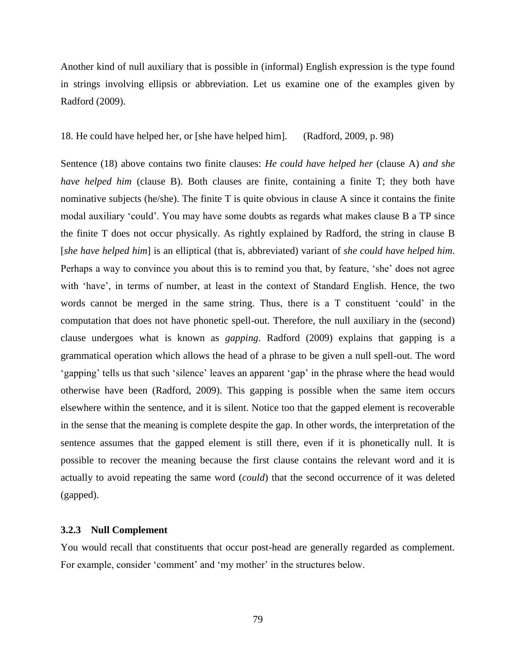Another kind of null auxiliary that is possible in (informal) English expression is the type found in strings involving ellipsis or abbreviation. Let us examine one of the examples given by Radford (2009).

18. He could have helped her, or [she have helped him]. (Radford, 2009, p. 98)

Sentence (18) above contains two finite clauses: *He could have helped her* (clause A) *and she have helped him* (clause B). Both clauses are finite, containing a finite T; they both have nominative subjects (he/she). The finite T is quite obvious in clause A since it contains the finite modal auxiliary 'could'. You may have some doubts as regards what makes clause B a TP since the finite T does not occur physically. As rightly explained by Radford, the string in clause B [*she have helped him*] is an elliptical (that is, abbreviated) variant of *she could have helped him*. Perhaps a way to convince you about this is to remind you that, by feature, 'she' does not agree with 'have', in terms of number, at least in the context of Standard English. Hence, the two words cannot be merged in the same string. Thus, there is a T constituent 'could' in the computation that does not have phonetic spell-out. Therefore, the null auxiliary in the (second) clause undergoes what is known as *gapping*. Radford (2009) explains that gapping is a grammatical operation which allows the head of a phrase to be given a null spell-out. The word 'gapping' tells us that such 'silence' leaves an apparent 'gap' in the phrase where the head would otherwise have been (Radford, 2009). This gapping is possible when the same item occurs elsewhere within the sentence, and it is silent. Notice too that the gapped element is recoverable in the sense that the meaning is complete despite the gap. In other words, the interpretation of the sentence assumes that the gapped element is still there, even if it is phonetically null. It is possible to recover the meaning because the first clause contains the relevant word and it is actually to avoid repeating the same word (*could*) that the second occurrence of it was deleted (gapped).

### **3.2.3 Null Complement**

You would recall that constituents that occur post-head are generally regarded as complement. For example, consider 'comment' and 'my mother' in the structures below.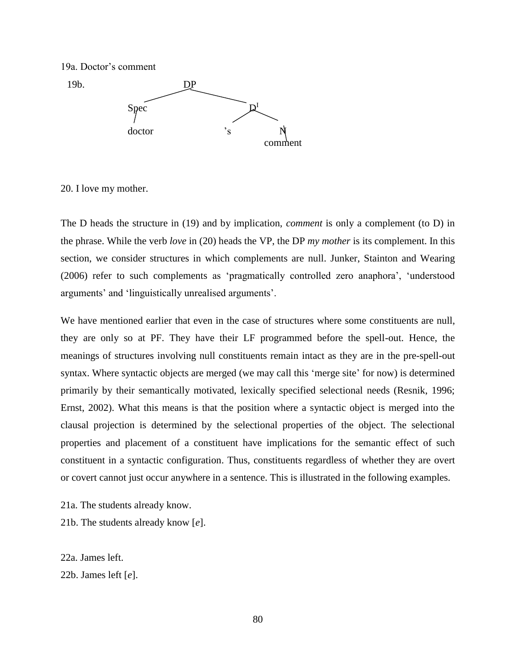



20. I love my mother.

The D heads the structure in (19) and by implication, *comment* is only a complement (to D) in the phrase. While the verb *love* in (20) heads the VP, the DP *my mother* is its complement. In this section, we consider structures in which complements are null. Junker, Stainton and Wearing (2006) refer to such complements as 'pragmatically controlled zero anaphora', 'understood arguments' and 'linguistically unrealised arguments'.

We have mentioned earlier that even in the case of structures where some constituents are null, they are only so at PF. They have their LF programmed before the spell-out. Hence, the meanings of structures involving null constituents remain intact as they are in the pre-spell-out syntax. Where syntactic objects are merged (we may call this 'merge site' for now) is determined primarily by their semantically motivated, lexically specified selectional needs (Resnik, 1996; Ernst, 2002). What this means is that the position where a syntactic object is merged into the clausal projection is determined by the selectional properties of the object. The selectional properties and placement of a constituent have implications for the semantic effect of such constituent in a syntactic configuration. Thus, constituents regardless of whether they are overt or covert cannot just occur anywhere in a sentence. This is illustrated in the following examples.

21a. The students already know.

21b. The students already know [*e*].

22a. James left. 22b. James left [*e*].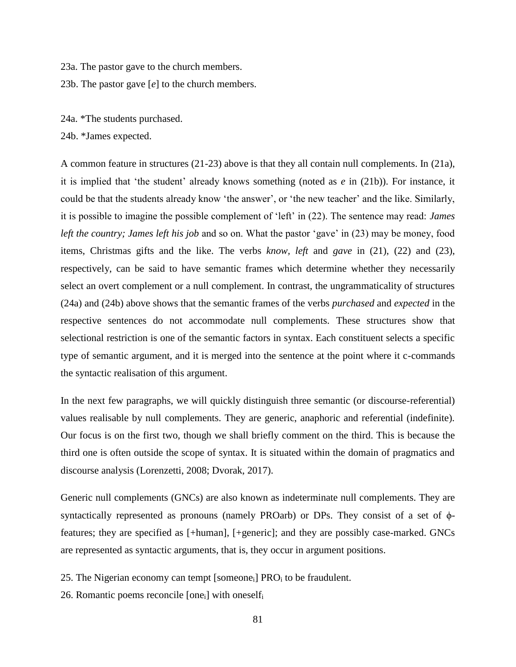23a. The pastor gave to the church members.

23b. The pastor gave [*e*] to the church members.

24a. \*The students purchased.

24b. \*James expected.

A common feature in structures (21-23) above is that they all contain null complements. In (21a), it is implied that 'the student' already knows something (noted as *e* in (21b)). For instance, it could be that the students already know 'the answer', or 'the new teacher' and the like. Similarly, it is possible to imagine the possible complement of 'left' in (22). The sentence may read: *James left the country; James left his job* and so on. What the pastor 'gave' in (23) may be money, food items, Christmas gifts and the like. The verbs *know, left* and *gave* in (21), (22) and (23), respectively, can be said to have semantic frames which determine whether they necessarily select an overt complement or a null complement. In contrast, the ungrammaticality of structures (24a) and (24b) above shows that the semantic frames of the verbs *purchased* and *expected* in the respective sentences do not accommodate null complements. These structures show that selectional restriction is one of the semantic factors in syntax. Each constituent selects a specific type of semantic argument, and it is merged into the sentence at the point where it c-commands the syntactic realisation of this argument.

In the next few paragraphs, we will quickly distinguish three semantic (or discourse-referential) values realisable by null complements. They are generic, anaphoric and referential (indefinite). Our focus is on the first two, though we shall briefly comment on the third. This is because the third one is often outside the scope of syntax. It is situated within the domain of pragmatics and discourse analysis (Lorenzetti, 2008; Dvorak, 2017).

Generic null complements (GNCs) are also known as indeterminate null complements. They are syntactically represented as pronouns (namely PROarb) or DPs. They consist of a set of ϕfeatures; they are specified as [+human], [+generic]; and they are possibly case-marked. GNCs are represented as syntactic arguments, that is, they occur in argument positions.

25. The Nigerian economy can tempt [someone<sub>i</sub>] PRO<sub>i</sub> to be fraudulent.

26. Romantic poems reconcile  $[one_i]$  with oneselfi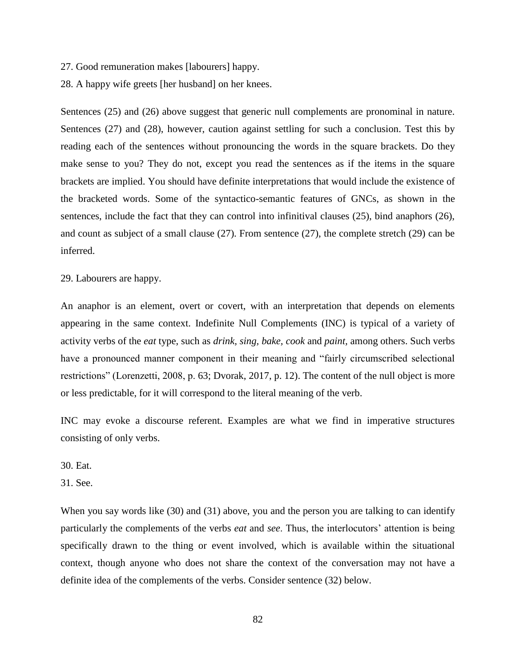27. Good remuneration makes [labourers] happy.

28. A happy wife greets [her husband] on her knees.

Sentences (25) and (26) above suggest that generic null complements are pronominal in nature. Sentences (27) and (28), however, caution against settling for such a conclusion. Test this by reading each of the sentences without pronouncing the words in the square brackets. Do they make sense to you? They do not, except you read the sentences as if the items in the square brackets are implied. You should have definite interpretations that would include the existence of the bracketed words. Some of the syntactico-semantic features of GNCs, as shown in the sentences, include the fact that they can control into infinitival clauses (25), bind anaphors (26), and count as subject of a small clause (27). From sentence (27), the complete stretch (29) can be inferred.

29. Labourers are happy.

An anaphor is an element, overt or covert, with an interpretation that depends on elements appearing in the same context. Indefinite Null Complements (INC) is typical of a variety of activity verbs of the *eat* type, such as *drink, sing, bake, cook* and *paint,* among others. Such verbs have a pronounced manner component in their meaning and "fairly circumscribed selectional restrictions" (Lorenzetti, 2008, p. 63; Dvorak, 2017, p. 12). The content of the null object is more or less predictable, for it will correspond to the literal meaning of the verb.

INC may evoke a discourse referent. Examples are what we find in imperative structures consisting of only verbs.

30. Eat.

31. See.

When you say words like (30) and (31) above, you and the person you are talking to can identify particularly the complements of the verbs *eat* and *see*. Thus, the interlocutors' attention is being specifically drawn to the thing or event involved, which is available within the situational context, though anyone who does not share the context of the conversation may not have a definite idea of the complements of the verbs. Consider sentence (32) below.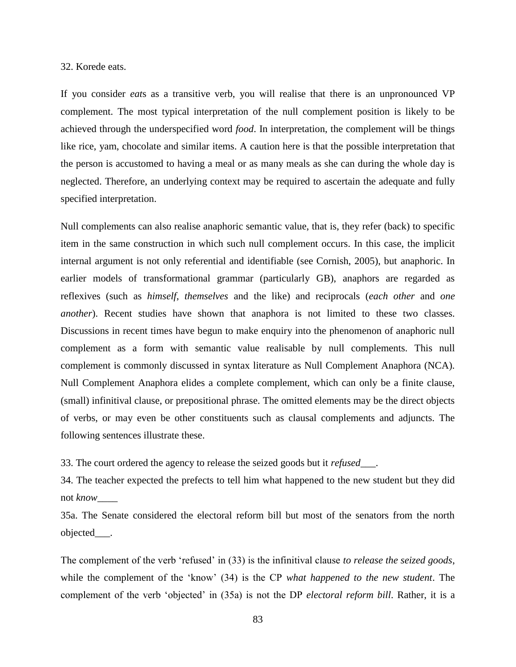### 32. Korede eats.

If you consider *eat*s as a transitive verb, you will realise that there is an unpronounced VP complement. The most typical interpretation of the null complement position is likely to be achieved through the underspecified word *food*. In interpretation, the complement will be things like rice, yam, chocolate and similar items. A caution here is that the possible interpretation that the person is accustomed to having a meal or as many meals as she can during the whole day is neglected. Therefore, an underlying context may be required to ascertain the adequate and fully specified interpretation.

Null complements can also realise anaphoric semantic value, that is, they refer (back) to specific item in the same construction in which such null complement occurs. In this case, the implicit internal argument is not only referential and identifiable (see Cornish, 2005), but anaphoric. In earlier models of transformational grammar (particularly GB), anaphors are regarded as reflexives (such as *himself*, *themselves* and the like) and reciprocals (*each other* and *one another*). Recent studies have shown that anaphora is not limited to these two classes. Discussions in recent times have begun to make enquiry into the phenomenon of anaphoric null complement as a form with semantic value realisable by null complements. This null complement is commonly discussed in syntax literature as Null Complement Anaphora (NCA). Null Complement Anaphora elides a complete complement, which can only be a finite clause, (small) infinitival clause, or prepositional phrase. The omitted elements may be the direct objects of verbs, or may even be other constituents such as clausal complements and adjuncts. The following sentences illustrate these.

33. The court ordered the agency to release the seized goods but it *refused*\_\_\_.

34. The teacher expected the prefects to tell him what happened to the new student but they did not *know*\_\_\_\_

35a. The Senate considered the electoral reform bill but most of the senators from the north objected\_\_\_.

The complement of the verb 'refused' in (33) is the infinitival clause *to release the seized goods*, while the complement of the 'know' (34) is the CP *what happened to the new student*. The complement of the verb 'objected' in (35a) is not the DP *electoral reform bill*. Rather, it is a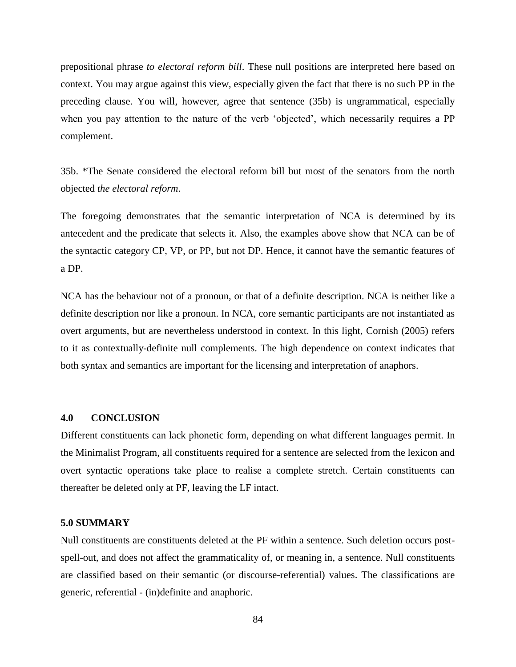prepositional phrase *to electoral reform bill*. These null positions are interpreted here based on context. You may argue against this view, especially given the fact that there is no such PP in the preceding clause. You will, however, agree that sentence (35b) is ungrammatical, especially when you pay attention to the nature of the verb 'objected', which necessarily requires a PP complement.

35b. \*The Senate considered the electoral reform bill but most of the senators from the north objected *the electoral reform*.

The foregoing demonstrates that the semantic interpretation of NCA is determined by its antecedent and the predicate that selects it. Also, the examples above show that NCA can be of the syntactic category CP, VP, or PP, but not DP. Hence, it cannot have the semantic features of a DP.

NCA has the behaviour not of a pronoun, or that of a definite description. NCA is neither like a definite description nor like a pronoun. In NCA, core semantic participants are not instantiated as overt arguments, but are nevertheless understood in context. In this light, Cornish (2005) refers to it as contextually-definite null complements. The high dependence on context indicates that both syntax and semantics are important for the licensing and interpretation of anaphors.

# **4.0 CONCLUSION**

Different constituents can lack phonetic form, depending on what different languages permit. In the Minimalist Program, all constituents required for a sentence are selected from the lexicon and overt syntactic operations take place to realise a complete stretch. Certain constituents can thereafter be deleted only at PF, leaving the LF intact.

## **5.0 SUMMARY**

Null constituents are constituents deleted at the PF within a sentence. Such deletion occurs postspell-out, and does not affect the grammaticality of, or meaning in, a sentence. Null constituents are classified based on their semantic (or discourse-referential) values. The classifications are generic, referential - (in)definite and anaphoric.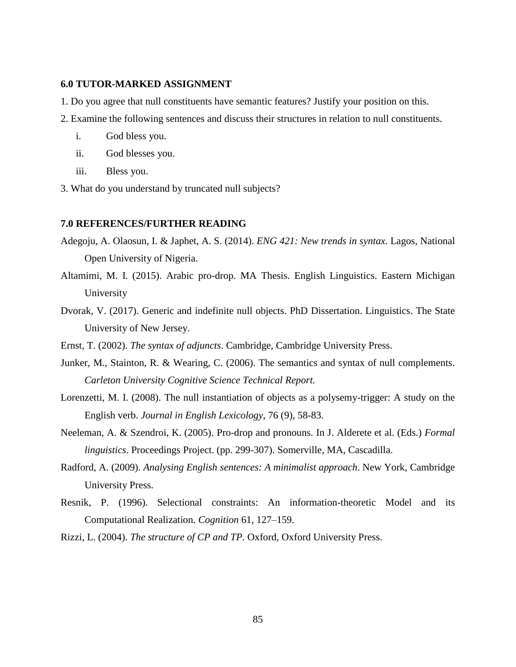# **6.0 TUTOR-MARKED ASSIGNMENT**

- 1. Do you agree that null constituents have semantic features? Justify your position on this*.*
- 2. Examine the following sentences and discuss their structures in relation to null constituents.
	- i. God bless you.
	- ii. God blesses you.
	- iii. Bless you.
- 3. What do you understand by truncated null subjects?

### **7.0 REFERENCES/FURTHER READING**

- Adegoju, A. Olaosun, I. & Japhet, A. S. (2014). *ENG 421: New trends in syntax.* Lagos, National Open University of Nigeria.
- Altamimi, M. I. (2015). Arabic pro-drop. MA Thesis. English Linguistics. Eastern Michigan University
- Dvorak, V. (2017). Generic and indefinite null objects. PhD Dissertation. Linguistics. The State University of New Jersey.
- Ernst, T. (2002). *The syntax of adjuncts*. Cambridge, Cambridge University Press.
- Junker, M., Stainton, R. & Wearing, C. (2006). The semantics and syntax of null complements. *Carleton University Cognitive Science Technical Report.*
- Lorenzetti, M. I. (2008). The null instantiation of objects as a polysemy-trigger: A study on the English verb. *Journal in English Lexicology*, 76 (9), 58-83.
- Neeleman, A. & Szendroi, K. (2005). Pro-drop and pronouns. In J. Alderete et al. (Eds.) *Formal linguistics*. Proceedings Project. (pp. 299-307). Somerville, MA, Cascadilla.
- Radford, A. (2009). *Analysing English sentences: A minimalist approach*. New York, Cambridge University Press.
- Resnik, P. (1996). Selectional constraints: An information-theoretic Model and its Computational Realization. *Cognition* 61, 127–159.
- Rizzi, L. (2004). *The structure of CP and TP.* Oxford, Oxford University Press.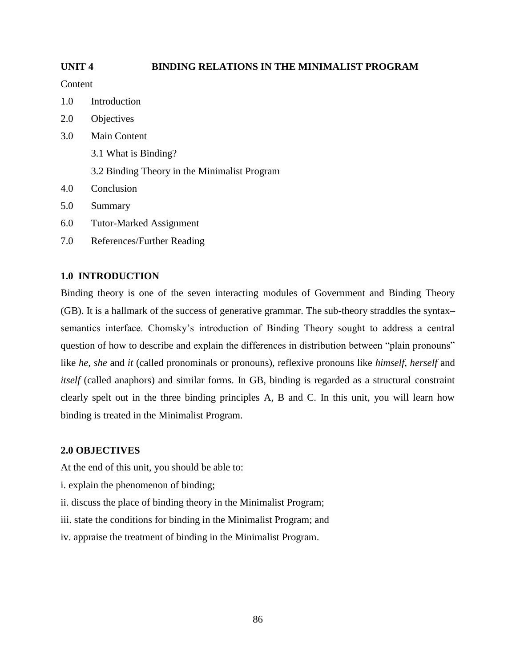# **UNIT 4 BINDING RELATIONS IN THE MINIMALIST PROGRAM**

Content

- 1.0 Introduction
- 2.0 Objectives
- 3.0 Main Content 3.1 What is Binding? 3.2 Binding Theory in the Minimalist Program
- 4.0 Conclusion
- 5.0 Summary
- 6.0 Tutor-Marked Assignment
- 7.0 References/Further Reading

# **1.0 INTRODUCTION**

Binding theory is one of the seven interacting modules of Government and Binding Theory (GB). It is a hallmark of the success of generative grammar. The sub-theory straddles the syntax– semantics interface. Chomsky's introduction of Binding Theory sought to address a central question of how to describe and explain the differences in distribution between "plain pronouns" like *he, she* and *it* (called pronominals or pronouns), reflexive pronouns like *himself, herself* and *itself* (called anaphors) and similar forms. In GB, binding is regarded as a structural constraint clearly spelt out in the three binding principles A, B and C. In this unit, you will learn how binding is treated in the Minimalist Program.

# **2.0 OBJECTIVES**

At the end of this unit, you should be able to:

- i. explain the phenomenon of binding;
- ii. discuss the place of binding theory in the Minimalist Program;
- iii. state the conditions for binding in the Minimalist Program; and
- iv. appraise the treatment of binding in the Minimalist Program.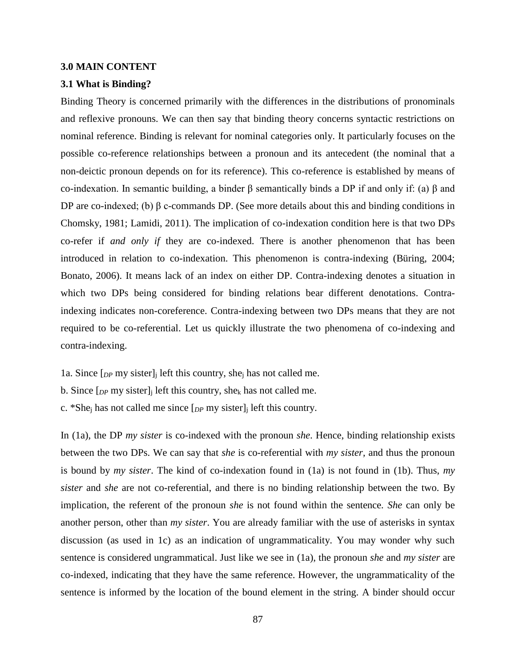### **3.0 MAIN CONTENT**

### **3.1 What is Binding?**

Binding Theory is concerned primarily with the differences in the distributions of pronominals and reflexive pronouns. We can then say that binding theory concerns syntactic restrictions on nominal reference. Binding is relevant for nominal categories only. It particularly focuses on the possible co-reference relationships between a pronoun and its antecedent (the nominal that a non-deictic pronoun depends on for its reference). This co-reference is established by means of co-indexation. In semantic building, a binder β semantically binds a DP if and only if: (a) β and DP are co-indexed; (b) β c-commands DP. (See more details about this and binding conditions in Chomsky, 1981; Lamidi, 2011). The implication of co-indexation condition here is that two DPs co-refer if *and only if* they are co-indexed. There is another phenomenon that has been introduced in relation to co-indexation. This phenomenon is contra-indexing (Büring, 2004; Bonato, 2006). It means lack of an index on either DP. Contra-indexing denotes a situation in which two DPs being considered for binding relations bear different denotations. Contraindexing indicates non-coreference. Contra-indexing between two DPs means that they are not required to be co-referential. Let us quickly illustrate the two phenomena of co-indexing and contra-indexing.

1a. Since [*DP* my sister]<sup>j</sup> left this country, she<sup>j</sup> has not called me.

b. Since [*DP* my sister]<sup>j</sup> left this country, she<sup>k</sup> has not called me.

c. \*She<sub>i</sub> has not called me since  $[p \, p \, m \, v \, s]$  is left this country.

In (1a), the DP *my sister* is co-indexed with the pronoun *she*. Hence, binding relationship exists between the two DPs. We can say that *she* is co-referential with *my sister,* and thus the pronoun is bound by *my sister*. The kind of co-indexation found in (1a) is not found in (1b). Thus, *my sister* and *she* are not co-referential, and there is no binding relationship between the two. By implication, the referent of the pronoun *she* is not found within the sentence*. She* can only be another person, other than *my sister*. You are already familiar with the use of asterisks in syntax discussion (as used in 1c) as an indication of ungrammaticality. You may wonder why such sentence is considered ungrammatical. Just like we see in (1a), the pronoun *she* and *my sister* are co-indexed, indicating that they have the same reference. However, the ungrammaticality of the sentence is informed by the location of the bound element in the string. A binder should occur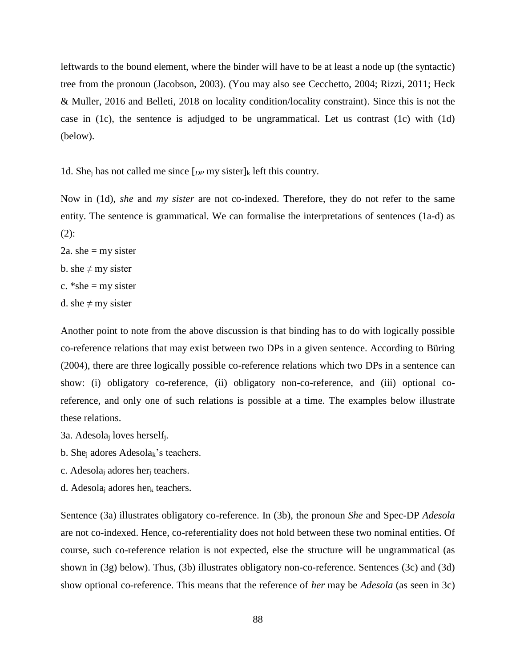leftwards to the bound element, where the binder will have to be at least a node up (the syntactic) tree from the pronoun (Jacobson, 2003). (You may also see Cecchetto, 2004; Rizzi, 2011; Heck & Muller, 2016 and Belleti, 2018 on locality condition/locality constraint). Since this is not the case in (1c), the sentence is adjudged to be ungrammatical. Let us contrast (1c) with (1d) (below).

1d. She<sub>i</sub> has not called me since  $[p_P \, my\, sister]_k$  left this country.

Now in (1d), *she* and *my sister* are not co-indexed. Therefore, they do not refer to the same entity. The sentence is grammatical. We can formalise the interpretations of sentences (1a-d) as  $(2)$ :

- 2a. she  $=$  my sister
- b. she  $\neq$  my sister
- c.  $*$ she = my sister
- d. she  $\neq$  my sister

Another point to note from the above discussion is that binding has to do with logically possible co-reference relations that may exist between two DPs in a given sentence. According to Büring (2004), there are three logically possible co-reference relations which two DPs in a sentence can show: (i) obligatory co-reference, (ii) obligatory non-co-reference, and (iii) optional coreference, and only one of such relations is possible at a time. The examples below illustrate these relations.

- 3a. Adesola<sup>j</sup> loves herselfj.
- b. She<sub>i</sub> adores Adesola<sub>k</sub>'s teachers.
- c. Adesola<sup>j</sup> adores her<sup>j</sup> teachers.
- d. Adesola<sub>i</sub> adores her<sub>k</sub> teachers.

Sentence (3a) illustrates obligatory co-reference. In (3b), the pronoun *She* and Spec-DP *Adesola* are not co-indexed. Hence, co-referentiality does not hold between these two nominal entities. Of course, such co-reference relation is not expected, else the structure will be ungrammatical (as shown in (3g) below). Thus, (3b) illustrates obligatory non-co-reference. Sentences (3c) and (3d) show optional co-reference. This means that the reference of *her* may be *Adesola* (as seen in 3c)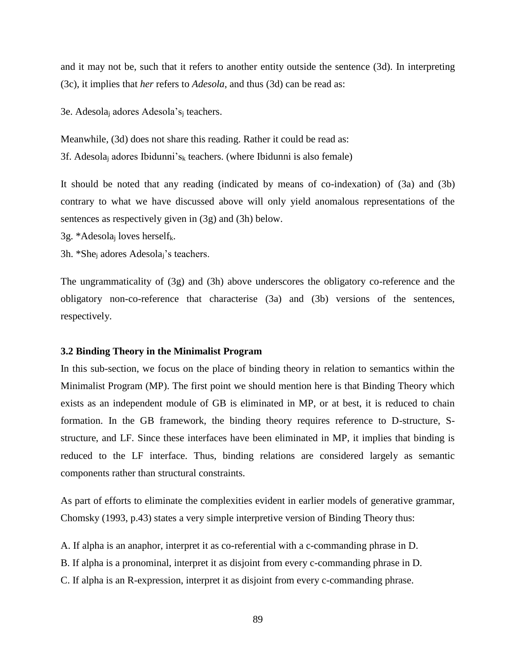and it may not be, such that it refers to another entity outside the sentence (3d). In interpreting (3c), it implies that *her* refers to *Adesola*, and thus (3d) can be read as:

3e. Adesola<sup>j</sup> adores Adesola's<sup>j</sup> teachers.

Meanwhile, (3d) does not share this reading. Rather it could be read as: 3f. Adesola<sub>i</sub> adores Ibidunni's<sub>k</sub> teachers. (where Ibidunni is also female)

It should be noted that any reading (indicated by means of co-indexation) of (3a) and (3b) contrary to what we have discussed above will only yield anomalous representations of the sentences as respectively given in (3g) and (3h) below.

3g. \*Adesola<sub>j</sub> loves herself<sub>k</sub>.

3h. \*She<sup>j</sup> adores Adesolaj's teachers.

The ungrammaticality of (3g) and (3h) above underscores the obligatory co-reference and the obligatory non-co-reference that characterise (3a) and (3b) versions of the sentences, respectively.

### **3.2 Binding Theory in the Minimalist Program**

In this sub-section, we focus on the place of binding theory in relation to semantics within the Minimalist Program (MP). The first point we should mention here is that Binding Theory which exists as an independent module of GB is eliminated in MP, or at best, it is reduced to chain formation. In the GB framework, the binding theory requires reference to D-structure, Sstructure, and LF. Since these interfaces have been eliminated in MP, it implies that binding is reduced to the LF interface. Thus, binding relations are considered largely as semantic components rather than structural constraints.

As part of efforts to eliminate the complexities evident in earlier models of generative grammar, Chomsky (1993, p.43) states a very simple interpretive version of Binding Theory thus:

A. If alpha is an anaphor, interpret it as co-referential with a c-commanding phrase in D.

B. If alpha is a pronominal, interpret it as disjoint from every c-commanding phrase in D.

C. If alpha is an R-expression, interpret it as disjoint from every c-commanding phrase.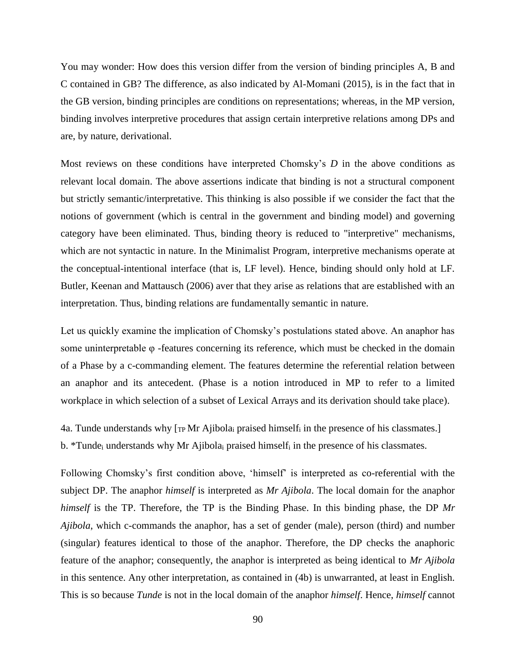You may wonder: How does this version differ from the version of binding principles A, B and C contained in GB? The difference, as also indicated by Al-Momani (2015), is in the fact that in the GB version, binding principles are conditions on representations; whereas, in the MP version, binding involves interpretive procedures that assign certain interpretive relations among DPs and are, by nature, derivational.

Most reviews on these conditions have interpreted Chomsky's *D* in the above conditions as relevant local domain. The above assertions indicate that binding is not a structural component but strictly semantic/interpretative. This thinking is also possible if we consider the fact that the notions of government (which is central in the government and binding model) and governing category have been eliminated. Thus, binding theory is reduced to "interpretive" mechanisms, which are not syntactic in nature. In the Minimalist Program, interpretive mechanisms operate at the conceptual-intentional interface (that is, LF level). Hence, binding should only hold at LF. Butler, Keenan and Mattausch (2006) aver that they arise as relations that are established with an interpretation. Thus, binding relations are fundamentally semantic in nature.

Let us quickly examine the implication of Chomsky's postulations stated above. An anaphor has some uninterpretable  $\varphi$  -features concerning its reference, which must be checked in the domain of a Phase by a c-commanding element. The features determine the referential relation between an anaphor and its antecedent. (Phase is a notion introduced in MP to refer to a limited workplace in which selection of a subset of Lexical Arrays and its derivation should take place).

4a. Tunde understands why  $[<sub>TP</sub> Mr Ajibola<sub>i</sub> prasied himself<sub>i</sub> in the presence of his classmates.]$ b. \*Tunde<sub>i</sub> understands why Mr Ajibola<sub>i</sub> praised himself<sub>i</sub> in the presence of his classmates.

Following Chomsky's first condition above, 'himself' is interpreted as co-referential with the subject DP. The anaphor *himself* is interpreted as *Mr Ajibola*. The local domain for the anaphor *himself* is the TP. Therefore, the TP is the Binding Phase. In this binding phase, the DP *Mr Ajibola*, which c-commands the anaphor, has a set of gender (male), person (third) and number (singular) features identical to those of the anaphor. Therefore, the DP checks the anaphoric feature of the anaphor; consequently, the anaphor is interpreted as being identical to *Mr Ajibola* in this sentence. Any other interpretation, as contained in (4b) is unwarranted, at least in English. This is so because *Tunde* is not in the local domain of the anaphor *himself*. Hence, *himself* cannot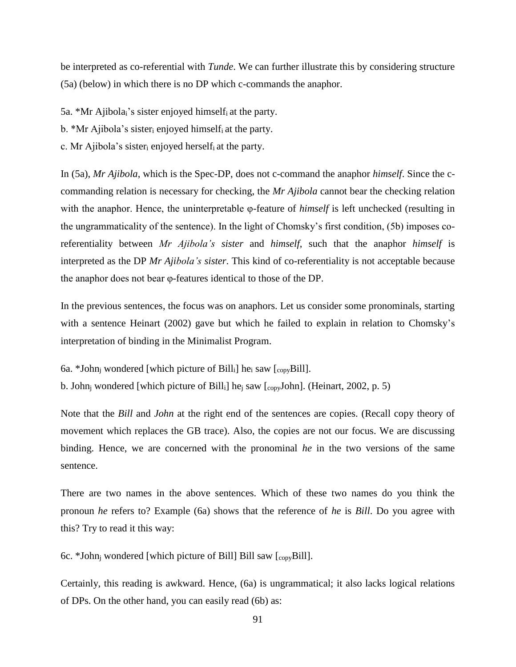be interpreted as co-referential with *Tunde*. We can further illustrate this by considering structure (5a) (below) in which there is no DP which c-commands the anaphor.

5a. \*Mr Ajibolai's sister enjoyed himselfi at the party.

b. \*Mr Ajibola's sister<sub>i</sub> enjoyed himself<sub>i</sub> at the party.

c. Mr Ajibola's sister<sub>i</sub> enjoyed herself<sub>i</sub> at the party.

In (5a), *Mr Ajibola*, which is the Spec-DP, does not c-command the anaphor *himself*. Since the ccommanding relation is necessary for checking, the *Mr Ajibola* cannot bear the checking relation with the anaphor. Hence, the uninterpretable φ-feature of *himself* is left unchecked (resulting in the ungrammaticality of the sentence). In the light of Chomsky's first condition, (5b) imposes coreferentiality between *Mr Ajibola's sister* and *himself*, such that the anaphor *himself* is interpreted as the DP *Mr Ajibola's sister*. This kind of co-referentiality is not acceptable because the anaphor does not bear φ-features identical to those of the DP.

In the previous sentences, the focus was on anaphors. Let us consider some pronominals, starting with a sentence Heinart (2002) gave but which he failed to explain in relation to Chomsky's interpretation of binding in the Minimalist Program.

6a. \*John<sub>i</sub> wondered [which picture of Bill<sub>i</sub>] he<sub>i</sub> saw [ $_{\text{copy}}$ Bill].

b. John<sub>j</sub> wondered [which picture of Bill<sub>i</sub>] he<sub>j</sub> saw [<sub>copy</sub>John]. (Heinart, 2002, p. 5)

Note that the *Bill* and *John* at the right end of the sentences are copies. (Recall copy theory of movement which replaces the GB trace). Also, the copies are not our focus. We are discussing binding. Hence, we are concerned with the pronominal *he* in the two versions of the same sentence.

There are two names in the above sentences. Which of these two names do you think the pronoun *he* refers to? Example (6a) shows that the reference of *he* is *Bill*. Do you agree with this? Try to read it this way:

6c. \*John<sub>i</sub> wondered [which picture of Bill] Bill saw  $\begin{bmatrix} \text{copyBill} \end{bmatrix}$ .

Certainly, this reading is awkward. Hence, (6a) is ungrammatical; it also lacks logical relations of DPs. On the other hand, you can easily read (6b) as: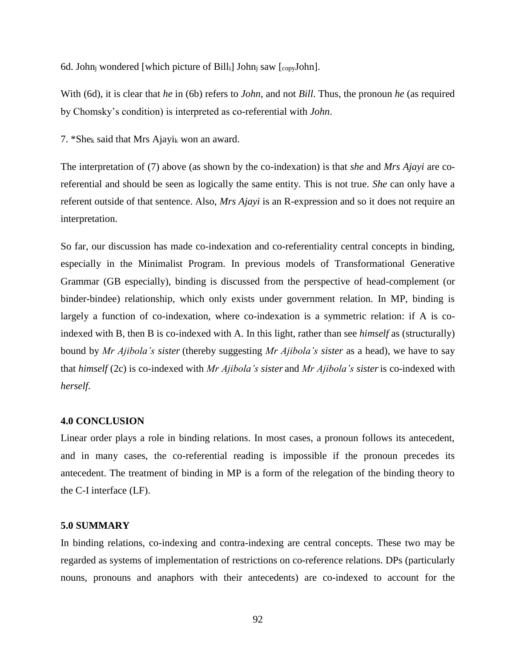6d. John<sub>i</sub> wondered [which picture of Bill<sub>i</sub>] John<sub>i</sub> saw  $[_{\text{copy}}$ John].

With (6d), it is clear that *he* in (6b) refers to *John*, and not *Bill*. Thus, the pronoun *he* (as required by Chomsky's condition) is interpreted as co-referential with *John*.

7. \*She<sup>k</sup> said that Mrs Ajayi<sup>k</sup> won an award.

The interpretation of (7) above (as shown by the co-indexation) is that *she* and *Mrs Ajayi* are coreferential and should be seen as logically the same entity. This is not true. *She* can only have a referent outside of that sentence. Also, *Mrs Ajayi* is an R-expression and so it does not require an interpretation.

So far, our discussion has made co-indexation and co-referentiality central concepts in binding, especially in the Minimalist Program. In previous models of Transformational Generative Grammar (GB especially), binding is discussed from the perspective of head-complement (or binder-bindee) relationship, which only exists under government relation. In MP, binding is largely a function of co-indexation, where co-indexation is a symmetric relation: if A is coindexed with B, then B is co-indexed with A. In this light, rather than see *himself* as (structurally) bound by *Mr Ajibola's sister* (thereby suggesting *Mr Ajibola's sister* as a head), we have to say that *himself* (2c) is co-indexed with *Mr Ajibola's sister* and *Mr Ajibola's sister*is co-indexed with *herself*.

#### **4.0 CONCLUSION**

Linear order plays a role in binding relations. In most cases, a pronoun follows its antecedent, and in many cases, the co-referential reading is impossible if the pronoun precedes its antecedent. The treatment of binding in MP is a form of the relegation of the binding theory to the C-I interface (LF).

### **5.0 SUMMARY**

In binding relations, co-indexing and contra-indexing are central concepts. These two may be regarded as systems of implementation of restrictions on co-reference relations. DPs (particularly nouns, pronouns and anaphors with their antecedents) are co-indexed to account for the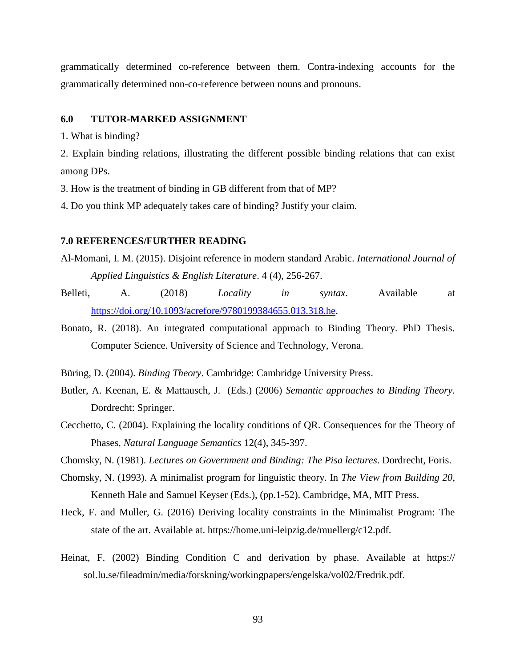grammatically determined co-reference between them. Contra-indexing accounts for the grammatically determined non-co-reference between nouns and pronouns.

### **6.0 TUTOR-MARKED ASSIGNMENT**

1. What is binding?

2. Explain binding relations, illustrating the different possible binding relations that can exist among DPs.

3. How is the treatment of binding in GB different from that of MP?

4. Do you think MP adequately takes care of binding? Justify your claim.

### **7.0 REFERENCES/FURTHER READING**

- Al-Momani, I. M. (2015). Disjoint reference in modern standard Arabic. *International Journal of Applied Linguistics & English Literature*. 4 (4), 256-267.
- Belleti, A. (2018) *Locality in syntax*. Available at [https://doi.org/10.1093/acrefore/9780199384655.013.318.he.](https://doi.org/10.1093/acrefore/9780199384655.013.318.he)
- Bonato, R. (2018). An integrated computational approach to Binding Theory. PhD Thesis. Computer Science. University of Science and Technology, Verona.
- Büring, D. (2004). *Binding Theory*. Cambridge: Cambridge University Press.
- Butler, A. Keenan, E. & Mattausch, J. (Eds.) (2006) *Semantic approaches to Binding Theory*. Dordrecht: Springer.
- Cecchetto, C. (2004). Explaining the locality conditions of QR. Consequences for the Theory of Phases, *Natural Language Semantics* 12(4), 345-397.
- Chomsky, N. (1981). *Lectures on Government and Binding: The Pisa lectures*. Dordrecht, Foris.
- Chomsky, N. (1993). A minimalist program for linguistic theory. In *The View from Building 20,* Kenneth Hale and Samuel Keyser (Eds.), (pp.1-52). Cambridge, MA, MIT Press.
- Heck, F. and Muller, G. (2016) Deriving locality constraints in the Minimalist Program: The state of the art. Available at. https://home.uni-leipzig.de/muellerg/c12.pdf.
- Heinat, F. (2002) Binding Condition C and derivation by phase. Available at https:// sol.lu.se/fileadmin/media/forskning/workingpapers/engelska/vol02/Fredrik.pdf.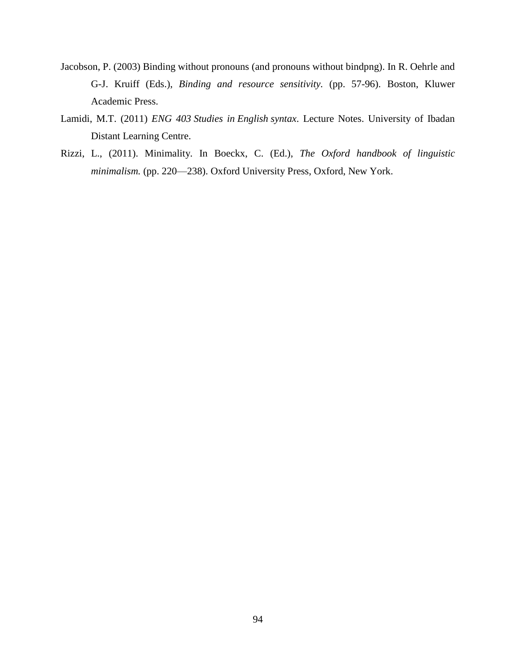- Jacobson, P. (2003) Binding without pronouns (and pronouns without bindpng). In R. Oehrle and G-J. Kruiff (Eds.), *Binding and resource sensitivity.* (pp. 57-96). Boston, Kluwer Academic Press.
- Lamidi, M.T. (2011) *ENG 403 Studies in English syntax*. Lecture Notes. University of Ibadan Distant Learning Centre.
- Rizzi, L., (2011). Minimality. In Boeckx, C. (Ed.), *The Oxford handbook of linguistic minimalism.* (pp. 220—238). Oxford University Press, Oxford, New York.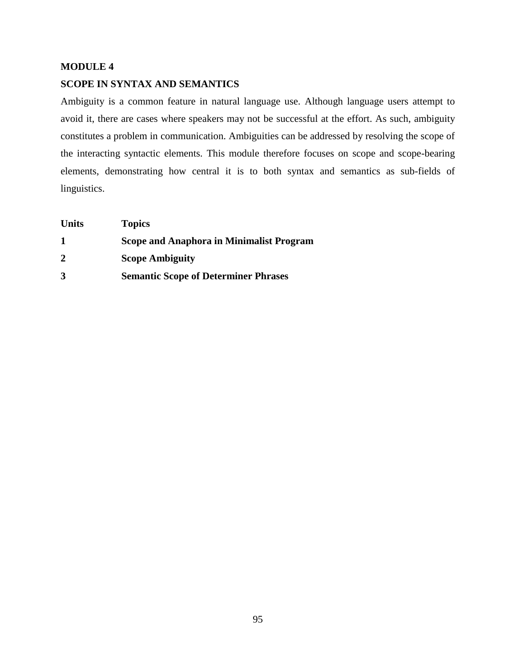# **MODULE 4 SCOPE IN SYNTAX AND SEMANTICS**

Ambiguity is a common feature in natural language use. Although language users attempt to avoid it, there are cases where speakers may not be successful at the effort. As such, ambiguity constitutes a problem in communication. Ambiguities can be addressed by resolving the scope of the interacting syntactic elements. This module therefore focuses on scope and scope-bearing elements, demonstrating how central it is to both syntax and semantics as sub-fields of linguistics.

| <b>Units</b> | <b>Topics</b>                                   |
|--------------|-------------------------------------------------|
| 1            | <b>Scope and Anaphora in Minimalist Program</b> |
| $\mathbf 2$  | <b>Scope Ambiguity</b>                          |
| 3            | <b>Semantic Scope of Determiner Phrases</b>     |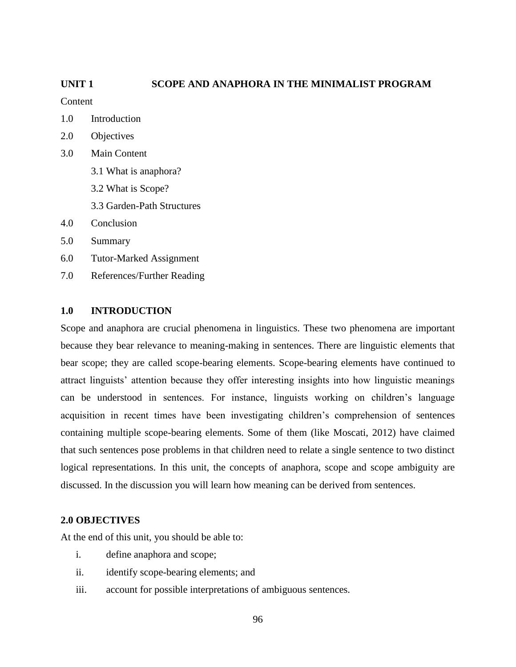# **UNIT 1 SCOPE AND ANAPHORA IN THE MINIMALIST PROGRAM**

**Content** 

- 1.0 Introduction
- 2.0 Objectives
- 3.0 Main Content
	- 3.1 What is anaphora?
	- 3.2 What is Scope?
	- 3.3 Garden-Path Structures
- 4.0 Conclusion
- 5.0 Summary
- 6.0 Tutor-Marked Assignment
- 7.0 References/Further Reading

# **1.0 INTRODUCTION**

Scope and anaphora are crucial phenomena in linguistics. These two phenomena are important because they bear relevance to meaning-making in sentences. There are linguistic elements that bear scope; they are called scope-bearing elements. Scope-bearing elements have continued to attract linguists' attention because they offer interesting insights into how linguistic meanings can be understood in sentences. For instance, linguists working on children's language acquisition in recent times have been investigating children's comprehension of sentences containing multiple scope-bearing elements. Some of them (like Moscati, 2012) have claimed that such sentences pose problems in that children need to relate a single sentence to two distinct logical representations. In this unit, the concepts of anaphora, scope and scope ambiguity are discussed. In the discussion you will learn how meaning can be derived from sentences.

## **2.0 OBJECTIVES**

At the end of this unit, you should be able to:

- i. define anaphora and scope;
- ii. identify scope-bearing elements; and
- iii. account for possible interpretations of ambiguous sentences.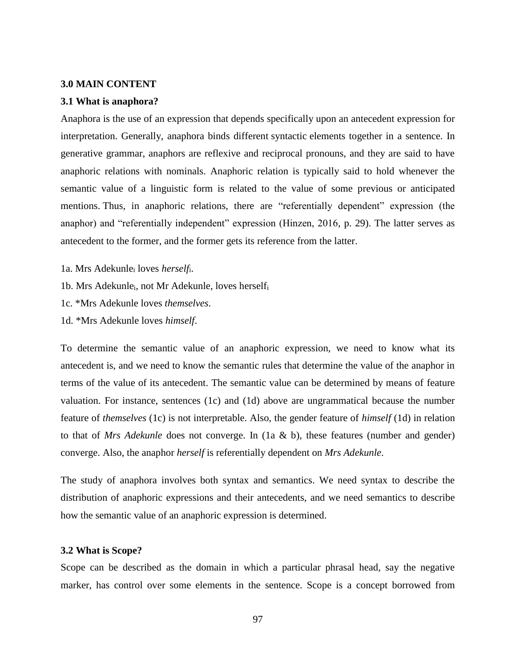#### **3.0 MAIN CONTENT**

#### **3.1 What is anaphora?**

Anaphora is the use of an expression that depends specifically upon an antecedent expression for interpretation. Generally, anaphora binds different syntactic elements together in a sentence. In generative grammar, anaphors are reflexive and reciprocal pronouns, and they are said to have anaphoric relations with nominals. Anaphoric relation is typically said to hold whenever the semantic value of a linguistic form is related to the value of some previous or anticipated mentions. Thus, in anaphoric relations, there are "referentially dependent" expression (the anaphor) and "referentially independent" expression (Hinzen, 2016, p. 29). The latter serves as antecedent to the former, and the former gets its reference from the latter.

- 1a. Mrs Adekunle<sup>i</sup> loves *herself*i.
- 1b. Mrs Adekunlei, not Mr Adekunle, loves herself<sup>i</sup>
- 1c. \*Mrs Adekunle loves *themselves*.
- 1d. \*Mrs Adekunle loves *himself*.

To determine the semantic value of an anaphoric expression, we need to know what its antecedent is, and we need to know the semantic rules that determine the value of the anaphor in terms of the value of its antecedent. The semantic value can be determined by means of feature valuation. For instance, sentences (1c) and (1d) above are ungrammatical because the number feature of *themselves* (1c) is not interpretable. Also, the gender feature of *himself* (1d) in relation to that of *Mrs Adekunle* does not converge. In (1a & b), these features (number and gender) converge. Also, the anaphor *herself* is referentially dependent on *Mrs Adekunle*.

The study of anaphora involves both syntax and semantics. We need syntax to describe the distribution of anaphoric expressions and their antecedents, and we need semantics to describe how the semantic value of an anaphoric expression is determined.

### **3.2 What is Scope?**

Scope can be described as the domain in which a particular phrasal head, say the negative marker, has control over some elements in the sentence. Scope is a concept borrowed from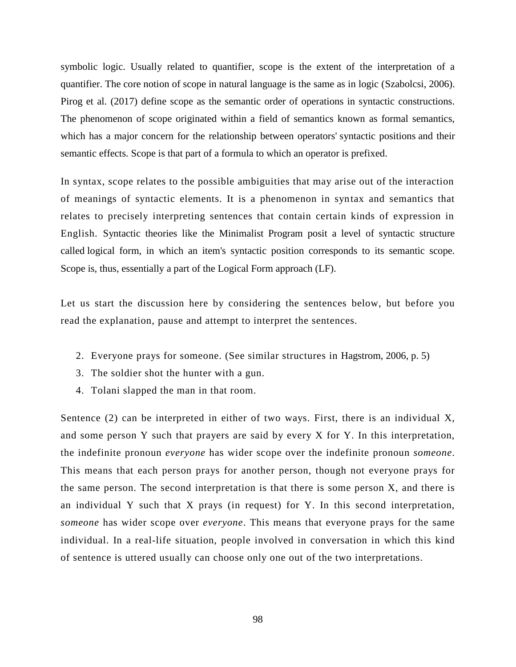symbolic logic. Usually related to quantifier, scope is the extent of the interpretation of a quantifier. The core notion of scope in natural language is the same as in logic (Szabolcsi, 2006). Pirog et al. (2017) define scope as the semantic order of operations in syntactic constructions. The phenomenon of scope originated within a field of semantics known as formal semantics, which has a major concern for the relationship between operators' syntactic positions and their semantic effects. Scope is that part of a formula to which an operator is prefixed.

In syntax, scope relates to the possible ambiguities that may arise out of the interaction of meanings of syntactic elements. It is a phenomenon in syntax and semantics that relates to precisely interpreting sentences that contain certain kinds of expression in English. Syntactic theories like the Minimalist Program posit a level of syntactic structure called logical form, in which an item's syntactic position corresponds to its semantic scope. Scope is, thus, essentially a part of the Logical Form approach (LF).

Let us start the discussion here by considering the sentences below, but before you read the explanation, pause and attempt to interpret the sentences.

- 2. Everyone prays for someone. (See similar structures in Hagstrom, 2006, p. 5)
- 3. The soldier shot the hunter with a gun.
- 4. Tolani slapped the man in that room.

Sentence (2) can be interpreted in either of two ways. First, there is an individual X, and some person Y such that prayers are said by every X for Y. In this interpretation, the indefinite pronoun *everyone* has wider scope over the indefinite pronoun *someone*. This means that each person prays for another person, though not everyone prays for the same person. The second interpretation is that there is some person X, and there is an individual Y such that X prays (in request) for Y. In this second interpretation, *someone* has wider scope over *everyone*. This means that everyone prays for the same individual. In a real-life situation, people involved in conversation in which this kind of sentence is uttered usually can choose only one out of the two interpretations.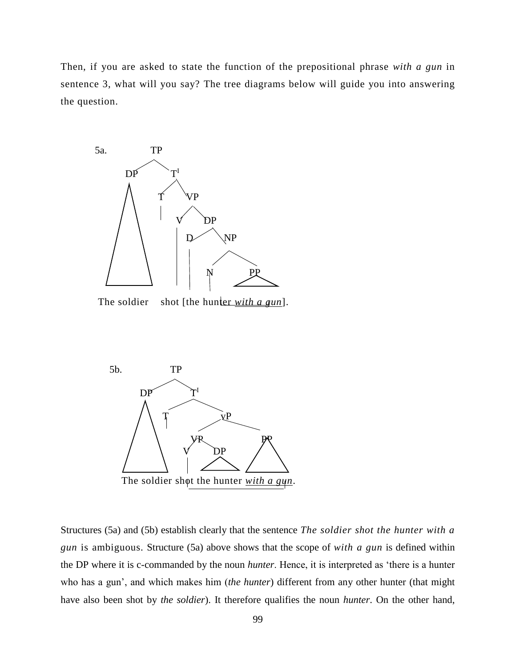Then, if you are asked to state the function of the prepositional phrase *with a gun* in sentence 3, what will you say? The tree diagrams below will guide you into answering the question.



The soldier shot [the hunter *with a gun*].



Structures (5a) and (5b) establish clearly that the sentence *The soldier shot the hunter with a gun* is ambiguous. Structure (5a) above shows that the scope of *with a gun* is defined within the DP where it is c-commanded by the noun *hunter*. Hence, it is interpreted as 'there is a hunter who has a gun', and which makes him (*the hunter*) different from any other hunter (that might have also been shot by *the soldier*). It therefore qualifies the noun *hunter*. On the other hand,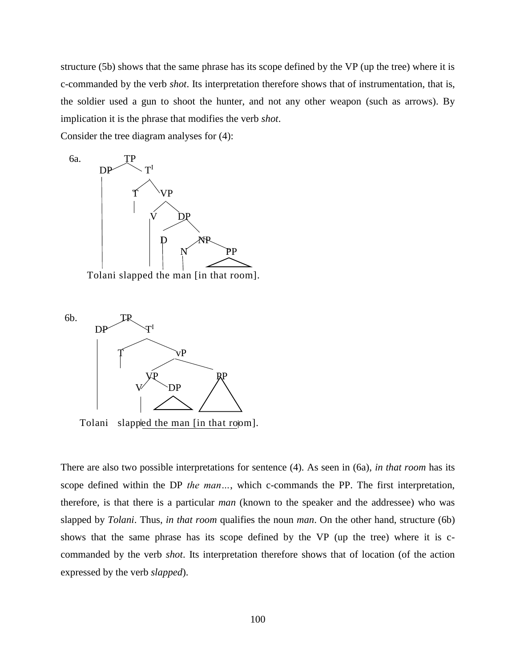structure (5b) shows that the same phrase has its scope defined by the VP (up the tree) where it is c-commanded by the verb *shot*. Its interpretation therefore shows that of instrumentation, that is, the soldier used a gun to shoot the hunter, and not any other weapon (such as arrows). By implication it is the phrase that modifies the verb *shot*.

Consider the tree diagram analyses for (4):



Tolani slapped the man [in that room].



Tolani slapped the man [in that room].

There are also two possible interpretations for sentence (4). As seen in (6a), *in that room* has its scope defined within the DP *the man…*, which c-commands the PP. The first interpretation, therefore, is that there is a particular *man* (known to the speaker and the addressee) who was slapped by *Tolani*. Thus, *in that room* qualifies the noun *man*. On the other hand, structure (6b) shows that the same phrase has its scope defined by the VP (up the tree) where it is ccommanded by the verb *shot*. Its interpretation therefore shows that of location (of the action expressed by the verb *slapped*).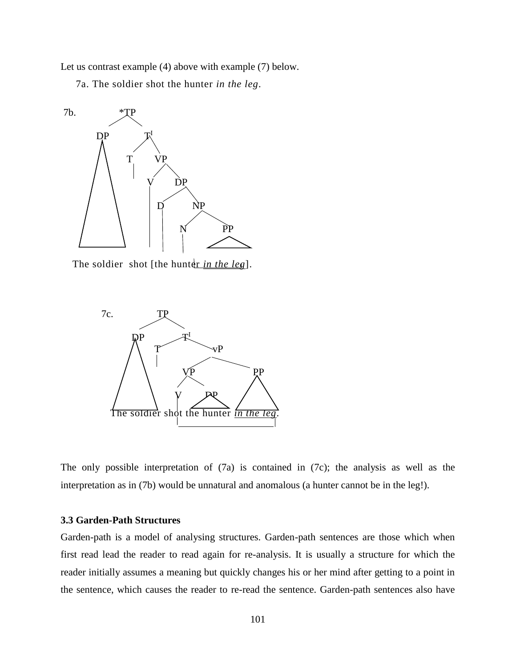Let us contrast example (4) above with example (7) below.

7a. The soldier shot the hunter *in the leg*.



The soldier shot [the hunter *in the leg*].



The only possible interpretation of (7a) is contained in (7c); the analysis as well as the interpretation as in (7b) would be unnatural and anomalous (a hunter cannot be in the leg!).

# **3.3 Garden-Path Structures**

Garden-path is a model of analysing structures. Garden-path sentences are those which when first read lead the reader to read again for re-analysis. It is usually a structure for which the reader initially assumes a meaning but quickly changes his or her mind after getting to a point in the sentence, which causes the reader to re-read the sentence. Garden-path sentences also have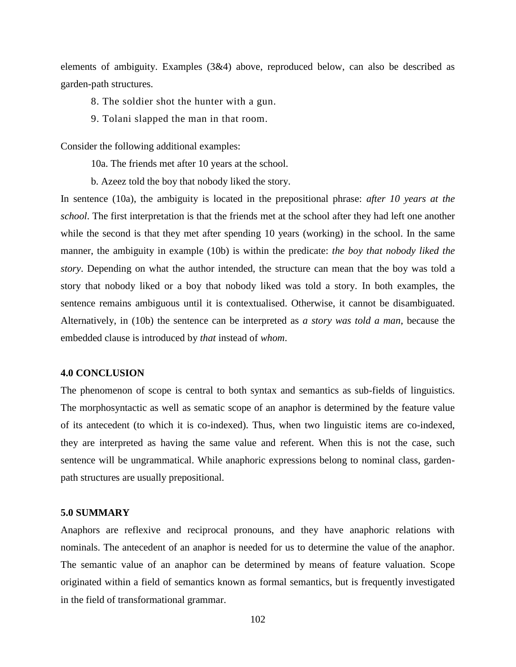elements of ambiguity. Examples (3&4) above, reproduced below, can also be described as garden-path structures.

- 8. The soldier shot the hunter with a gun.
- 9. Tolani slapped the man in that room.

Consider the following additional examples:

10a. The friends met after 10 years at the school.

b. Azeez told the boy that nobody liked the story.

In sentence (10a), the ambiguity is located in the prepositional phrase: *after 10 years at the school*. The first interpretation is that the friends met at the school after they had left one another while the second is that they met after spending 10 years (working) in the school. In the same manner, the ambiguity in example (10b) is within the predicate: *the boy that nobody liked the story*. Depending on what the author intended, the structure can mean that the boy was told a story that nobody liked or a boy that nobody liked was told a story. In both examples, the sentence remains ambiguous until it is contextualised. Otherwise, it cannot be disambiguated. Alternatively, in (10b) the sentence can be interpreted as *a story was told a man*, because the embedded clause is introduced by *that* instead of *whom*.

### **4.0 CONCLUSION**

The phenomenon of scope is central to both syntax and semantics as sub-fields of linguistics. The morphosyntactic as well as sematic scope of an anaphor is determined by the feature value of its antecedent (to which it is co-indexed). Thus, when two linguistic items are co-indexed, they are interpreted as having the same value and referent. When this is not the case, such sentence will be ungrammatical. While anaphoric expressions belong to nominal class, gardenpath structures are usually prepositional.

#### **5.0 SUMMARY**

Anaphors are reflexive and reciprocal pronouns, and they have anaphoric relations with nominals. The antecedent of an anaphor is needed for us to determine the value of the anaphor. The semantic value of an anaphor can be determined by means of feature valuation. Scope originated within a field of semantics known as formal semantics, but is frequently investigated in the field of transformational grammar.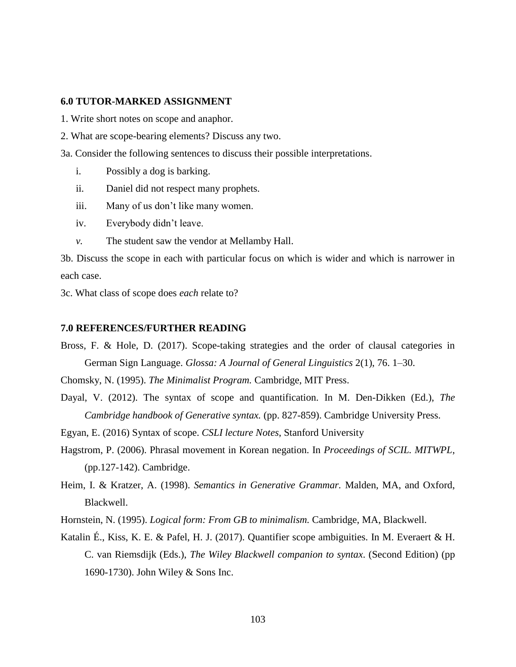# **6.0 TUTOR-MARKED ASSIGNMENT**

- 1. Write short notes on scope and anaphor.
- 2. What are scope-bearing elements? Discuss any two.
- 3a. Consider the following sentences to discuss their possible interpretations.
	- i. Possibly a dog is barking.
	- ii. Daniel did not respect many prophets.
	- iii. Many of us don't like many women.
	- iv. Everybody didn't leave.
	- *v.* The student saw the vendor at Mellamby Hall.

3b. Discuss the scope in each with particular focus on which is wider and which is narrower in each case.

3c. What class of scope does *each* relate to?

#### **7.0 REFERENCES/FURTHER READING**

Bross, F. & Hole, D. (2017). Scope-taking strategies and the order of clausal categories in German Sign Language. *Glossa: A Journal of General Linguistics* 2(1), 76. 1–30.

Chomsky, N. (1995). *The Minimalist Program.* Cambridge, MIT Press.

Dayal, V. (2012). The syntax of scope and quantification. In M. Den-Dikken (Ed.), *The Cambridge handbook of Generative syntax.* (pp. 827-859). Cambridge University Press.

Egyan, E. (2016) Syntax of scope. *CSLI lecture Notes*, Stanford University

- Hagstrom, P. (2006). Phrasal movement in Korean negation. In *Proceedings of SCIL. MITWPL*, (pp.127-142). Cambridge.
- Heim, I. & Kratzer, A. (1998). *Semantics in Generative Grammar.* Malden, MA, and Oxford, Blackwell.

Hornstein, N. (1995). *Logical form: From GB to minimalism.* Cambridge, MA, Blackwell.

Katalin É., Kiss, K. E. & Pafel, H. J. (2017). Quantifier scope ambiguities. In M. Everaert & H. C. van Riemsdijk (Eds.), *The Wiley Blackwell companion to syntax*. (Second Edition) (pp 1690-1730). John Wiley & Sons Inc.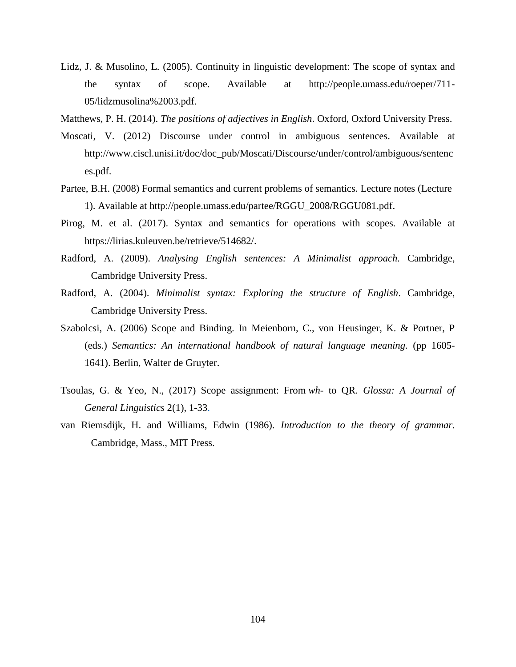- Lidz, J. & Musolino, L. (2005). Continuity in linguistic development: The scope of syntax and the syntax of scope. Available at http://people.umass.edu/roeper/711- 05/lidzmusolina%2003.pdf.
- Matthews, P. H. (2014). *The positions of adjectives in English*. Oxford, Oxford University Press.
- Moscati, V. (2012) Discourse under control in ambiguous sentences. Available at http://www.ciscl.unisi.it/doc/doc\_pub/Moscati/Discourse/under/control/ambiguous/sentenc es.pdf.
- Partee, B.H. (2008) Formal semantics and current problems of semantics. Lecture notes (Lecture 1). Available at http://people.umass.edu/partee/RGGU\_2008/RGGU081.pdf.
- Pirog, M. et al. (2017). Syntax and semantics for operations with scopes*.* Available at https://lirias.kuleuven.be/retrieve/514682/.
- Radford, A. (2009). *Analysing English sentences: A Minimalist approach.* Cambridge, Cambridge University Press.
- Radford, A. (2004). *Minimalist syntax: Exploring the structure of English*. Cambridge, Cambridge University Press.
- Szabolcsi, A. (2006) Scope and Binding. In Meienborn, C., von Heusinger, K. & Portner, P (eds.) *Semantics: An international handbook of natural language meaning.* (pp 1605- 1641). Berlin, Walter de Gruyter.
- Tsoulas, G. & Yeo, N., (2017) Scope assignment: From *wh* to QR. *Glossa: A Journal of General Linguistics* 2(1), 1-33.
- van Riemsdijk, H. and Williams, Edwin (1986). *Introduction to the theory of grammar.*  Cambridge, Mass., MIT Press.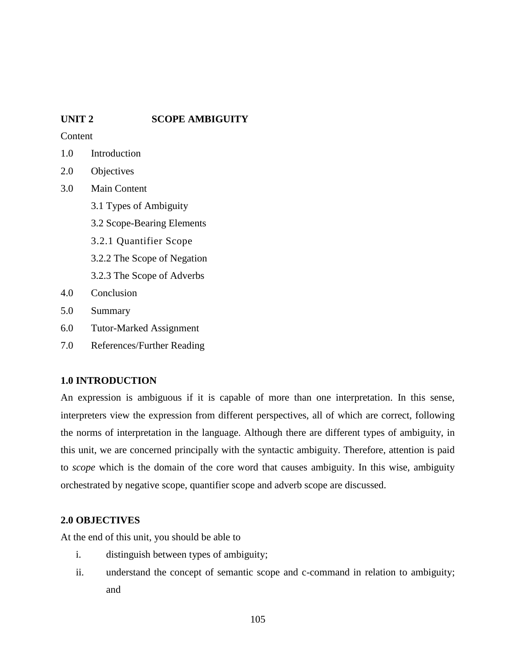# **UNIT 2 SCOPE AMBIGUITY**

**Content** 

- 1.0 Introduction
- 2.0 Objectives
- 3.0 Main Content
	- 3.1 Types of Ambiguity
	- 3.2 Scope-Bearing Elements
	- 3.2.1 Quantifier Scope
	- 3.2.2 The Scope of Negation
	- 3.2.3 The Scope of Adverbs
- 4.0 Conclusion
- 5.0 Summary
- 6.0 Tutor-Marked Assignment
- 7.0 References/Further Reading

# **1.0 INTRODUCTION**

An expression is ambiguous if it is capable of more than one interpretation. In this sense, interpreters view the expression from different perspectives, all of which are correct, following the norms of interpretation in the language. Although there are different types of ambiguity, in this unit, we are concerned principally with the syntactic ambiguity. Therefore, attention is paid to *scope* which is the domain of the core word that causes ambiguity. In this wise, ambiguity orchestrated by negative scope, quantifier scope and adverb scope are discussed.

# **2.0 OBJECTIVES**

At the end of this unit, you should be able to

- i. distinguish between types of ambiguity;
- ii. understand the concept of semantic scope and c-command in relation to ambiguity; and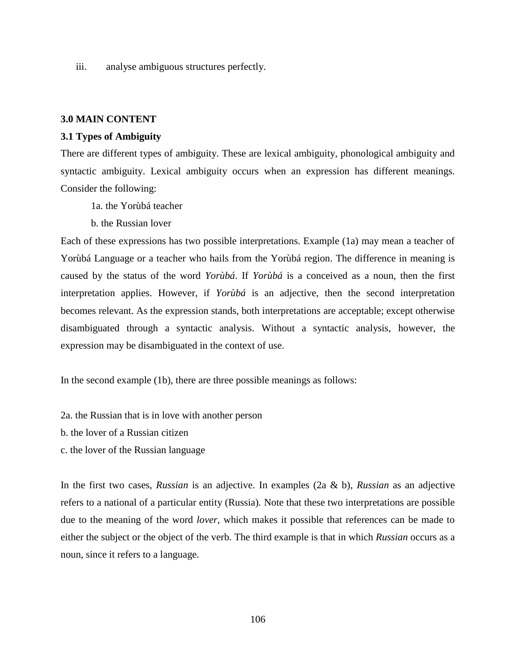iii. analyse ambiguous structures perfectly.

#### **3.0 MAIN CONTENT**

### **3.1 Types of Ambiguity**

There are different types of ambiguity. These are lexical ambiguity, phonological ambiguity and syntactic ambiguity. Lexical ambiguity occurs when an expression has different meanings. Consider the following:

1a. the Yorùbá teacher

b. the Russian lover

Each of these expressions has two possible interpretations. Example (1a) may mean a teacher of Yorùbá Language or a teacher who hails from the Yorùbá region. The difference in meaning is caused by the status of the word *Yorùbá*. If *Yorùbá* is a conceived as a noun, then the first interpretation applies. However, if *Yorùbá* is an adjective, then the second interpretation becomes relevant. As the expression stands, both interpretations are acceptable; except otherwise disambiguated through a syntactic analysis. Without a syntactic analysis, however, the expression may be disambiguated in the context of use.

In the second example (1b), there are three possible meanings as follows:

2a. the Russian that is in love with another person

b. the lover of a Russian citizen

c. the lover of the Russian language

In the first two cases, *Russian* is an adjective. In examples (2a & b), *Russian* as an adjective refers to a national of a particular entity (Russia)*.* Note that these two interpretations are possible due to the meaning of the word *lover,* which makes it possible that references can be made to either the subject or the object of the verb*.* The third example is that in which *Russian* occurs as a noun, since it refers to a language.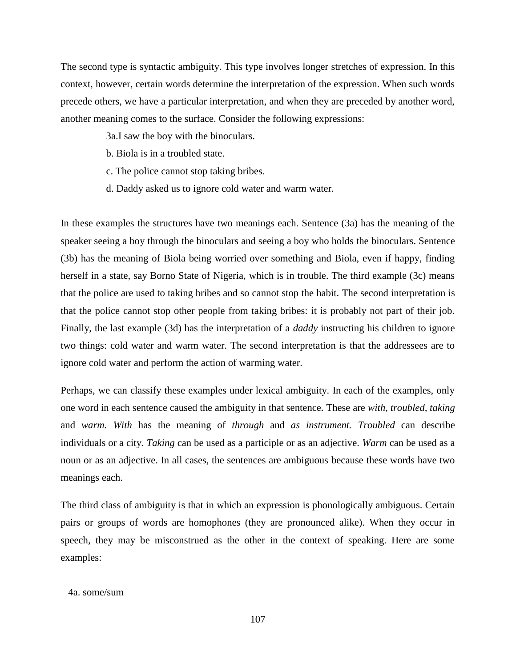The second type is syntactic ambiguity. This type involves longer stretches of expression. In this context, however, certain words determine the interpretation of the expression. When such words precede others, we have a particular interpretation, and when they are preceded by another word, another meaning comes to the surface. Consider the following expressions:

- 3a.I saw the boy with the binoculars.
- b. Biola is in a troubled state.
- c. The police cannot stop taking bribes.
- d. Daddy asked us to ignore cold water and warm water.

In these examples the structures have two meanings each. Sentence (3a) has the meaning of the speaker seeing a boy through the binoculars and seeing a boy who holds the binoculars. Sentence (3b) has the meaning of Biola being worried over something and Biola, even if happy, finding herself in a state, say Borno State of Nigeria, which is in trouble. The third example (3c) means that the police are used to taking bribes and so cannot stop the habit. The second interpretation is that the police cannot stop other people from taking bribes: it is probably not part of their job. Finally, the last example (3d) has the interpretation of a *daddy* instructing his children to ignore two things: cold water and warm water. The second interpretation is that the addressees are to ignore cold water and perform the action of warming water.

Perhaps, we can classify these examples under lexical ambiguity. In each of the examples, only one word in each sentence caused the ambiguity in that sentence. These are *with, troubled, taking*  and *warm. With* has the meaning of *through* and *as instrument. Troubled* can describe individuals or a city*. Taking* can be used as a participle or as an adjective. *Warm* can be used as a noun or as an adjective. In all cases, the sentences are ambiguous because these words have two meanings each.

The third class of ambiguity is that in which an expression is phonologically ambiguous. Certain pairs or groups of words are homophones (they are pronounced alike). When they occur in speech, they may be misconstrued as the other in the context of speaking. Here are some examples:

# 4a. some/sum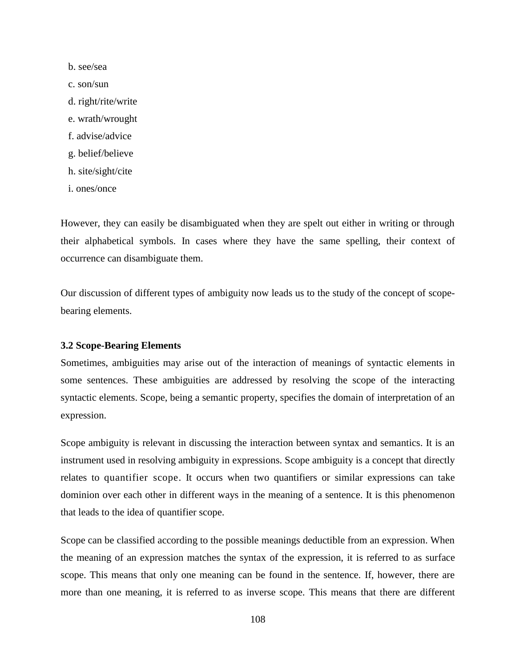b. see/sea c. son/sun d. right/rite/write e. wrath/wrought f. advise/advice g. belief/believe h. site/sight/cite i. ones/once

However, they can easily be disambiguated when they are spelt out either in writing or through their alphabetical symbols. In cases where they have the same spelling, their context of occurrence can disambiguate them.

Our discussion of different types of ambiguity now leads us to the study of the concept of scopebearing elements.

## **3.2 Scope-Bearing Elements**

Sometimes, ambiguities may arise out of the interaction of meanings of syntactic elements in some sentences. These ambiguities are addressed by resolving the scope of the interacting syntactic elements. Scope, being a semantic property, specifies the domain of interpretation of an expression.

Scope ambiguity is relevant in discussing the interaction between syntax and semantics. It is an instrument used in resolving ambiguity in expressions. Scope ambiguity is a concept that directly relates to quantifier scope. It occurs when two quantifiers or similar expressions can take dominion over each other in different ways in the meaning of a sentence. It is this phenomenon that leads to the idea of quantifier scope.

Scope can be classified according to the possible meanings deductible from an expression. When the meaning of an expression matches the syntax of the expression, it is referred to as surface scope. This means that only one meaning can be found in the sentence. If, however, there are more than one meaning, it is referred to as inverse scope. This means that there are different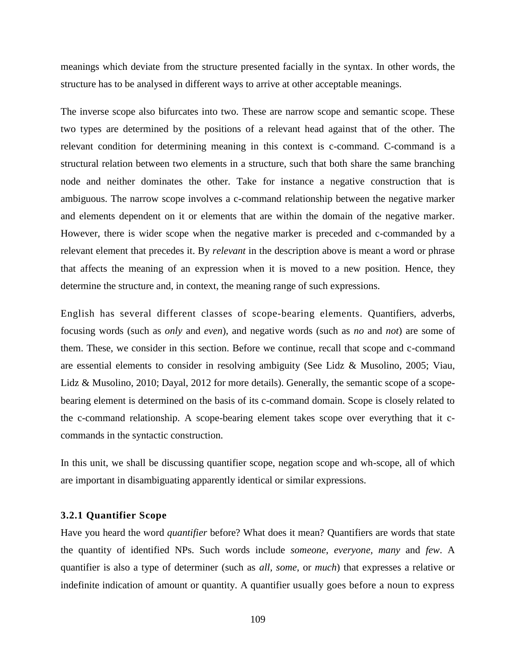meanings which deviate from the structure presented facially in the syntax. In other words, the structure has to be analysed in different ways to arrive at other acceptable meanings.

The inverse scope also bifurcates into two. These are narrow scope and semantic scope. These two types are determined by the positions of a relevant head against that of the other. The relevant condition for determining meaning in this context is c-command. C-command is a structural relation between two elements in a structure, such that both share the same branching node and neither dominates the other. Take for instance a negative construction that is ambiguous. The narrow scope involves a c-command relationship between the negative marker and elements dependent on it or elements that are within the domain of the negative marker. However, there is wider scope when the negative marker is preceded and c-commanded by a relevant element that precedes it. By *relevant* in the description above is meant a word or phrase that affects the meaning of an expression when it is moved to a new position. Hence, they determine the structure and, in context, the meaning range of such expressions.

English has several different classes of scope-bearing elements. Quantifiers, adverbs, focusing words (such as *only* and *even*), and negative words (such as *no* and *not*) are some of them. These, we consider in this section. Before we continue, recall that scope and c-command are essential elements to consider in resolving ambiguity (See Lidz & Musolino, 2005; Viau, Lidz & Musolino, 2010; Dayal, 2012 for more details). Generally, the semantic scope of a scopebearing element is determined on the basis of its c-command domain. Scope is closely related to the c-command relationship. A scope-bearing element takes scope over everything that it ccommands in the syntactic construction.

In this unit, we shall be discussing quantifier scope, negation scope and wh-scope, all of which are important in disambiguating apparently identical or similar expressions.

### **3.2.1 Quantifier Scope**

Have you heard the word *quantifier* before? What does it mean? Quantifiers are words that state the quantity of identified NPs. Such words include *someone*, *everyone, many* and *few*. A quantifier is also a type of determiner (such as *all, some*, or *much*) that expresses a relative or indefinite indication of amount or quantity. A quantifier usually goes before a noun to express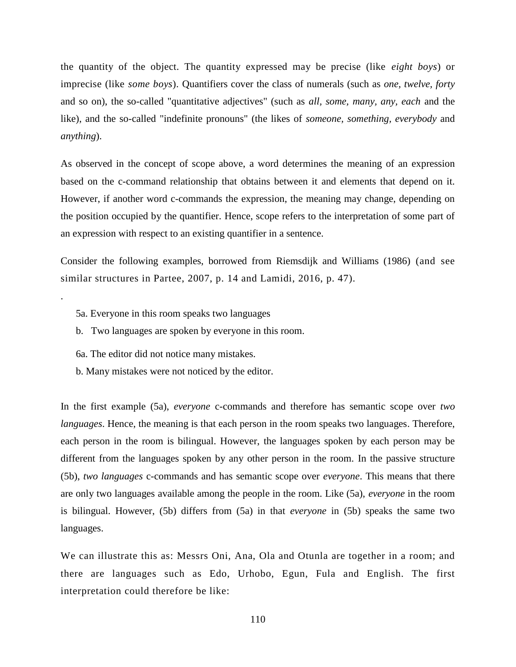the quantity of the object. The quantity expressed may be precise (like *eight boys*) or imprecise (like *some boys*). Quantifiers cover the class of numerals (such as *one, twelve, forty* and so on), the so-called "quantitative adjectives" (such as *all, some, many, any, each* and the like), and the so-called "indefinite pronouns" (the likes of *someone, something, everybody* and *anything*).

As observed in the concept of scope above, a word determines the meaning of an expression based on the c-command relationship that obtains between it and elements that depend on it. However, if another word c-commands the expression, the meaning may change, depending on the position occupied by the quantifier. Hence, scope refers to the interpretation of some part of an expression with respect to an existing quantifier in a sentence.

Consider the following examples, borrowed from Riemsdijk and Williams (1986) (and see similar structures in Partee, 2007, p. 14 and Lamidi, 2016, p. 47).

5a. Everyone in this room speaks two languages

.

- b. Two languages are spoken by everyone in this room.
- 6a. The editor did not notice many mistakes.
- b. Many mistakes were not noticed by the editor.

In the first example (5a), *everyone* c-commands and therefore has semantic scope over *two languages*. Hence, the meaning is that each person in the room speaks two languages. Therefore, each person in the room is bilingual. However, the languages spoken by each person may be different from the languages spoken by any other person in the room. In the passive structure (5b), *two languages* c-commands and has semantic scope over *everyone*. This means that there are only two languages available among the people in the room. Like (5a), *everyone* in the room is bilingual. However, (5b) differs from (5a) in that *everyone* in (5b) speaks the same two languages.

We can illustrate this as: Messrs Oni, Ana, Ola and Otunla are together in a room; and there are languages such as Edo, Urhobo, Egun, Fula and English. The first interpretation could therefore be like: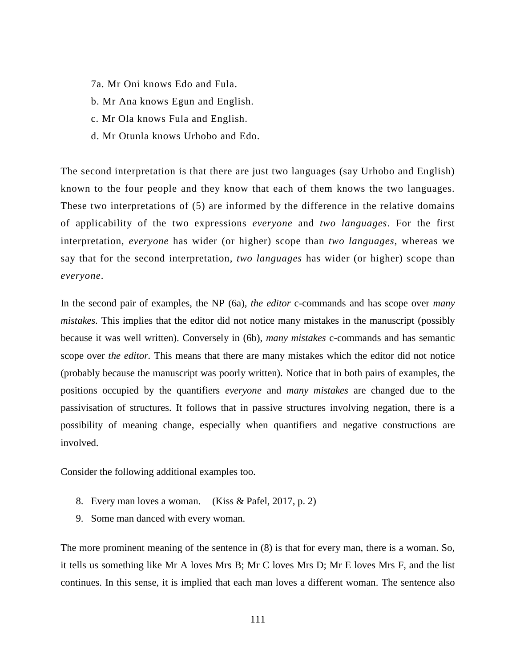- 7a. Mr Oni knows Edo and Fula.
- b. Mr Ana knows Egun and English.
- c. Mr Ola knows Fula and English.
- d. Mr Otunla knows Urhobo and Edo.

The second interpretation is that there are just two languages (say Urhobo and English) known to the four people and they know that each of them knows the two languages. These two interpretations of (5) are informed by the difference in the relative domains of applicability of the two expressions *everyone* and *two languages*. For the first interpretation, *everyone* has wider (or higher) scope than *two languages*, whereas we say that for the second interpretation, *two languages* has wider (or higher) scope than *everyone*.

In the second pair of examples, the NP (6a), *the editor* c-commands and has scope over *many mistakes.* This implies that the editor did not notice many mistakes in the manuscript (possibly because it was well written). Conversely in (6b), *many mistakes* c-commands and has semantic scope over *the editor.* This means that there are many mistakes which the editor did not notice (probably because the manuscript was poorly written). Notice that in both pairs of examples, the positions occupied by the quantifiers *everyone* and *many mistakes* are changed due to the passivisation of structures. It follows that in passive structures involving negation, there is a possibility of meaning change, especially when quantifiers and negative constructions are involved.

Consider the following additional examples too.

- 8. Every man loves a woman. (Kiss & Pafel, 2017, p. 2)
- 9. Some man danced with every woman.

The more prominent meaning of the sentence in (8) is that for every man, there is a woman. So, it tells us something like Mr A loves Mrs B; Mr C loves Mrs D; Mr E loves Mrs F, and the list continues. In this sense, it is implied that each man loves a different woman. The sentence also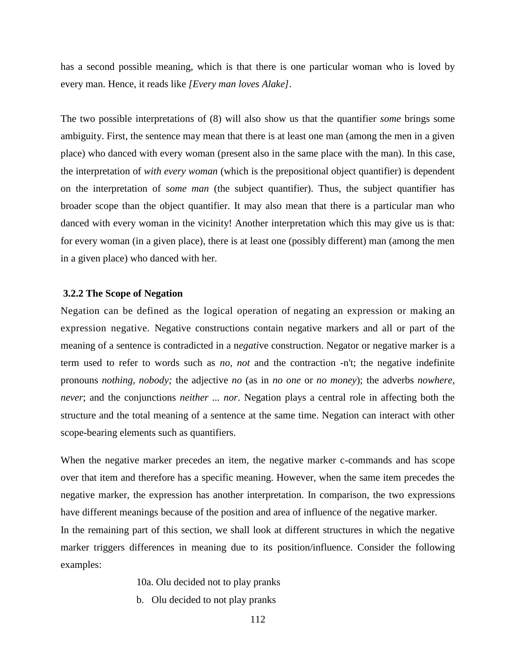has a second possible meaning, which is that there is one particular woman who is loved by every man. Hence, it reads like *[Every man loves Alake]*.

The two possible interpretations of (8) will also show us that the quantifier *some* brings some ambiguity. First, the sentence may mean that there is at least one man (among the men in a given place) who danced with every woman (present also in the same place with the man). In this case, the interpretation of *with every woman* (which is the prepositional object quantifier) is dependent on the interpretation of s*ome man* (the subject quantifier). Thus, the subject quantifier has broader scope than the object quantifier. It may also mean that there is a particular man who danced with every woman in the vicinity! Another interpretation which this may give us is that: for every woman (in a given place), there is at least one (possibly different) man (among the men in a given place) who danced with her.

### **3.2.2 The Scope of Negation**

Negation can be defined as the logical operation of negating an expression or making an expression negative. Negative constructions contain negative markers and all or part of the meaning of a sentence is contradicted in a n*egati*ve construction. Negator or negative marker is a term used to refer to words such as *no, not* and the contraction -n't; the negative indefinite pronouns *nothing, nobody;* the adjective *no* (as in *no one* or *no money*); the adverbs *nowhere, never*; and the conjunctions *neither ... nor*. Negation plays a central role in affecting both the structure and the total meaning of a sentence at the same time. Negation can interact with other scope-bearing elements such as quantifiers.

When the negative marker precedes an item, the negative marker c-commands and has scope over that item and therefore has a specific meaning. However, when the same item precedes the negative marker, the expression has another interpretation. In comparison, the two expressions have different meanings because of the position and area of influence of the negative marker. In the remaining part of this section, we shall look at different structures in which the negative marker triggers differences in meaning due to its position/influence. Consider the following examples:

10a. Olu decided not to play pranks

b. Olu decided to not play pranks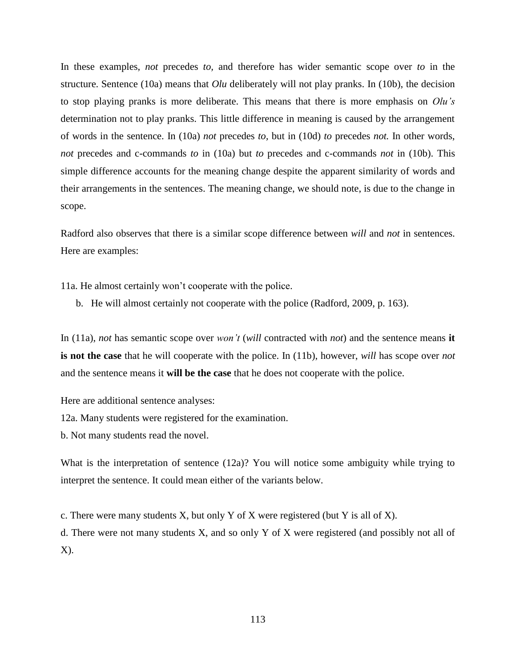In these examples, *not* precedes *to,* and therefore has wider semantic scope over *to* in the structure. Sentence (10a) means that *Olu* deliberately will not play pranks. In (10b), the decision to stop playing pranks is more deliberate. This means that there is more emphasis on *Olu's* determination not to play pranks. This little difference in meaning is caused by the arrangement of words in the sentence. In (10a) *not* precedes *to,* but in (10d) *to* precedes *not.* In other words, *not* precedes and c-commands *to* in (10a) but *to* precedes and c-commands *not* in (10b). This simple difference accounts for the meaning change despite the apparent similarity of words and their arrangements in the sentences. The meaning change, we should note, is due to the change in scope.

Radford also observes that there is a similar scope difference between *will* and *not* in sentences. Here are examples:

11a. He almost certainly won't cooperate with the police.

b. He will almost certainly not cooperate with the police (Radford, 2009, p. 163).

In (11a), *not* has semantic scope over *won't* (*will* contracted with *not*) and the sentence means **it is not the case** that he will cooperate with the police. In (11b), however, *will* has scope over *not* and the sentence means it **will be the case** that he does not cooperate with the police.

Here are additional sentence analyses:

12a. Many students were registered for the examination.

b. Not many students read the novel.

What is the interpretation of sentence (12a)? You will notice some ambiguity while trying to interpret the sentence. It could mean either of the variants below.

c. There were many students  $X$ , but only  $Y$  of  $X$  were registered (but  $Y$  is all of  $X$ ).

d. There were not many students X, and so only Y of X were registered (and possibly not all of X).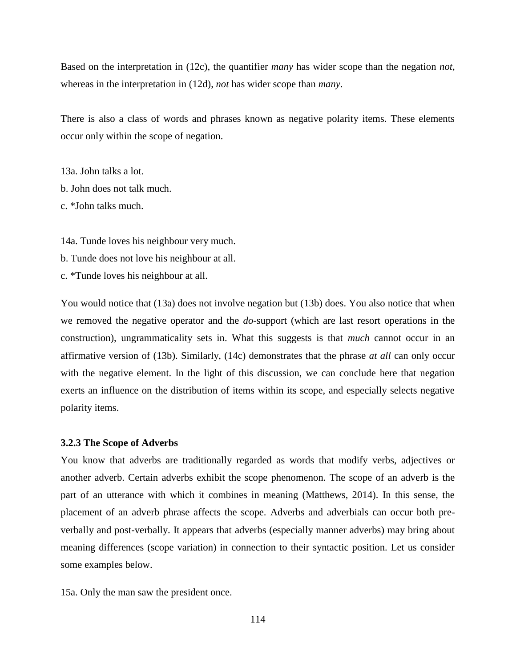Based on the interpretation in (12c), the quantifier *many* has wider scope than the negation *not*, whereas in the interpretation in (12d), *not* has wider scope than *many*.

There is also a class of words and phrases known as negative polarity items. These elements occur only within the scope of negation.

13a. John talks a lot. b. John does not talk much. c. \*John talks much.

14a. Tunde loves his neighbour very much.

- b. Tunde does not love his neighbour at all.
- c. \*Tunde loves his neighbour at all.

You would notice that (13a) does not involve negation but (13b) does. You also notice that when we removed the negative operator and the *do*-support (which are last resort operations in the construction), ungrammaticality sets in. What this suggests is that *much* cannot occur in an affirmative version of (13b). Similarly, (14c) demonstrates that the phrase *at all* can only occur with the negative element. In the light of this discussion, we can conclude here that negation exerts an influence on the distribution of items within its scope, and especially selects negative polarity items.

#### **3.2.3 The Scope of Adverbs**

You know that adverbs are traditionally regarded as words that modify verbs, adjectives or another adverb. Certain adverbs exhibit the scope phenomenon. The scope of an adverb is the part of an utterance with which it combines in meaning (Matthews, 2014). In this sense, the placement of an adverb phrase affects the scope. Adverbs and adverbials can occur both preverbally and post-verbally. It appears that adverbs (especially manner adverbs) may bring about meaning differences (scope variation) in connection to their syntactic position. Let us consider some examples below.

15a. Only the man saw the president once.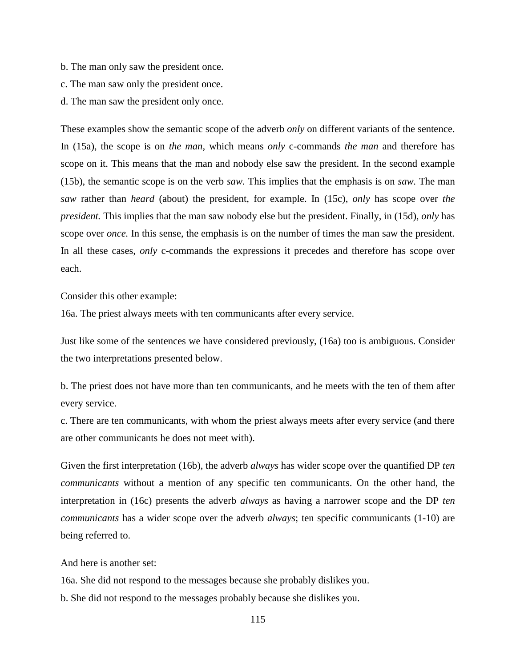- b. The man only saw the president once.
- c. The man saw only the president once.
- d. The man saw the president only once.

These examples show the semantic scope of the adverb *only* on different variants of the sentence. In (15a), the scope is on *the man,* which means *only* c-commands *the man* and therefore has scope on it. This means that the man and nobody else saw the president. In the second example (15b), the semantic scope is on the verb *saw.* This implies that the emphasis is on *saw.* The man *saw* rather than *heard* (about) the president, for example. In (15c), *only* has scope over *the president.* This implies that the man saw nobody else but the president. Finally, in (15d), *only* has scope over *once.* In this sense, the emphasis is on the number of times the man saw the president. In all these cases, *only* c-commands the expressions it precedes and therefore has scope over each.

Consider this other example:

16a. The priest always meets with ten communicants after every service.

Just like some of the sentences we have considered previously, (16a) too is ambiguous. Consider the two interpretations presented below.

b. The priest does not have more than ten communicants, and he meets with the ten of them after every service.

c. There are ten communicants, with whom the priest always meets after every service (and there are other communicants he does not meet with).

Given the first interpretation (16b), the adverb *always* has wider scope over the quantified DP *ten communicants* without a mention of any specific ten communicants. On the other hand, the interpretation in (16c) presents the adverb *always* as having a narrower scope and the DP *ten communicants* has a wider scope over the adverb *always*; ten specific communicants (1-10) are being referred to.

And here is another set:

16a. She did not respond to the messages because she probably dislikes you.

b. She did not respond to the messages probably because she dislikes you.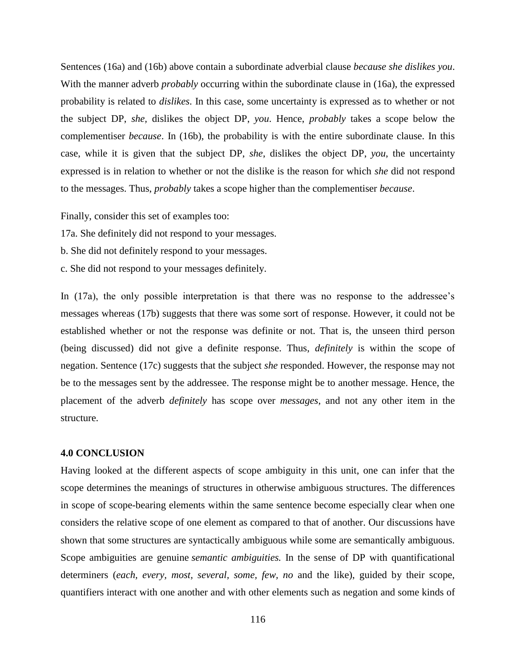Sentences (16a) and (16b) above contain a subordinate adverbial clause *because she dislikes you*. With the manner adverb *probably* occurring within the subordinate clause in (16a), the expressed probability is related to *dislikes*. In this case, some uncertainty is expressed as to whether or not the subject DP, *she,* dislikes the object DP, *you*. Hence, *probably* takes a scope below the complementiser *because*. In (16b), the probability is with the entire subordinate clause. In this case, while it is given that the subject DP, *she*, dislikes the object DP, *you*, the uncertainty expressed is in relation to whether or not the dislike is the reason for which *she* did not respond to the messages. Thus, *probably* takes a scope higher than the complementiser *because*.

Finally, consider this set of examples too:

17a. She definitely did not respond to your messages.

b. She did not definitely respond to your messages.

c. She did not respond to your messages definitely.

In (17a), the only possible interpretation is that there was no response to the addressee's messages whereas (17b) suggests that there was some sort of response. However, it could not be established whether or not the response was definite or not. That is, the unseen third person (being discussed) did not give a definite response. Thus, *definitely* is within the scope of negation. Sentence (17c) suggests that the subject *she* responded. However, the response may not be to the messages sent by the addressee. The response might be to another message. Hence, the placement of the adverb *definitely* has scope over *messages*, and not any other item in the structure.

#### **4.0 CONCLUSION**

Having looked at the different aspects of scope ambiguity in this unit, one can infer that the scope determines the meanings of structures in otherwise ambiguous structures. The differences in scope of scope-bearing elements within the same sentence become especially clear when one considers the relative scope of one element as compared to that of another. Our discussions have shown that some structures are syntactically ambiguous while some are semantically ambiguous. Scope ambiguities are genuine *semantic ambiguities.* In the sense of DP with quantificational determiners (*each, every, most, several, some, few, no* and the like), guided by their scope, quantifiers interact with one another and with other elements such as negation and some kinds of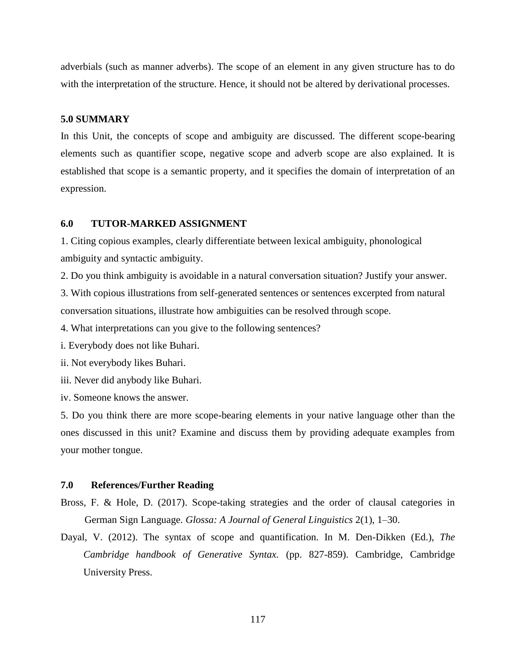adverbials (such as manner adverbs). The scope of an element in any given structure has to do with the interpretation of the structure. Hence, it should not be altered by derivational processes.

### **5.0 SUMMARY**

In this Unit, the concepts of scope and ambiguity are discussed. The different scope-bearing elements such as quantifier scope, negative scope and adverb scope are also explained. It is established that scope is a semantic property, and it specifies the domain of interpretation of an expression.

# **6.0 TUTOR-MARKED ASSIGNMENT**

1. Citing copious examples, clearly differentiate between lexical ambiguity, phonological ambiguity and syntactic ambiguity.

2. Do you think ambiguity is avoidable in a natural conversation situation? Justify your answer.

3. With copious illustrations from self-generated sentences or sentences excerpted from natural conversation situations, illustrate how ambiguities can be resolved through scope.

4. What interpretations can you give to the following sentences?

i. Everybody does not like Buhari.

ii. Not everybody likes Buhari.

iii. Never did anybody like Buhari.

iv. Someone knows the answer.

5. Do you think there are more scope-bearing elements in your native language other than the ones discussed in this unit? Examine and discuss them by providing adequate examples from your mother tongue.

### **7.0 References/Further Reading**

- Bross, F. & Hole, D. (2017). Scope-taking strategies and the order of clausal categories in German Sign Language. *Glossa: A Journal of General Linguistics* 2(1), 1–30.
- Dayal, V. (2012). The syntax of scope and quantification. In M. Den-Dikken (Ed.), *The Cambridge handbook of Generative Syntax.* (pp. 827-859). Cambridge, Cambridge University Press.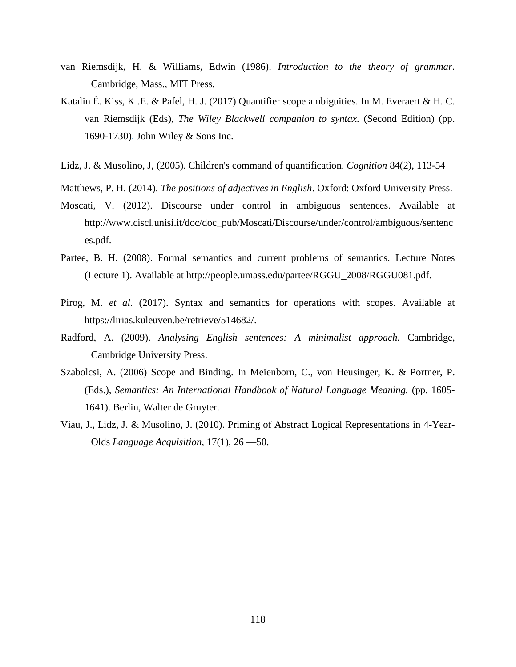- van Riemsdijk, H. & Williams, Edwin (1986). *Introduction to the theory of grammar.*  Cambridge, Mass., MIT Press.
- Katalin É. Kiss, K .E. & Pafel, H. J. (2017) Quantifier scope ambiguities. In M. Everaert & H. C. van Riemsdijk (Eds), *The Wiley Blackwell companion to syntax*. (Second Edition) (pp. 1690-1730). John Wiley & Sons Inc.
- Lidz, J. & Musolino, J, (2005). Children's command of quantification. *Cognition* 84(2), 113-54
- Matthews, P. H. (2014). *The positions of adjectives in English*. Oxford: Oxford University Press.
- Moscati, V. (2012). Discourse under control in ambiguous sentences. Available at http://www.ciscl.unisi.it/doc/doc\_pub/Moscati/Discourse/under/control/ambiguous/sentenc es.pdf.
- Partee, B. H. (2008). Formal semantics and current problems of semantics. Lecture Notes (Lecture 1). Available at http://people.umass.edu/partee/RGGU\_2008/RGGU081.pdf.
- Pirog, M. *et al*. (2017). Syntax and semantics for operations with scopes*.* Available at https://lirias.kuleuven.be/retrieve/514682/.
- Radford, A. (2009). *Analysing English sentences: A minimalist approach.* Cambridge, Cambridge University Press.
- Szabolcsi, A. (2006) Scope and Binding. In Meienborn, C., von Heusinger, K. & Portner, P. (Eds.), *Semantics: An International Handbook of Natural Language Meaning.* (pp. 1605- 1641). Berlin, Walter de Gruyter.
- Viau, J., Lidz, J. & Musolino, J. (2010). Priming of Abstract Logical Representations in 4-Year-Olds *Language Acquisition,* 17(1), 26 —50.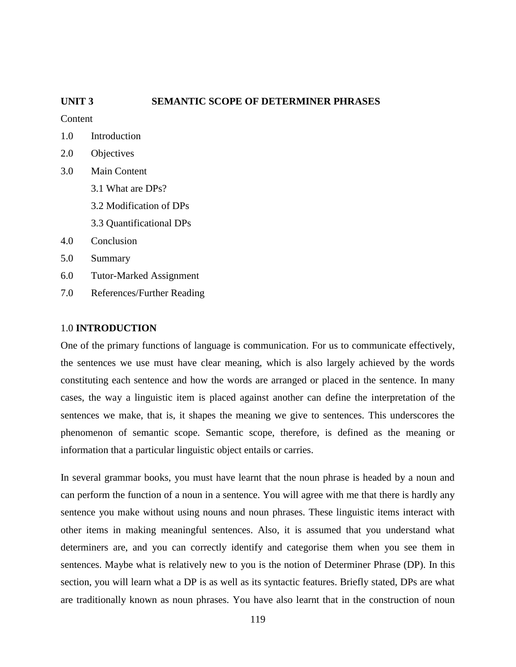# **UNIT 3 SEMANTIC SCOPE OF DETERMINER PHRASES**

**Content** 

- 1.0 Introduction
- 2.0 Objectives
- 3.0 Main Content 3.1 What are DPs?
	-
	- 3.2 Modification of DPs
	- 3.3 Quantificational DPs
- 4.0 Conclusion
- 5.0 Summary
- 6.0 Tutor-Marked Assignment
- 7.0 References/Further Reading

### 1.0 **INTRODUCTION**

One of the primary functions of language is communication. For us to communicate effectively, the sentences we use must have clear meaning, which is also largely achieved by the words constituting each sentence and how the words are arranged or placed in the sentence. In many cases, the way a linguistic item is placed against another can define the interpretation of the sentences we make, that is, it shapes the meaning we give to sentences. This underscores the phenomenon of semantic scope. Semantic scope, therefore, is defined as the meaning or information that a particular linguistic object entails or carries.

In several grammar books, you must have learnt that the noun phrase is headed by a noun and can perform the function of a noun in a sentence. You will agree with me that there is hardly any sentence you make without using nouns and noun phrases. These linguistic items interact with other items in making meaningful sentences. Also, it is assumed that you understand what determiners are, and you can correctly identify and categorise them when you see them in sentences. Maybe what is relatively new to you is the notion of Determiner Phrase (DP). In this section, you will learn what a DP is as well as its syntactic features. Briefly stated, DPs are what are traditionally known as noun phrases. You have also learnt that in the construction of noun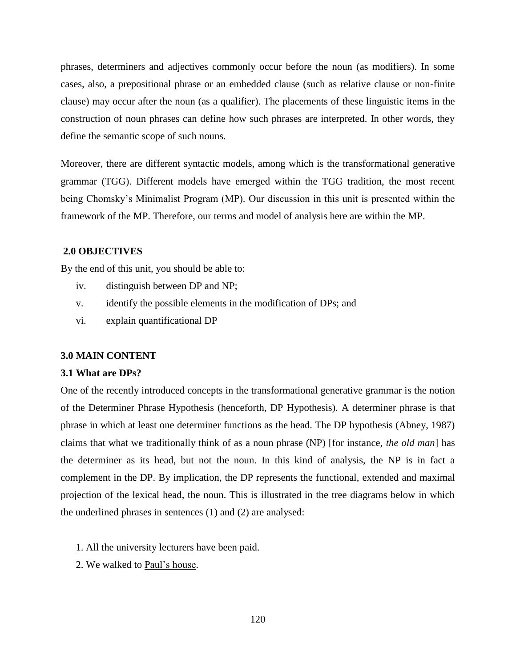phrases, determiners and adjectives commonly occur before the noun (as modifiers). In some cases, also, a prepositional phrase or an embedded clause (such as relative clause or non-finite clause) may occur after the noun (as a qualifier). The placements of these linguistic items in the construction of noun phrases can define how such phrases are interpreted. In other words, they define the semantic scope of such nouns.

Moreover, there are different syntactic models, among which is the transformational generative grammar (TGG). Different models have emerged within the TGG tradition, the most recent being Chomsky's Minimalist Program (MP). Our discussion in this unit is presented within the framework of the MP. Therefore, our terms and model of analysis here are within the MP.

# **2.0 OBJECTIVES**

By the end of this unit, you should be able to:

- iv. distinguish between DP and NP;
- v. identify the possible elements in the modification of DPs; and
- vi. explain quantificational DP

#### **3.0 MAIN CONTENT**

#### **3.1 What are DPs?**

One of the recently introduced concepts in the transformational generative grammar is the notion of the Determiner Phrase Hypothesis (henceforth, DP Hypothesis). A determiner phrase is that phrase in which at least one determiner functions as the head. The DP hypothesis (Abney, 1987) claims that what we traditionally think of as a noun phrase (NP) [for instance, *the old man*] has the determiner as its head, but not the noun. In this kind of analysis, the NP is in fact a complement in the DP. By implication, the DP represents the functional, extended and maximal projection of the lexical head, the noun. This is illustrated in the tree diagrams below in which the underlined phrases in sentences (1) and (2) are analysed:

- 1. All the university lecturers have been paid.
- 2. We walked to Paul's house.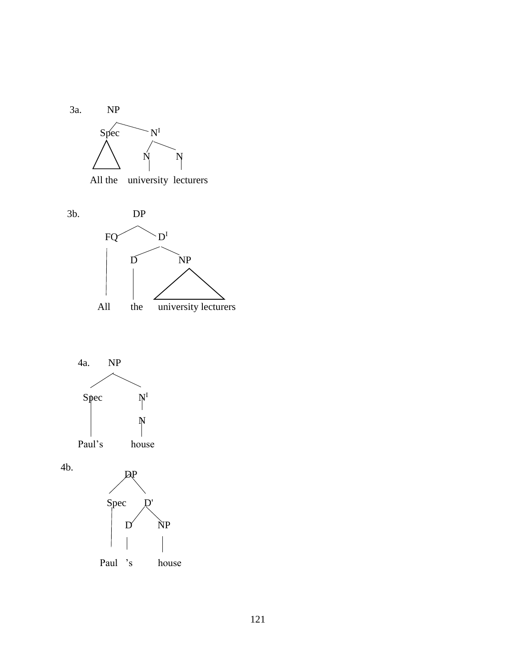

All the university lecturers





4b.

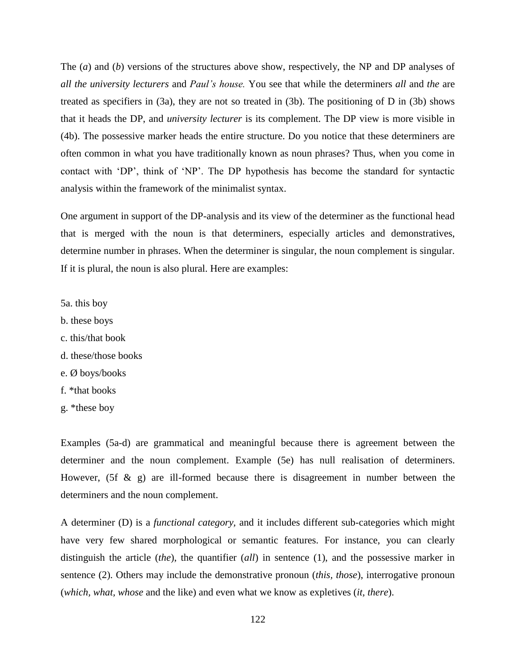The (*a*) and (*b*) versions of the structures above show, respectively, the NP and DP analyses of *all the university lecturers* and *Paul's house.* You see that while the determiners *all* and *the* are treated as specifiers in (3a), they are not so treated in (3b). The positioning of D in (3b) shows that it heads the DP, and *university lecturer* is its complement. The DP view is more visible in (4b). The possessive marker heads the entire structure. Do you notice that these determiners are often common in what you have traditionally known as noun phrases? Thus, when you come in contact with 'DP', think of 'NP'. The DP hypothesis has become the standard for syntactic analysis within the framework of the minimalist syntax.

One argument in support of the DP-analysis and its view of the determiner as the functional head that is merged with the noun is that determiners, especially articles and demonstratives, determine number in phrases. When the determiner is singular, the noun complement is singular. If it is plural, the noun is also plural. Here are examples:

5a. this boy

- b. these boys
- c. this/that book
- d. these/those books
- e. Ø boys/books
- f. \*that books
- g. \*these boy

Examples (5a-d) are grammatical and meaningful because there is agreement between the determiner and the noun complement. Example (5e) has null realisation of determiners. However, (5f  $\&$  g) are ill-formed because there is disagreement in number between the determiners and the noun complement.

A determiner (D) is a *functional category,* and it includes different sub-categories which might have very few shared morphological or semantic features. For instance, you can clearly distinguish the article (*the*), the quantifier (*all*) in sentence (1), and the possessive marker in sentence (2). Others may include the demonstrative pronoun (*this, those*), interrogative pronoun (*which, what, whose* and the like) and even what we know as expletives (*it, there*).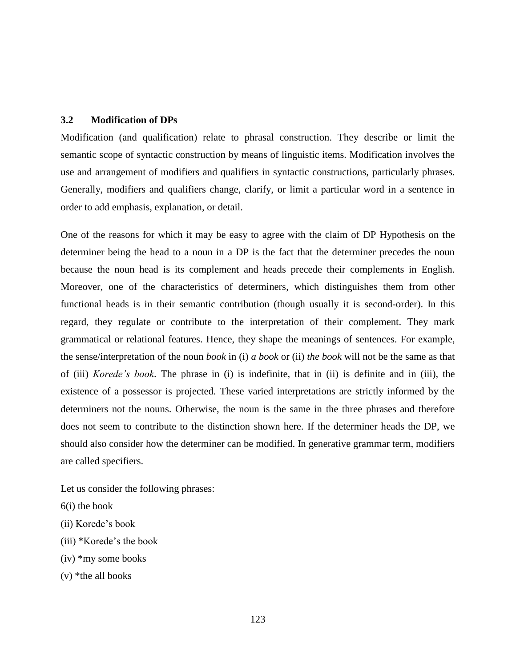### **3.2 Modification of DPs**

Modification (and qualification) relate to phrasal construction. They describe or limit the semantic scope of syntactic construction by means of linguistic items. Modification involves the use and arrangement of modifiers and qualifiers in syntactic constructions, particularly phrases. Generally, modifiers and qualifiers change, clarify, or limit a particular word in a sentence in order to add emphasis, explanation, or detail.

One of the reasons for which it may be easy to agree with the claim of DP Hypothesis on the determiner being the head to a noun in a DP is the fact that the determiner precedes the noun because the noun head is its complement and heads precede their complements in English. Moreover, one of the characteristics of determiners, which distinguishes them from other functional heads is in their semantic contribution (though usually it is second-order). In this regard, they regulate or contribute to the interpretation of their complement. They mark grammatical or relational features. Hence, they shape the meanings of sentences. For example, the sense/interpretation of the noun *book* in (i) *a book* or (ii) *the book* will not be the same as that of (iii) *Korede's book*. The phrase in (i) is indefinite, that in (ii) is definite and in (iii), the existence of a possessor is projected. These varied interpretations are strictly informed by the determiners not the nouns. Otherwise, the noun is the same in the three phrases and therefore does not seem to contribute to the distinction shown here. If the determiner heads the DP, we should also consider how the determiner can be modified. In generative grammar term, modifiers are called specifiers.

Let us consider the following phrases:

- 6(i) the book
- (ii) Korede's book
- (iii) \*Korede's the book
- (iv) \*my some books
- $(v)$  \*the all books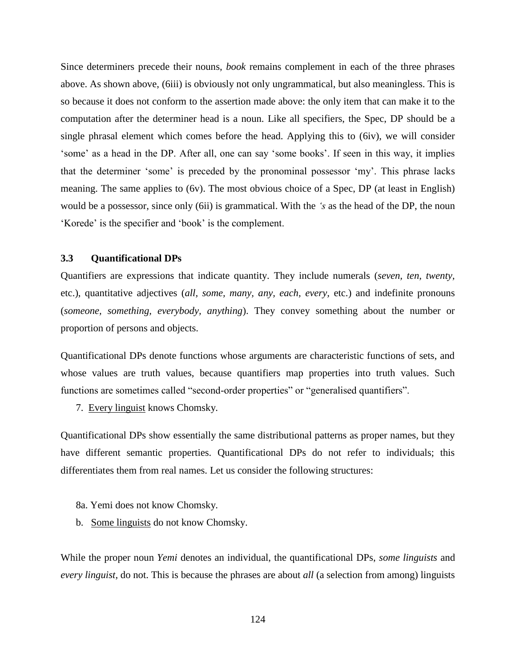Since determiners precede their nouns, *book* remains complement in each of the three phrases above. As shown above, (6iii) is obviously not only ungrammatical, but also meaningless. This is so because it does not conform to the assertion made above: the only item that can make it to the computation after the determiner head is a noun. Like all specifiers, the Spec, DP should be a single phrasal element which comes before the head. Applying this to (6iv), we will consider 'some' as a head in the DP. After all, one can say 'some books'. If seen in this way, it implies that the determiner 'some' is preceded by the pronominal possessor 'my'. This phrase lacks meaning. The same applies to (6v). The most obvious choice of a Spec, DP (at least in English) would be a possessor, since only (6ii) is grammatical. With the *'s* as the head of the DP, the noun 'Korede' is the specifier and 'book' is the complement.

### **3.3 Quantificational DPs**

Quantifiers are expressions that indicate quantity. They include numerals (*seven, ten, twenty,* etc.), quantitative adjectives (*all, some, many, any, each, every,* etc.) and indefinite pronouns (*someone, something, everybody, anything*). They convey something about the number or proportion of persons and objects.

Quantificational DPs denote functions whose arguments are characteristic functions of sets, and whose values are truth values, because quantifiers map properties into truth values. Such functions are sometimes called "second-order properties" or "generalised quantifiers".

7. Every linguist knows Chomsky.

Quantificational DPs show essentially the same distributional patterns as proper names, but they have different semantic properties. Quantificational DPs do not refer to individuals; this differentiates them from real names. Let us consider the following structures:

- 8a. Yemi does not know Chomsky.
- b. Some linguists do not know Chomsky.

While the proper noun *Yemi* denotes an individual, the quantificational DPs, *some linguists* and *every linguist,* do not. This is because the phrases are about *all* (a selection from among) linguists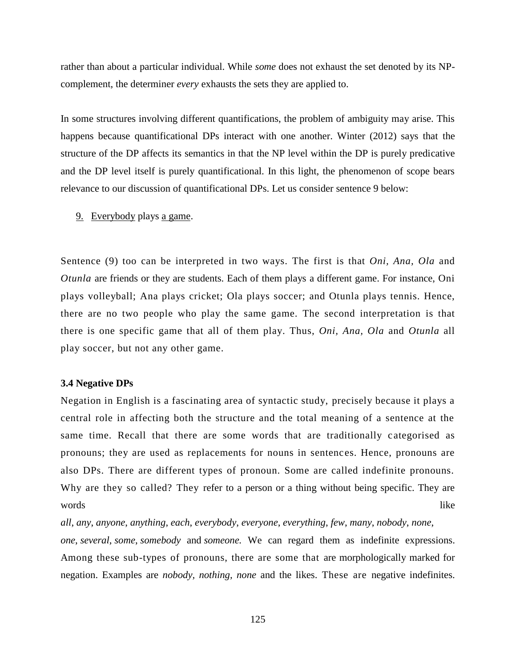rather than about a particular individual. While *some* does not exhaust the set denoted by its NPcomplement, the determiner *every* exhausts the sets they are applied to.

In some structures involving different quantifications, the problem of ambiguity may arise. This happens because quantificational DPs interact with one another. Winter (2012) says that the structure of the DP affects its semantics in that the NP level within the DP is purely predicative and the DP level itself is purely quantificational. In this light, the phenomenon of scope bears relevance to our discussion of quantificational DPs. Let us consider sentence 9 below:

9. Everybody plays a game.

Sentence (9) too can be interpreted in two ways. The first is that *Oni, Ana, Ola* and *Otunla* are friends or they are students. Each of them plays a different game. For instance, Oni plays volleyball; Ana plays cricket; Ola plays soccer; and Otunla plays tennis. Hence, there are no two people who play the same game. The second interpretation is that there is one specific game that all of them play. Thus, *Oni, Ana, Ola* and *Otunla* all play soccer, but not any other game.

#### **3.4 Negative DPs**

Negation in English is a fascinating area of syntactic study, precisely because it plays a central role in affecting both the structure and the total meaning of a sentence at the same time. Recall that there are some words that are traditionally categorised as pronouns; they are used as replacements for nouns in sentences. Hence, pronouns are also DPs. There are different types of pronoun. Some are called indefinite pronouns. Why are they so called? They refer to a person or a thing without being specific. They are words like

*all*, *any*, *anyone*, *anything*, *each*, *everybody*, *everyone*, *everything*, *few*, *many*, *nobody*, *none*, *one*, *several*, *some*, *somebody* and *someone.* We can regard them as indefinite expressions. Among these sub-types of pronouns, there are some that are morphologically marked for negation. Examples are *nobody, nothing, none* and the likes. These are negative indefinites.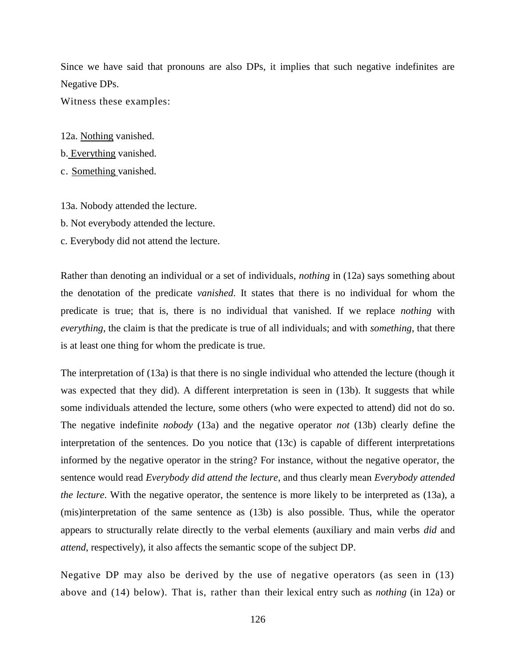Since we have said that pronouns are also DPs, it implies that such negative indefinites are Negative DPs.

Witness these examples:

12a. Nothing vanished.

- b. Everything vanished.
- c. Something vanished.

13a. Nobody attended the lecture.

- b. Not everybody attended the lecture.
- c. Everybody did not attend the lecture.

Rather than denoting an individual or a set of individuals, *nothing* in (12a) says something about the denotation of the predicate *vanished*. It states that there is no individual for whom the predicate is true; that is, there is no individual that vanished. If we replace *nothing* with *everything*, the claim is that the predicate is true of all individuals; and with *something*, that there is at least one thing for whom the predicate is true.

The interpretation of (13a) is that there is no single individual who attended the lecture (though it was expected that they did). A different interpretation is seen in (13b). It suggests that while some individuals attended the lecture, some others (who were expected to attend) did not do so. The negative indefinite *nobody* (13a) and the negative operator *not* (13b) clearly define the interpretation of the sentences. Do you notice that (13c) is capable of different interpretations informed by the negative operator in the string? For instance, without the negative operator, the sentence would read *Everybody did attend the lecture*, and thus clearly mean *Everybody attended the lecture*. With the negative operator, the sentence is more likely to be interpreted as (13a), a (mis)interpretation of the same sentence as (13b) is also possible. Thus, while the operator appears to structurally relate directly to the verbal elements (auxiliary and main verbs *did* and *attend*, respectively), it also affects the semantic scope of the subject DP.

Negative DP may also be derived by the use of negative operators (as seen in (13) above and (14) below). That is, rather than their lexical entry such as *nothing* (in 12a) or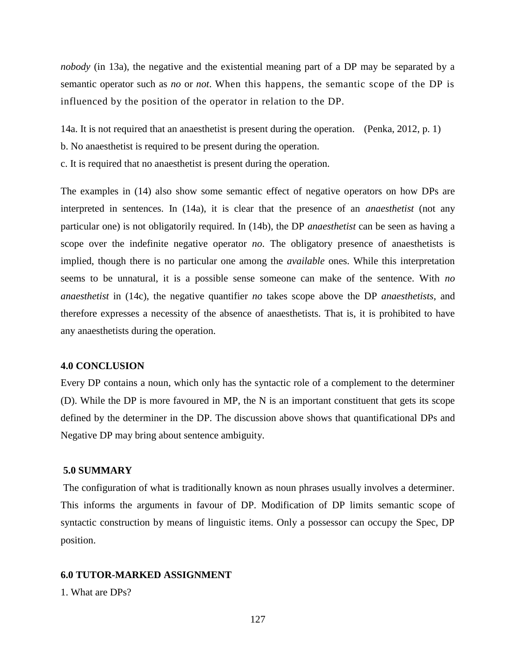*nobody* (in 13a), the negative and the existential meaning part of a DP may be separated by a semantic operator such as *no* or *not*. When this happens, the semantic scope of the DP is influenced by the position of the operator in relation to the DP.

14a. It is not required that an anaesthetist is present during the operation. (Penka, 2012, p. 1)

- b. No anaesthetist is required to be present during the operation.
- c. It is required that no anaesthetist is present during the operation.

The examples in (14) also show some semantic effect of negative operators on how DPs are interpreted in sentences. In (14a), it is clear that the presence of an *anaesthetist* (not any particular one) is not obligatorily required. In (14b), the DP *anaesthetist* can be seen as having a scope over the indefinite negative operator *no*. The obligatory presence of anaesthetists is implied, though there is no particular one among the *available* ones. While this interpretation seems to be unnatural, it is a possible sense someone can make of the sentence. With *no anaesthetist* in (14c), the negative quantifier *no* takes scope above the DP *anaesthetists*, and therefore expresses a necessity of the absence of anaesthetists. That is, it is prohibited to have any anaesthetists during the operation.

### **4.0 CONCLUSION**

Every DP contains a noun, which only has the syntactic role of a complement to the determiner (D). While the DP is more favoured in MP, the N is an important constituent that gets its scope defined by the determiner in the DP. The discussion above shows that quantificational DPs and Negative DP may bring about sentence ambiguity.

### **5.0 SUMMARY**

The configuration of what is traditionally known as noun phrases usually involves a determiner. This informs the arguments in favour of DP. Modification of DP limits semantic scope of syntactic construction by means of linguistic items. Only a possessor can occupy the Spec, DP position.

# **6.0 TUTOR-MARKED ASSIGNMENT**

1. What are DPs?